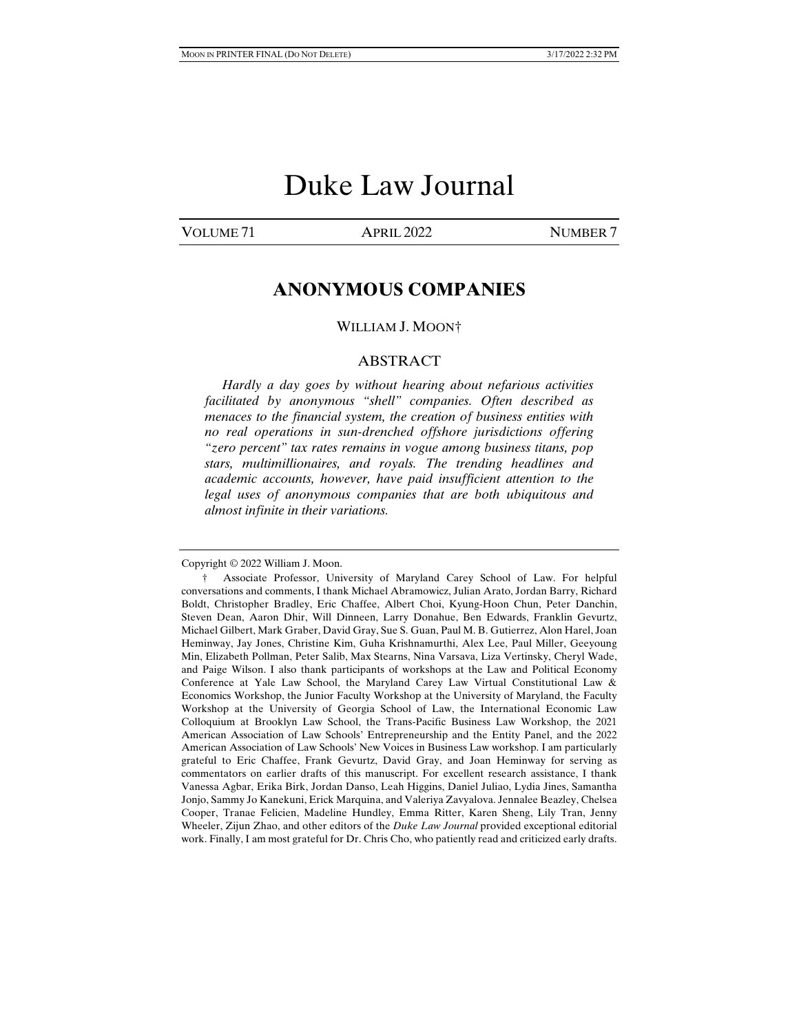# Duke Law Journal

VOLUME 71 APRIL 2022 NUMBER 7

# **ANONYMOUS COMPANIES**

#### WILLIAM J. MOON†

#### ABSTRACT

 *Hardly a day goes by without hearing about nefarious activities facilitated by anonymous "shell" companies. Often described as menaces to the financial system, the creation of business entities with no real operations in sun-drenched offshore jurisdictions offering "zero percent" tax rates remains in vogue among business titans, pop stars, multimillionaires, and royals. The trending headlines and academic accounts, however, have paid insufficient attention to the legal uses of anonymous companies that are both ubiquitous and almost infinite in their variations.* 

Copyright © 2022 William J. Moon.

 <sup>†</sup> Associate Professor, University of Maryland Carey School of Law. For helpful conversations and comments, I thank Michael Abramowicz, Julian Arato, Jordan Barry, Richard Boldt, Christopher Bradley, Eric Chaffee, Albert Choi, Kyung-Hoon Chun, Peter Danchin, Steven Dean, Aaron Dhir, Will Dinneen, Larry Donahue, Ben Edwards, Franklin Gevurtz, Michael Gilbert, Mark Graber, David Gray, Sue S. Guan, Paul M. B. Gutierrez, Alon Harel, Joan Heminway, Jay Jones, Christine Kim, Guha Krishnamurthi, Alex Lee, Paul Miller, Geeyoung Min, Elizabeth Pollman, Peter Salib, Max Stearns, Nina Varsava, Liza Vertinsky, Cheryl Wade, and Paige Wilson. I also thank participants of workshops at the Law and Political Economy Conference at Yale Law School, the Maryland Carey Law Virtual Constitutional Law & Economics Workshop, the Junior Faculty Workshop at the University of Maryland, the Faculty Workshop at the University of Georgia School of Law, the International Economic Law Colloquium at Brooklyn Law School, the Trans-Pacific Business Law Workshop, the 2021 American Association of Law Schools' Entrepreneurship and the Entity Panel, and the 2022 American Association of Law Schools' New Voices in Business Law workshop. I am particularly grateful to Eric Chaffee, Frank Gevurtz, David Gray, and Joan Heminway for serving as commentators on earlier drafts of this manuscript. For excellent research assistance, I thank Vanessa Agbar, Erika Birk, Jordan Danso, Leah Higgins, Daniel Juliao, Lydia Jines, Samantha Jonjo, Sammy Jo Kanekuni, Erick Marquina, and Valeriya Zavyalova. Jennalee Beazley, Chelsea Cooper, Tranae Felicien, Madeline Hundley, Emma Ritter, Karen Sheng, Lily Tran, Jenny Wheeler, Zijun Zhao, and other editors of the *Duke Law Journal* provided exceptional editorial work. Finally, I am most grateful for Dr. Chris Cho, who patiently read and criticized early drafts.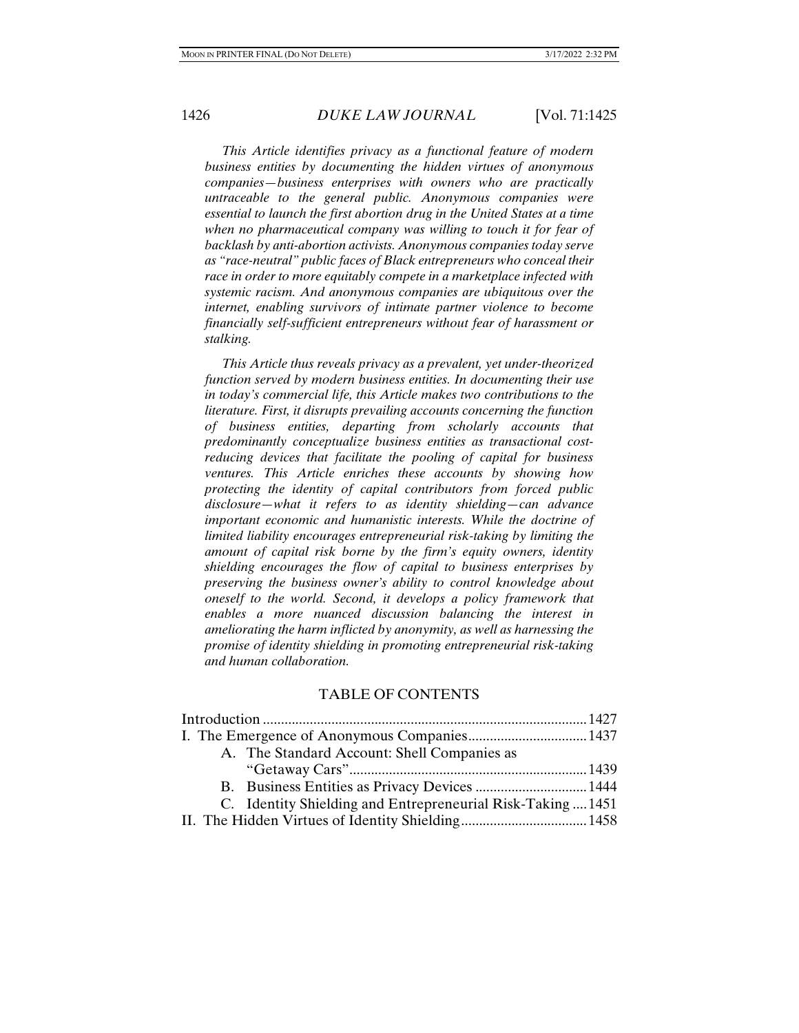*This Article identifies privacy as a functional feature of modern business entities by documenting the hidden virtues of anonymous companies—business enterprises with owners who are practically untraceable to the general public. Anonymous companies were essential to launch the first abortion drug in the United States at a time when no pharmaceutical company was willing to touch it for fear of backlash by anti-abortion activists. Anonymous companies today serve as "race-neutral" public faces of Black entrepreneurs who conceal their race in order to more equitably compete in a marketplace infected with systemic racism. And anonymous companies are ubiquitous over the internet, enabling survivors of intimate partner violence to become financially self-sufficient entrepreneurs without fear of harassment or stalking.* 

 *This Article thus reveals privacy as a prevalent, yet under-theorized function served by modern business entities. In documenting their use in today's commercial life, this Article makes two contributions to the literature. First, it disrupts prevailing accounts concerning the function of business entities, departing from scholarly accounts that predominantly conceptualize business entities as transactional costreducing devices that facilitate the pooling of capital for business ventures. This Article enriches these accounts by showing how protecting the identity of capital contributors from forced public disclosure—what it refers to as identity shielding—can advance important economic and humanistic interests. While the doctrine of limited liability encourages entrepreneurial risk-taking by limiting the amount of capital risk borne by the firm's equity owners, identity shielding encourages the flow of capital to business enterprises by preserving the business owner's ability to control knowledge about oneself to the world. Second, it develops a policy framework that enables a more nuanced discussion balancing the interest in ameliorating the harm inflicted by anonymity, as well as harnessing the promise of identity shielding in promoting entrepreneurial risk-taking and human collaboration.* 

### TABLE OF CONTENTS

| A. The Standard Account: Shell Companies as                 |  |
|-------------------------------------------------------------|--|
|                                                             |  |
|                                                             |  |
| C. Identity Shielding and Entrepreneurial Risk-Taking  1451 |  |
|                                                             |  |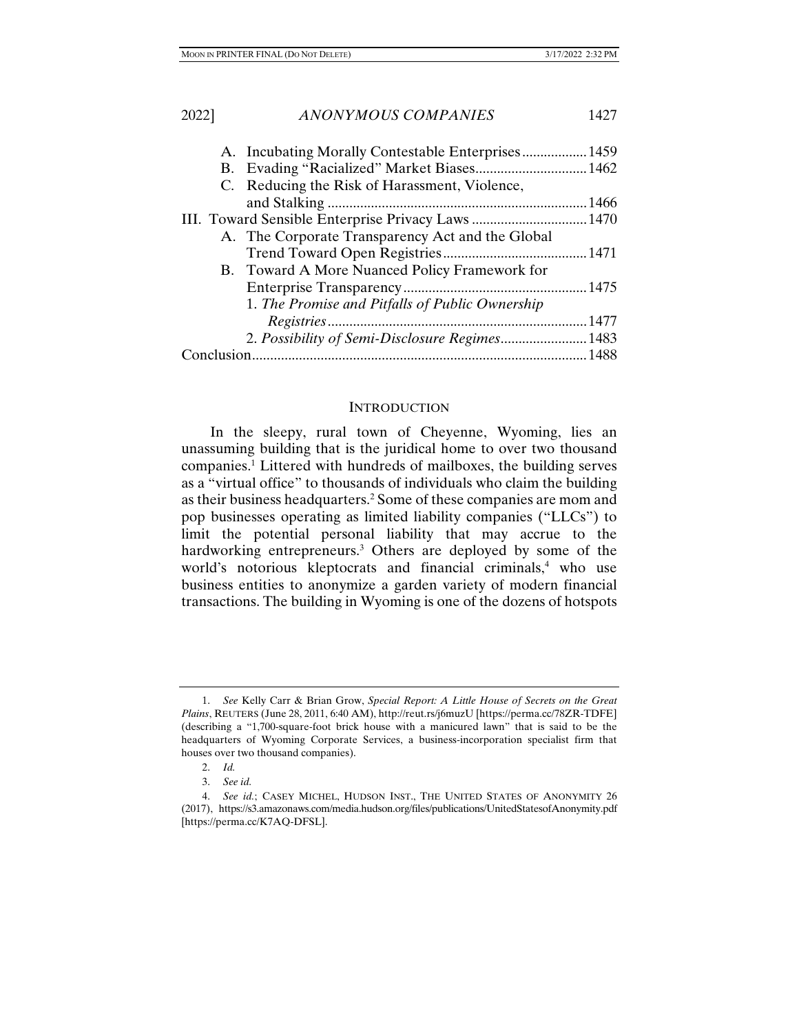|            |  | C. Reducing the Risk of Harassment, Violence,      |      |
|------------|--|----------------------------------------------------|------|
|            |  |                                                    | 1466 |
|            |  | III. Toward Sensible Enterprise Privacy Laws  1470 |      |
|            |  | A. The Corporate Transparency Act and the Global   |      |
|            |  |                                                    |      |
|            |  | B. Toward A More Nuanced Policy Framework for      |      |
|            |  |                                                    |      |
|            |  | 1. The Promise and Pitfalls of Public Ownership    |      |
|            |  |                                                    | 1477 |
|            |  | 2. Possibility of Semi-Disclosure Regimes 1483     |      |
| Conclusion |  |                                                    |      |
|            |  |                                                    |      |

#### **INTRODUCTION**

In the sleepy, rural town of Cheyenne, Wyoming, lies an unassuming building that is the juridical home to over two thousand companies.<sup>1</sup> Littered with hundreds of mailboxes, the building serves as a "virtual office" to thousands of individuals who claim the building as their business headquarters.<sup>2</sup> Some of these companies are mom and pop businesses operating as limited liability companies ("LLCs") to limit the potential personal liability that may accrue to the hardworking entrepreneurs.<sup>3</sup> Others are deployed by some of the world's notorious kleptocrats and financial criminals,<sup>4</sup> who use business entities to anonymize a garden variety of modern financial transactions. The building in Wyoming is one of the dozens of hotspots

 <sup>1.</sup> *See* Kelly Carr & Brian Grow, *Special Report: A Little House of Secrets on the Great Plains*, REUTERS (June 28, 2011, 6:40 AM), http://reut.rs/j6muzU [https://perma.cc/78ZR-TDFE] (describing a "1,700-square-foot brick house with a manicured lawn" that is said to be the headquarters of Wyoming Corporate Services, a business-incorporation specialist firm that houses over two thousand companies).

 <sup>2.</sup> *Id.*

 <sup>3.</sup> *See id.*

 <sup>4.</sup> *See id.*; CASEY MICHEL, HUDSON INST., THE UNITED STATES OF ANONYMITY 26 (2017), https://s3.amazonaws.com/media.hudson.org/files/publications/UnitedStatesofAnonymity.pdf [https://perma.cc/K7AQ-DFSL].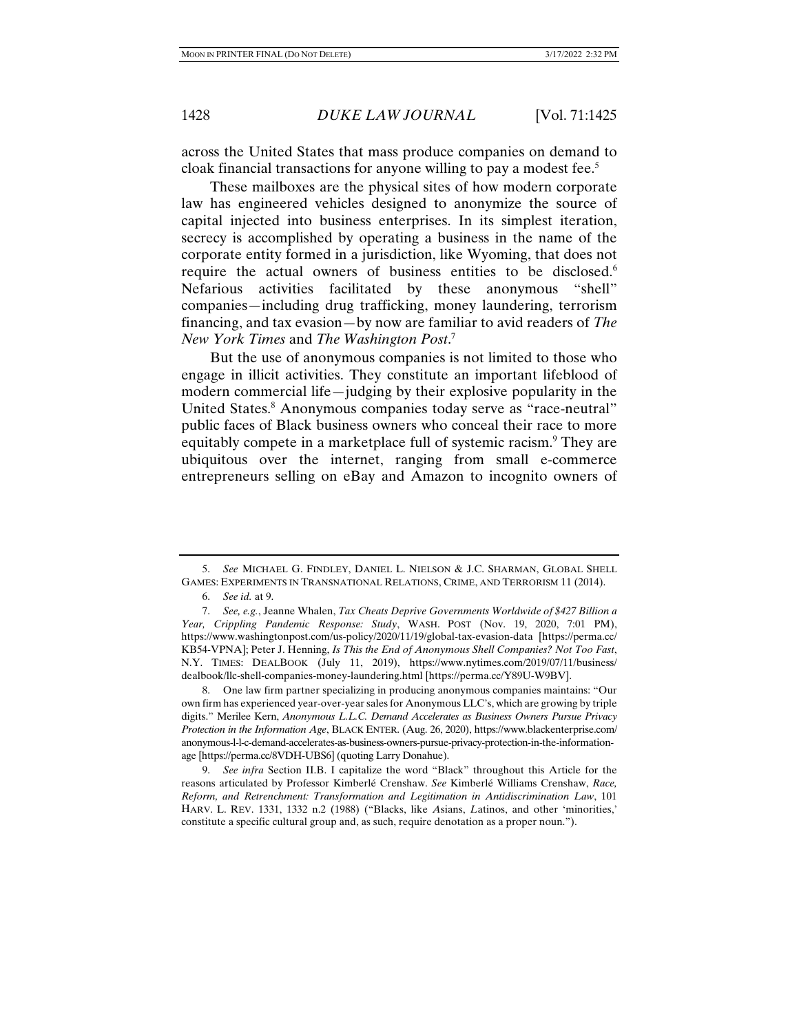across the United States that mass produce companies on demand to cloak financial transactions for anyone willing to pay a modest fee.<sup>5</sup>

These mailboxes are the physical sites of how modern corporate law has engineered vehicles designed to anonymize the source of capital injected into business enterprises. In its simplest iteration, secrecy is accomplished by operating a business in the name of the corporate entity formed in a jurisdiction, like Wyoming, that does not require the actual owners of business entities to be disclosed.<sup>6</sup> Nefarious activities facilitated by these anonymous "shell" companies—including drug trafficking, money laundering, terrorism financing, and tax evasion—by now are familiar to avid readers of *The New York Times* and *The Washington Post*. 7

But the use of anonymous companies is not limited to those who engage in illicit activities. They constitute an important lifeblood of modern commercial life—judging by their explosive popularity in the United States.<sup>8</sup> Anonymous companies today serve as "race-neutral" public faces of Black business owners who conceal their race to more equitably compete in a marketplace full of systemic racism.<sup>9</sup> They are ubiquitous over the internet, ranging from small e-commerce entrepreneurs selling on eBay and Amazon to incognito owners of

 <sup>5.</sup> *See* MICHAEL G. FINDLEY, DANIEL L. NIELSON & J.C. SHARMAN, GLOBAL SHELL GAMES: EXPERIMENTS IN TRANSNATIONAL RELATIONS, CRIME, AND TERRORISM 11 (2014).

 <sup>6.</sup> *See id.* at 9.

 <sup>7.</sup> *See, e.g.*, Jeanne Whalen, *Tax Cheats Deprive Governments Worldwide of \$427 Billion a Year, Crippling Pandemic Response: Study*, WASH. POST (Nov. 19, 2020, 7:01 PM), https://www.washingtonpost.com/us-policy/2020/11/19/global-tax-evasion-data [https://perma.cc/ KB54-VPNA]; Peter J. Henning, *Is This the End of Anonymous Shell Companies? Not Too Fast*, N.Y. TIMES: DEALBOOK (July 11, 2019), https://www.nytimes.com/2019/07/11/business/ dealbook/llc-shell-companies-money-laundering.html [https://perma.cc/Y89U-W9BV].

 <sup>8.</sup> One law firm partner specializing in producing anonymous companies maintains: "Our own firm has experienced year-over-year sales for Anonymous LLC's, which are growing by triple digits." Merilee Kern, *Anonymous L.L.C. Demand Accelerates as Business Owners Pursue Privacy Protection in the Information Age*, BLACK ENTER. (Aug. 26, 2020), https://www.blackenterprise.com/ anonymous-l-l-c-demand-accelerates-as-business-owners-pursue-privacy-protection-in-the-informationage [https://perma.cc/8VDH-UBS6] (quoting Larry Donahue).

 <sup>9.</sup> *See infra* Section II.B. I capitalize the word "Black" throughout this Article for the reasons articulated by Professor Kimberlé Crenshaw. *See* Kimberlé Williams Crenshaw, *Race, Reform, and Retrenchment: Transformation and Legitimation in Antidiscrimination Law*, 101 HARV. L. REV. 1331, 1332 n.2 (1988) ("Blacks, like *A*sians, *L*atinos, and other 'minorities,' constitute a specific cultural group and, as such, require denotation as a proper noun.").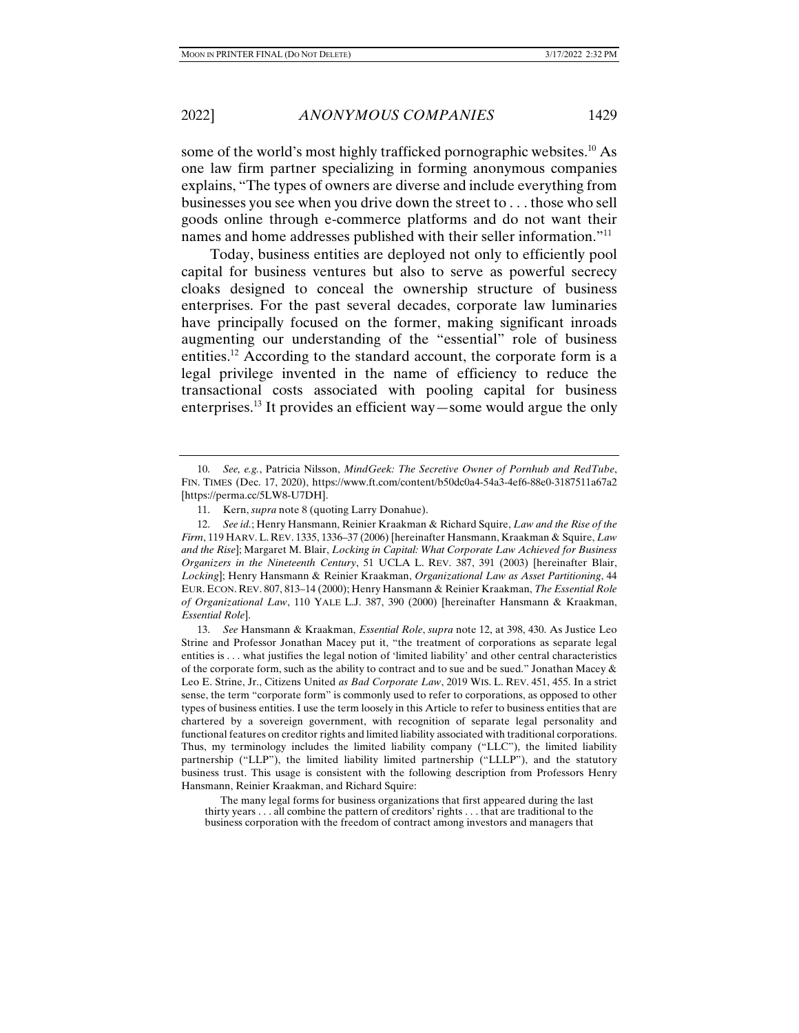some of the world's most highly trafficked pornographic websites.<sup>10</sup> As one law firm partner specializing in forming anonymous companies explains, "The types of owners are diverse and include everything from businesses you see when you drive down the street to . . . those who sell goods online through e-commerce platforms and do not want their names and home addresses published with their seller information."<sup>11</sup>

Today, business entities are deployed not only to efficiently pool capital for business ventures but also to serve as powerful secrecy cloaks designed to conceal the ownership structure of business enterprises. For the past several decades, corporate law luminaries have principally focused on the former, making significant inroads augmenting our understanding of the "essential" role of business entities.12 According to the standard account, the corporate form is a legal privilege invented in the name of efficiency to reduce the transactional costs associated with pooling capital for business enterprises.<sup>13</sup> It provides an efficient way—some would argue the only

 <sup>10.</sup> *See, e.g.*, Patricia Nilsson, *MindGeek: The Secretive Owner of Pornhub and RedTube*, FIN. TIMES (Dec. 17, 2020), https://www.ft.com/content/b50dc0a4-54a3-4ef6-88e0-3187511a67a2 [https://perma.cc/5LW8-U7DH].

 <sup>11.</sup> Kern, *supra* note 8 (quoting Larry Donahue).

 <sup>12.</sup> *See id.*; Henry Hansmann, Reinier Kraakman & Richard Squire, *Law and the Rise of the Firm*, 119 HARV. L. REV. 1335, 1336–37 (2006) [hereinafter Hansmann, Kraakman & Squire, *Law and the Rise*]; Margaret M. Blair, *Locking in Capital: What Corporate Law Achieved for Business Organizers in the Nineteenth Century*, 51 UCLA L. REV. 387, 391 (2003) [hereinafter Blair, *Locking*]; Henry Hansmann & Reinier Kraakman, *Organizational Law as Asset Partitioning*, 44 EUR. ECON. REV. 807, 813–14 (2000); Henry Hansmann & Reinier Kraakman, *The Essential Role of Organizational Law*, 110 YALE L.J. 387, 390 (2000) [hereinafter Hansmann & Kraakman, *Essential Role*].

 <sup>13.</sup> *See* Hansmann & Kraakman, *Essential Role*, *supra* note 12, at 398, 430. As Justice Leo Strine and Professor Jonathan Macey put it, "the treatment of corporations as separate legal entities is . . . what justifies the legal notion of 'limited liability' and other central characteristics of the corporate form, such as the ability to contract and to sue and be sued." Jonathan Macey  $\&$ Leo E. Strine, Jr., Citizens United *as Bad Corporate Law*, 2019 WIS. L. REV. 451, 455. In a strict sense, the term "corporate form" is commonly used to refer to corporations, as opposed to other types of business entities. I use the term loosely in this Article to refer to business entities that are chartered by a sovereign government, with recognition of separate legal personality and functional features on creditor rights and limited liability associated with traditional corporations. Thus, my terminology includes the limited liability company ("LLC"), the limited liability partnership ("LLP"), the limited liability limited partnership ("LLLP"), and the statutory business trust. This usage is consistent with the following description from Professors Henry Hansmann, Reinier Kraakman, and Richard Squire:

The many legal forms for business organizations that first appeared during the last thirty years . . . all combine the pattern of creditors' rights . . . that are traditional to the business corporation with the freedom of contract among investors and managers that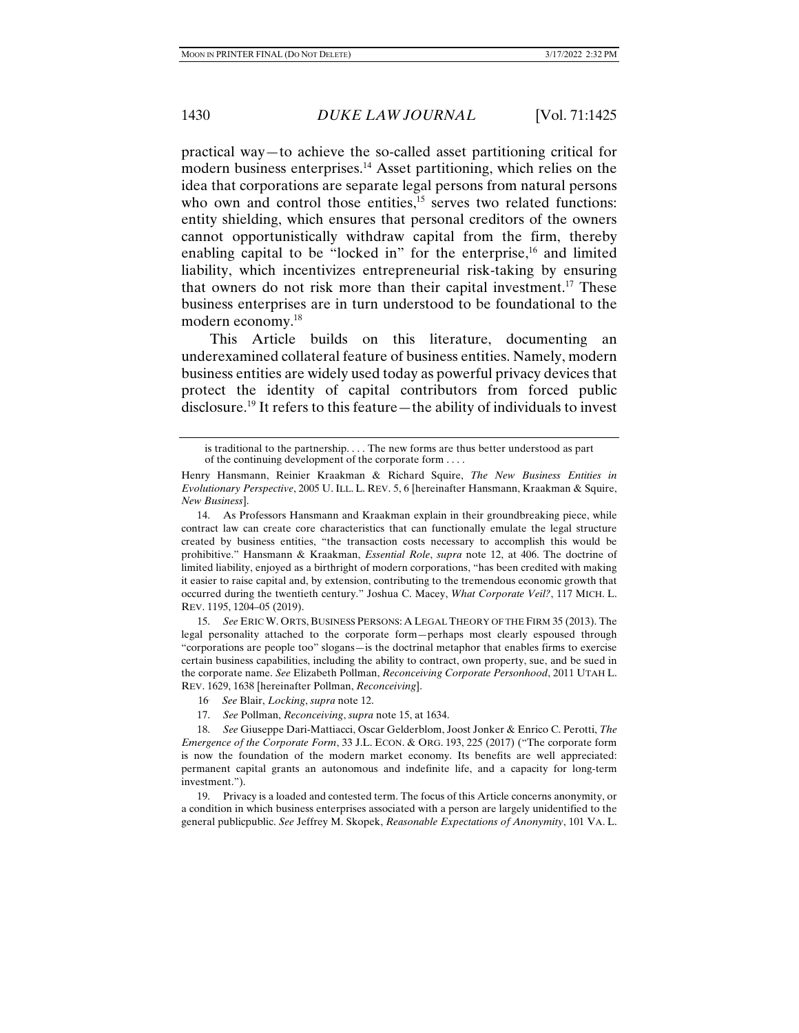practical way—to achieve the so-called asset partitioning critical for modern business enterprises.<sup>14</sup> Asset partitioning, which relies on the idea that corporations are separate legal persons from natural persons who own and control those entities, $15$  serves two related functions: entity shielding, which ensures that personal creditors of the owners cannot opportunistically withdraw capital from the firm, thereby enabling capital to be "locked in" for the enterprise, $16$  and limited liability, which incentivizes entrepreneurial risk-taking by ensuring that owners do not risk more than their capital investment.17 These business enterprises are in turn understood to be foundational to the modern economy.18

This Article builds on this literature, documenting an underexamined collateral feature of business entities. Namely, modern business entities are widely used today as powerful privacy devices that protect the identity of capital contributors from forced public disclosure.19 It refers to this feature—the ability of individuals to invest

 15. *See* ERIC W. ORTS, BUSINESS PERSONS: A LEGAL THEORY OF THE FIRM 35 (2013). The legal personality attached to the corporate form—perhaps most clearly espoused through "corporations are people too" slogans—is the doctrinal metaphor that enables firms to exercise certain business capabilities, including the ability to contract, own property, sue, and be sued in the corporate name. *See* Elizabeth Pollman, *Reconceiving Corporate Personhood*, 2011 UTAH L. REV. 1629, 1638 [hereinafter Pollman, *Reconceiving*].

- 16. *See* Blair, *Locking*, *supra* note 12.
- 17. *See* Pollman, *Reconceiving*, *supra* note 15, at 1634.

 18. *See* Giuseppe Dari-Mattiacci, Oscar Gelderblom, Joost Jonker & Enrico C. Perotti, *The Emergence of the Corporate Form*, 33 J.L. ECON. & ORG. 193, 225 (2017) ("The corporate form is now the foundation of the modern market economy. Its benefits are well appreciated: permanent capital grants an autonomous and indefinite life, and a capacity for long-term investment.").

 19. Privacy is a loaded and contested term. The focus of this Article concerns anonymity, or a condition in which business enterprises associated with a person are largely unidentified to the general publicpublic. *See* Jeffrey M. Skopek, *Reasonable Expectations of Anonymity*, 101 VA. L.

is traditional to the partnership. . . . The new forms are thus better understood as part of the continuing development of the corporate form . . . .

Henry Hansmann, Reinier Kraakman & Richard Squire, *The New Business Entities in Evolutionary Perspective*, 2005 U. ILL. L. REV. 5, 6 [hereinafter Hansmann, Kraakman & Squire, *New Business*].

 <sup>14.</sup> As Professors Hansmann and Kraakman explain in their groundbreaking piece, while contract law can create core characteristics that can functionally emulate the legal structure created by business entities, "the transaction costs necessary to accomplish this would be prohibitive." Hansmann & Kraakman, *Essential Role*, *supra* note 12, at 406. The doctrine of limited liability, enjoyed as a birthright of modern corporations, "has been credited with making it easier to raise capital and, by extension, contributing to the tremendous economic growth that occurred during the twentieth century." Joshua C. Macey, *What Corporate Veil?*, 117 MICH. L. REV. 1195, 1204–05 (2019).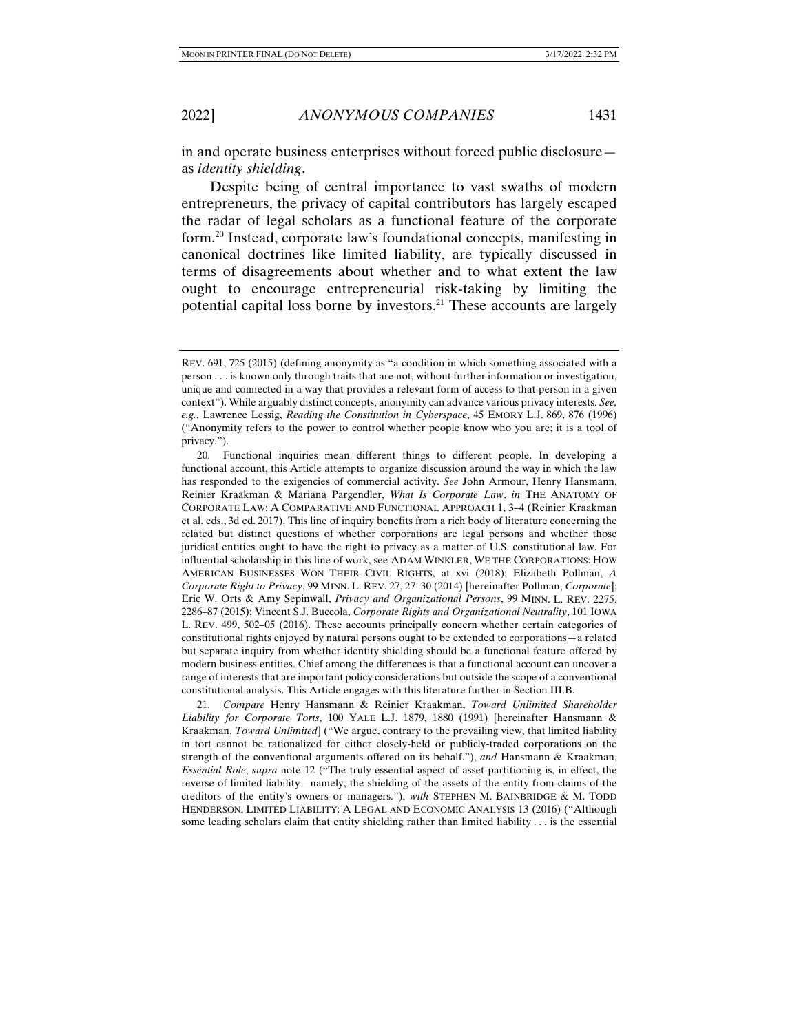in and operate business enterprises without forced public disclosure as *identity shielding*.

Despite being of central importance to vast swaths of modern entrepreneurs, the privacy of capital contributors has largely escaped the radar of legal scholars as a functional feature of the corporate form.20 Instead, corporate law's foundational concepts, manifesting in canonical doctrines like limited liability, are typically discussed in terms of disagreements about whether and to what extent the law ought to encourage entrepreneurial risk-taking by limiting the potential capital loss borne by investors.21 These accounts are largely

REV. 691, 725 (2015) (defining anonymity as "a condition in which something associated with a person . . . is known only through traits that are not, without further information or investigation, unique and connected in a way that provides a relevant form of access to that person in a given context"). While arguably distinct concepts, anonymity can advance various privacy interests. *See, e.g.*, Lawrence Lessig, *Reading the Constitution in Cyberspace*, 45 EMORY L.J. 869, 876 (1996) ("Anonymity refers to the power to control whether people know who you are; it is a tool of privacy.").

 <sup>20.</sup> Functional inquiries mean different things to different people. In developing a functional account, this Article attempts to organize discussion around the way in which the law has responded to the exigencies of commercial activity. *See* John Armour, Henry Hansmann, Reinier Kraakman & Mariana Pargendler, *What Is Corporate Law*, *in* THE ANATOMY OF CORPORATE LAW: A COMPARATIVE AND FUNCTIONAL APPROACH 1, 3–4 (Reinier Kraakman et al. eds., 3d ed. 2017). This line of inquiry benefits from a rich body of literature concerning the related but distinct questions of whether corporations are legal persons and whether those juridical entities ought to have the right to privacy as a matter of U.S. constitutional law. For influential scholarship in this line of work, see ADAM WINKLER, WE THE CORPORATIONS: HOW AMERICAN BUSINESSES WON THEIR CIVIL RIGHTS, at xvi (2018); Elizabeth Pollman, *A Corporate Right to Privacy*, 99 MINN. L. REV. 27, 27–30 (2014) [hereinafter Pollman, *Corporate*]; Eric W. Orts & Amy Sepinwall, *Privacy and Organizational Persons*, 99 MINN. L. REV. 2275, 2286–87 (2015); Vincent S.J. Buccola, *Corporate Rights and Organizational Neutrality*, 101 IOWA L. REV. 499, 502–05 (2016). These accounts principally concern whether certain categories of constitutional rights enjoyed by natural persons ought to be extended to corporations—a related but separate inquiry from whether identity shielding should be a functional feature offered by modern business entities. Chief among the differences is that a functional account can uncover a range of interests that are important policy considerations but outside the scope of a conventional constitutional analysis. This Article engages with this literature further in Section III.B.

 <sup>21.</sup> *Compare* Henry Hansmann & Reinier Kraakman, *Toward Unlimited Shareholder Liability for Corporate Torts*, 100 YALE L.J. 1879, 1880 (1991) [hereinafter Hansmann & Kraakman, *Toward Unlimited*] ("We argue, contrary to the prevailing view, that limited liability in tort cannot be rationalized for either closely-held or publicly-traded corporations on the strength of the conventional arguments offered on its behalf."), *and* Hansmann & Kraakman, *Essential Role*, *supra* note 12 ("The truly essential aspect of asset partitioning is, in effect, the reverse of limited liability—namely, the shielding of the assets of the entity from claims of the creditors of the entity's owners or managers."), *with* STEPHEN M. BAINBRIDGE & M. TODD HENDERSON, LIMITED LIABILITY: A LEGAL AND ECONOMIC ANALYSIS 13 (2016) ("Although some leading scholars claim that entity shielding rather than limited liability . . . is the essential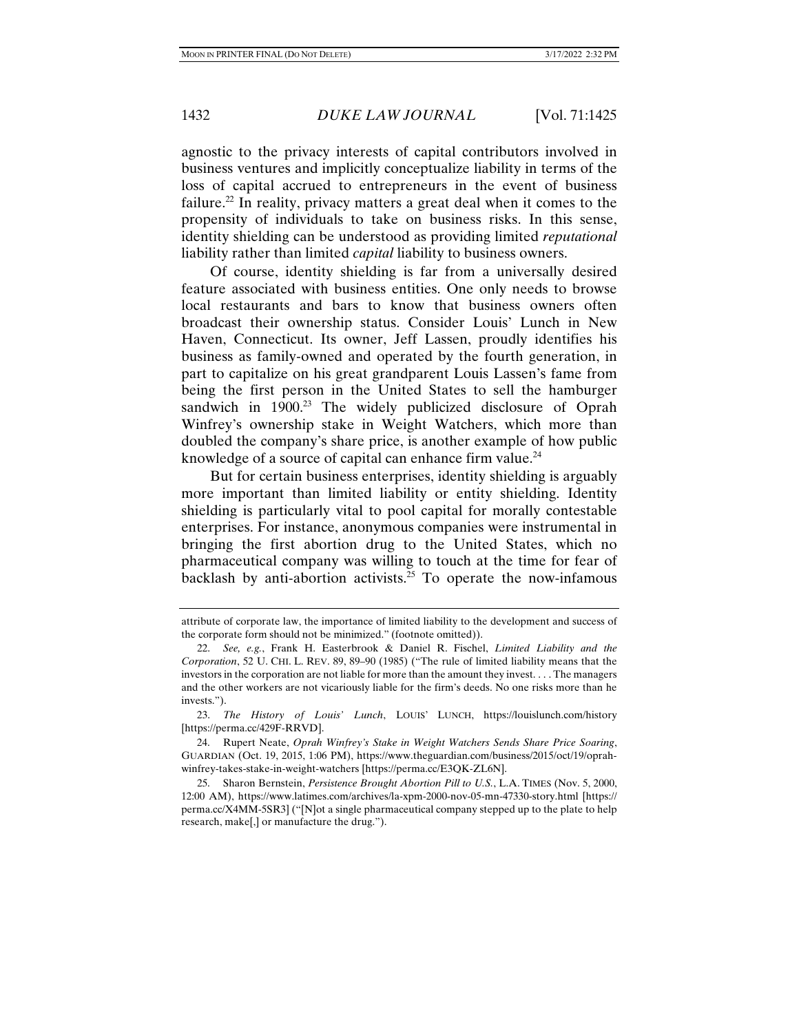agnostic to the privacy interests of capital contributors involved in business ventures and implicitly conceptualize liability in terms of the loss of capital accrued to entrepreneurs in the event of business failure.<sup>22</sup> In reality, privacy matters a great deal when it comes to the propensity of individuals to take on business risks. In this sense, identity shielding can be understood as providing limited *reputational* liability rather than limited *capital* liability to business owners.

Of course, identity shielding is far from a universally desired feature associated with business entities. One only needs to browse local restaurants and bars to know that business owners often broadcast their ownership status. Consider Louis' Lunch in New Haven, Connecticut. Its owner, Jeff Lassen, proudly identifies his business as family-owned and operated by the fourth generation, in part to capitalize on his great grandparent Louis Lassen's fame from being the first person in the United States to sell the hamburger sandwich in  $1900<sup>23</sup>$  The widely publicized disclosure of Oprah Winfrey's ownership stake in Weight Watchers, which more than doubled the company's share price, is another example of how public knowledge of a source of capital can enhance firm value.<sup>24</sup>

But for certain business enterprises, identity shielding is arguably more important than limited liability or entity shielding. Identity shielding is particularly vital to pool capital for morally contestable enterprises. For instance, anonymous companies were instrumental in bringing the first abortion drug to the United States, which no pharmaceutical company was willing to touch at the time for fear of backlash by anti-abortion activists.<sup>25</sup> To operate the now-infamous

attribute of corporate law, the importance of limited liability to the development and success of the corporate form should not be minimized." (footnote omitted)).

 <sup>22.</sup> *See, e.g.*, Frank H. Easterbrook & Daniel R. Fischel, *Limited Liability and the Corporation*, 52 U. CHI. L. REV. 89, 89–90 (1985) ("The rule of limited liability means that the investors in the corporation are not liable for more than the amount they invest. . . . The managers and the other workers are not vicariously liable for the firm's deeds. No one risks more than he invests.").

 <sup>23.</sup> *The History of Louis' Lunch*, LOUIS' LUNCH, https://louislunch.com/history [https://perma.cc/429F-RRVD].

 <sup>24.</sup> Rupert Neate, *Oprah Winfrey's Stake in Weight Watchers Sends Share Price Soaring*, GUARDIAN (Oct. 19, 2015, 1:06 PM), https://www.theguardian.com/business/2015/oct/19/oprahwinfrey-takes-stake-in-weight-watchers [https://perma.cc/E3QK-ZL6N].

 <sup>25.</sup> Sharon Bernstein, *Persistence Brought Abortion Pill to U.S.*, L.A. TIMES (Nov. 5, 2000, 12:00 AM), https://www.latimes.com/archives/la-xpm-2000-nov-05-mn-47330-story.html [https:// perma.cc/X4MM-5SR3] ("[N]ot a single pharmaceutical company stepped up to the plate to help research, make[,] or manufacture the drug.").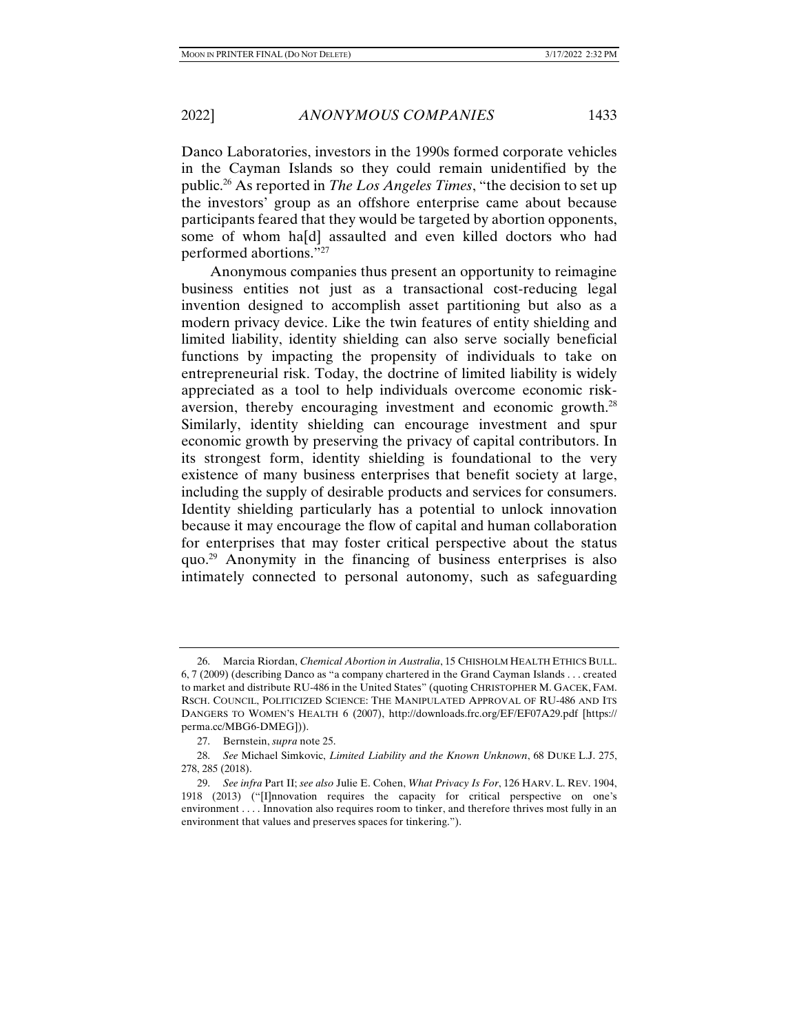Danco Laboratories, investors in the 1990s formed corporate vehicles in the Cayman Islands so they could remain unidentified by the public.26 As reported in *The Los Angeles Times*, "the decision to set up the investors' group as an offshore enterprise came about because participants feared that they would be targeted by abortion opponents, some of whom ha[d] assaulted and even killed doctors who had performed abortions."27

Anonymous companies thus present an opportunity to reimagine business entities not just as a transactional cost-reducing legal invention designed to accomplish asset partitioning but also as a modern privacy device. Like the twin features of entity shielding and limited liability, identity shielding can also serve socially beneficial functions by impacting the propensity of individuals to take on entrepreneurial risk. Today, the doctrine of limited liability is widely appreciated as a tool to help individuals overcome economic riskaversion, thereby encouraging investment and economic growth.28 Similarly, identity shielding can encourage investment and spur economic growth by preserving the privacy of capital contributors. In its strongest form, identity shielding is foundational to the very existence of many business enterprises that benefit society at large, including the supply of desirable products and services for consumers. Identity shielding particularly has a potential to unlock innovation because it may encourage the flow of capital and human collaboration for enterprises that may foster critical perspective about the status quo.29 Anonymity in the financing of business enterprises is also intimately connected to personal autonomy, such as safeguarding

 <sup>26.</sup> Marcia Riordan, *Chemical Abortion in Australia*, 15 CHISHOLM HEALTH ETHICS BULL. 6, 7 (2009) (describing Danco as "a company chartered in the Grand Cayman Islands . . . created to market and distribute RU-486 in the United States" (quoting CHRISTOPHER M. GACEK, FAM. RSCH. COUNCIL, POLITICIZED SCIENCE: THE MANIPULATED APPROVAL OF RU-486 AND ITS DANGERS TO WOMEN'S HEALTH 6 (2007), http://downloads.frc.org/EF/EF07A29.pdf [https:// perma.cc/MBG6-DMEG])).

 <sup>27.</sup> Bernstein, *supra* note 25.

 <sup>28.</sup> *See* Michael Simkovic, *Limited Liability and the Known Unknown*, 68 DUKE L.J. 275, 278, 285 (2018).

 <sup>29.</sup> *See infra* Part II; *see also* Julie E. Cohen, *What Privacy Is For*, 126 HARV. L. REV. 1904, 1918 (2013) ("[I]nnovation requires the capacity for critical perspective on one's environment . . . . Innovation also requires room to tinker, and therefore thrives most fully in an environment that values and preserves spaces for tinkering.").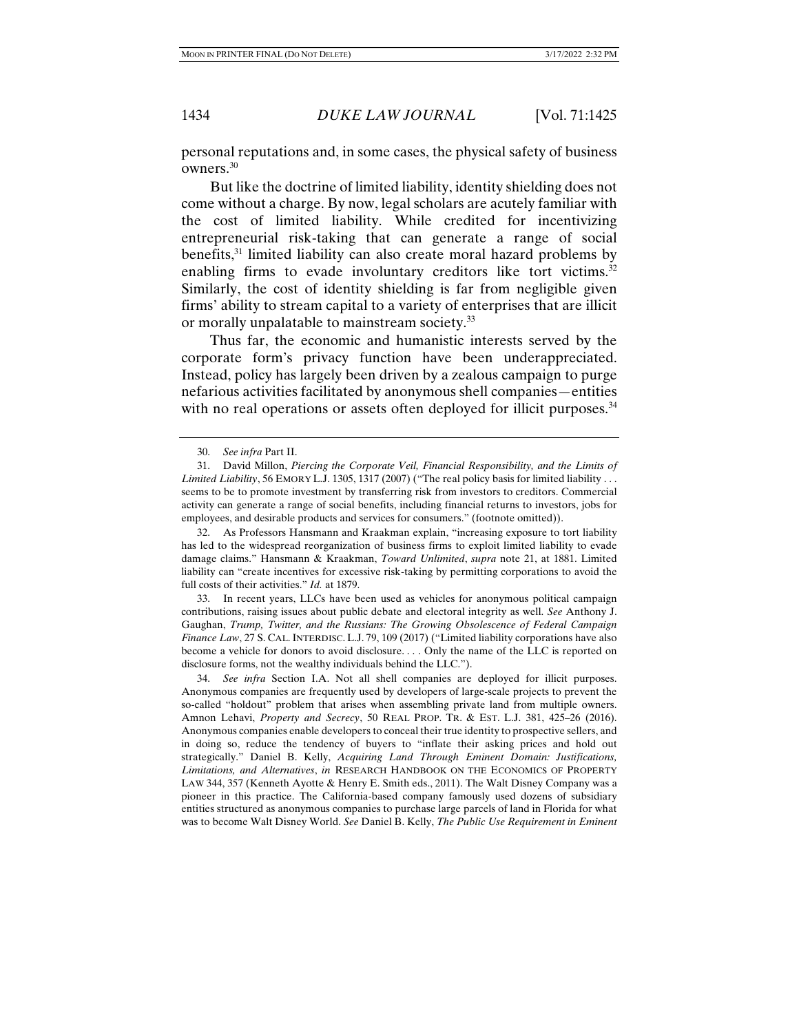personal reputations and, in some cases, the physical safety of business owners.30

But like the doctrine of limited liability, identity shielding does not come without a charge. By now, legal scholars are acutely familiar with the cost of limited liability. While credited for incentivizing entrepreneurial risk-taking that can generate a range of social benefits,<sup>31</sup> limited liability can also create moral hazard problems by enabling firms to evade involuntary creditors like tort victims.<sup>32</sup> Similarly, the cost of identity shielding is far from negligible given firms' ability to stream capital to a variety of enterprises that are illicit or morally unpalatable to mainstream society.<sup>33</sup>

Thus far, the economic and humanistic interests served by the corporate form's privacy function have been underappreciated. Instead, policy has largely been driven by a zealous campaign to purge nefarious activities facilitated by anonymous shell companies—entities with no real operations or assets often deployed for illicit purposes.<sup>34</sup>

 32. As Professors Hansmann and Kraakman explain, "increasing exposure to tort liability has led to the widespread reorganization of business firms to exploit limited liability to evade damage claims." Hansmann & Kraakman, *Toward Unlimited*, *supra* note 21, at 1881. Limited liability can "create incentives for excessive risk-taking by permitting corporations to avoid the full costs of their activities." *Id.* at 1879.

 33. In recent years, LLCs have been used as vehicles for anonymous political campaign contributions, raising issues about public debate and electoral integrity as well. *See* Anthony J. Gaughan, *Trump, Twitter, and the Russians: The Growing Obsolescence of Federal Campaign Finance Law*, 27 S. CAL. INTERDISC. L.J. 79, 109 (2017) ("Limited liability corporations have also become a vehicle for donors to avoid disclosure. . . . Only the name of the LLC is reported on disclosure forms, not the wealthy individuals behind the LLC.").

 34. *See infra* Section I.A. Not all shell companies are deployed for illicit purposes. Anonymous companies are frequently used by developers of large-scale projects to prevent the so-called "holdout" problem that arises when assembling private land from multiple owners. Amnon Lehavi, *Property and Secrecy*, 50 REAL PROP. TR. & EST. L.J. 381, 425–26 (2016). Anonymous companies enable developers to conceal their true identity to prospective sellers, and in doing so, reduce the tendency of buyers to "inflate their asking prices and hold out strategically." Daniel B. Kelly, *Acquiring Land Through Eminent Domain: Justifications, Limitations, and Alternatives*, *in* RESEARCH HANDBOOK ON THE ECONOMICS OF PROPERTY LAW 344, 357 (Kenneth Ayotte & Henry E. Smith eds., 2011). The Walt Disney Company was a pioneer in this practice. The California-based company famously used dozens of subsidiary entities structured as anonymous companies to purchase large parcels of land in Florida for what was to become Walt Disney World. *See* Daniel B. Kelly, *The Public Use Requirement in Eminent* 

 <sup>30.</sup> *See infra* Part II.

 <sup>31.</sup> David Millon, *Piercing the Corporate Veil, Financial Responsibility, and the Limits of Limited Liability*, 56 EMORY L.J. 1305, 1317 (2007) ("The real policy basis for limited liability . . . seems to be to promote investment by transferring risk from investors to creditors. Commercial activity can generate a range of social benefits, including financial returns to investors, jobs for employees, and desirable products and services for consumers." (footnote omitted)).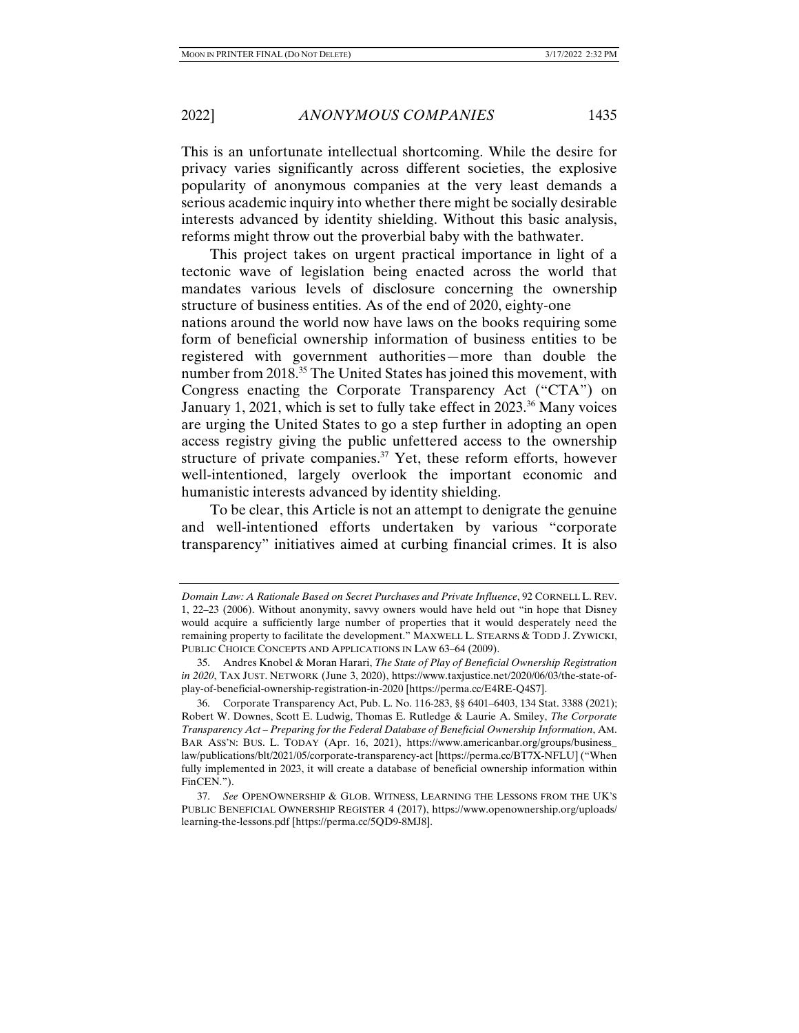This is an unfortunate intellectual shortcoming. While the desire for privacy varies significantly across different societies, the explosive popularity of anonymous companies at the very least demands a serious academic inquiry into whether there might be socially desirable interests advanced by identity shielding. Without this basic analysis, reforms might throw out the proverbial baby with the bathwater.

This project takes on urgent practical importance in light of a tectonic wave of legislation being enacted across the world that mandates various levels of disclosure concerning the ownership structure of business entities. As of the end of 2020, eighty-one nations around the world now have laws on the books requiring some form of beneficial ownership information of business entities to be registered with government authorities—more than double the number from 2018.35 The United States has joined this movement, with Congress enacting the Corporate Transparency Act ("CTA") on January 1, 2021, which is set to fully take effect in 2023.<sup>36</sup> Many voices are urging the United States to go a step further in adopting an open access registry giving the public unfettered access to the ownership structure of private companies.<sup>37</sup> Yet, these reform efforts, however well-intentioned, largely overlook the important economic and humanistic interests advanced by identity shielding.

To be clear, this Article is not an attempt to denigrate the genuine and well-intentioned efforts undertaken by various "corporate transparency" initiatives aimed at curbing financial crimes. It is also

*Domain Law: A Rationale Based on Secret Purchases and Private Influence*, 92 CORNELL L. REV. 1, 22–23 (2006). Without anonymity, savvy owners would have held out "in hope that Disney would acquire a sufficiently large number of properties that it would desperately need the remaining property to facilitate the development." MAXWELL L. STEARNS & TODD J. ZYWICKI, PUBLIC CHOICE CONCEPTS AND APPLICATIONS IN LAW 63–64 (2009).

 <sup>35.</sup> Andres Knobel & Moran Harari, *The State of Play of Beneficial Ownership Registration in 2020*, TAX JUST. NETWORK (June 3, 2020), https://www.taxjustice.net/2020/06/03/the-state-ofplay-of-beneficial-ownership-registration-in-2020 [https://perma.cc/E4RE-Q4S7].

 <sup>36.</sup> Corporate Transparency Act, Pub. L. No. 116-283, §§ 6401–6403, 134 Stat. 3388 (2021); Robert W. Downes, Scott E. Ludwig, Thomas E. Rutledge & Laurie A. Smiley, *The Corporate Transparency Act – Preparing for the Federal Database of Beneficial Ownership Information*, AM. BAR ASS'N: BUS. L. TODAY (Apr. 16, 2021), https://www.americanbar.org/groups/business\_ law/publications/blt/2021/05/corporate-transparency-act [https://perma.cc/BT7X-NFLU] ("When fully implemented in 2023, it will create a database of beneficial ownership information within FinCEN.").

 <sup>37.</sup> *See* OPENOWNERSHIP & GLOB. WITNESS, LEARNING THE LESSONS FROM THE UK'S PUBLIC BENEFICIAL OWNERSHIP REGISTER 4 (2017), https://www.openownership.org/uploads/ learning-the-lessons.pdf [https://perma.cc/5QD9-8MJ8].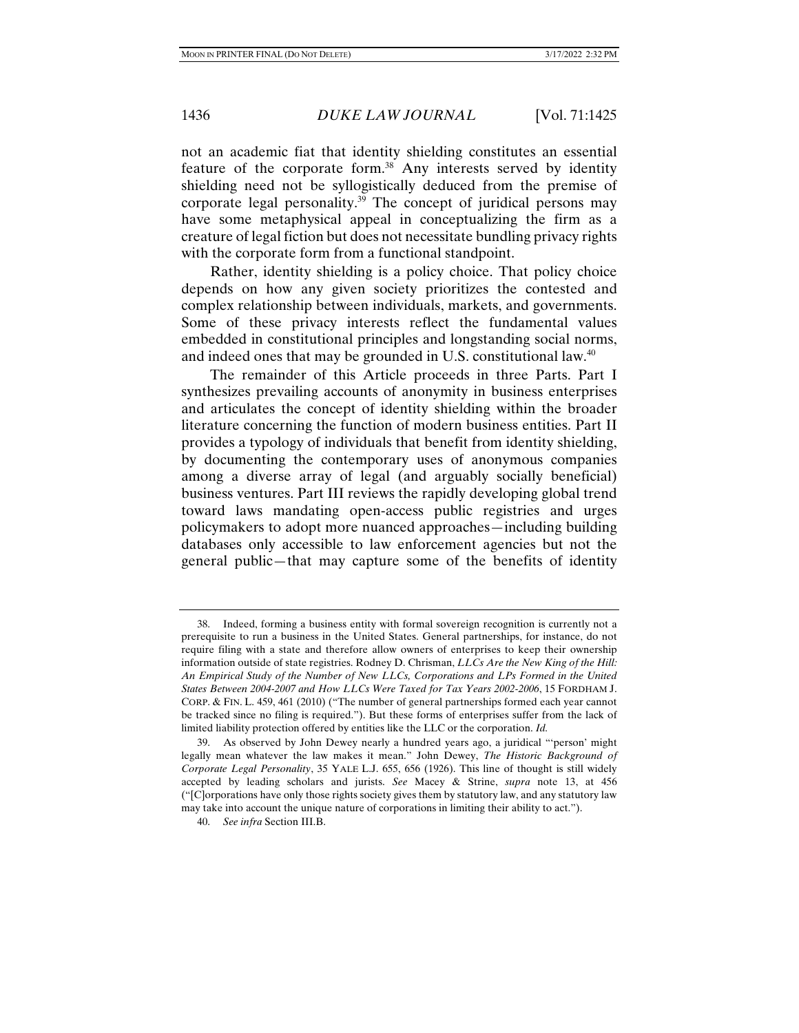not an academic fiat that identity shielding constitutes an essential feature of the corporate form.38 Any interests served by identity shielding need not be syllogistically deduced from the premise of corporate legal personality.<sup>39</sup> The concept of juridical persons may have some metaphysical appeal in conceptualizing the firm as a creature of legal fiction but does not necessitate bundling privacy rights with the corporate form from a functional standpoint.

Rather, identity shielding is a policy choice. That policy choice depends on how any given society prioritizes the contested and complex relationship between individuals, markets, and governments. Some of these privacy interests reflect the fundamental values embedded in constitutional principles and longstanding social norms, and indeed ones that may be grounded in U.S. constitutional law.<sup>40</sup>

The remainder of this Article proceeds in three Parts. Part I synthesizes prevailing accounts of anonymity in business enterprises and articulates the concept of identity shielding within the broader literature concerning the function of modern business entities. Part II provides a typology of individuals that benefit from identity shielding, by documenting the contemporary uses of anonymous companies among a diverse array of legal (and arguably socially beneficial) business ventures. Part III reviews the rapidly developing global trend toward laws mandating open-access public registries and urges policymakers to adopt more nuanced approaches—including building databases only accessible to law enforcement agencies but not the general public—that may capture some of the benefits of identity

 <sup>38.</sup> Indeed, forming a business entity with formal sovereign recognition is currently not a prerequisite to run a business in the United States. General partnerships, for instance, do not require filing with a state and therefore allow owners of enterprises to keep their ownership information outside of state registries. Rodney D. Chrisman, *LLCs Are the New King of the Hill: An Empirical Study of the Number of New LLCs, Corporations and LPs Formed in the United States Between 2004-2007 and How LLCs Were Taxed for Tax Years 2002-2006*, 15 FORDHAM J. CORP. & FIN. L. 459, 461 (2010) ("The number of general partnerships formed each year cannot be tracked since no filing is required."). But these forms of enterprises suffer from the lack of limited liability protection offered by entities like the LLC or the corporation. *Id.*

 <sup>39.</sup> As observed by John Dewey nearly a hundred years ago, a juridical "'person' might legally mean whatever the law makes it mean." John Dewey, *The Historic Background of Corporate Legal Personality*, 35 YALE L.J. 655, 656 (1926). This line of thought is still widely accepted by leading scholars and jurists. *See* Macey & Strine, *supra* note 13, at 456 ("[C]orporations have only those rights society gives them by statutory law, and any statutory law may take into account the unique nature of corporations in limiting their ability to act.").

 <sup>40.</sup> *See infra* Section III.B.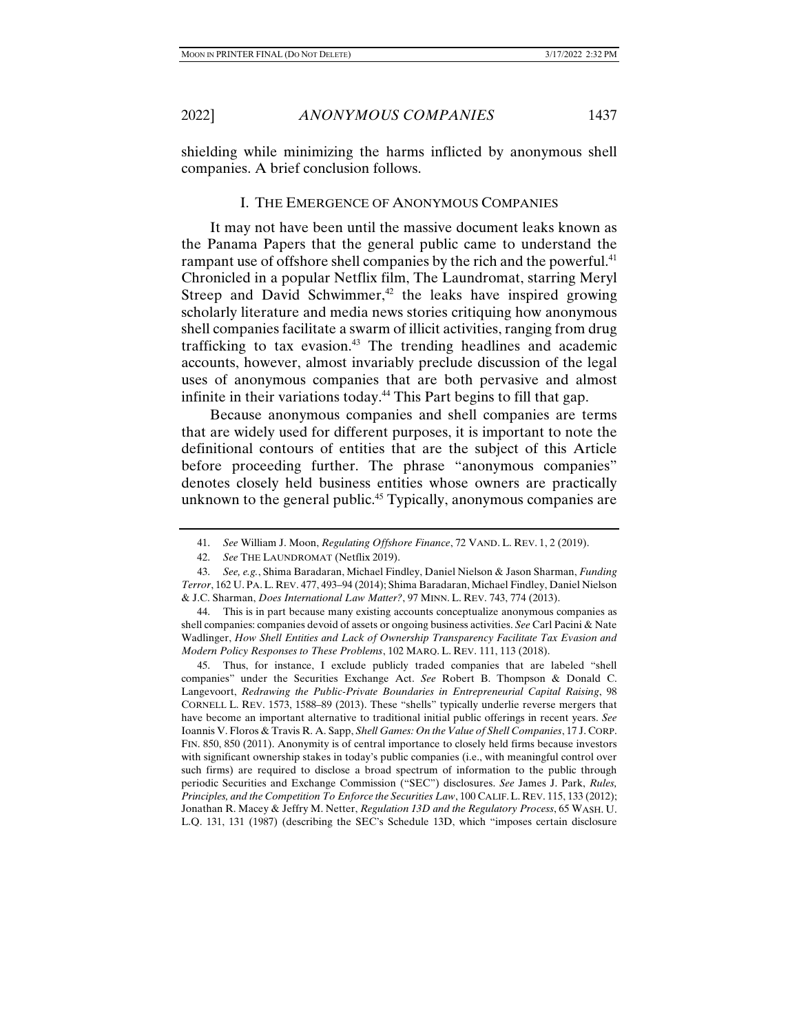shielding while minimizing the harms inflicted by anonymous shell companies. A brief conclusion follows.

#### I. THE EMERGENCE OF ANONYMOUS COMPANIES

It may not have been until the massive document leaks known as the Panama Papers that the general public came to understand the rampant use of offshore shell companies by the rich and the powerful.<sup>41</sup> Chronicled in a popular Netflix film, The Laundromat, starring Meryl Streep and David Schwimmer, $42$  the leaks have inspired growing scholarly literature and media news stories critiquing how anonymous shell companies facilitate a swarm of illicit activities, ranging from drug trafficking to tax evasion.43 The trending headlines and academic accounts, however, almost invariably preclude discussion of the legal uses of anonymous companies that are both pervasive and almost infinite in their variations today.44 This Part begins to fill that gap.

Because anonymous companies and shell companies are terms that are widely used for different purposes, it is important to note the definitional contours of entities that are the subject of this Article before proceeding further. The phrase "anonymous companies" denotes closely held business entities whose owners are practically unknown to the general public.<sup>45</sup> Typically, anonymous companies are

 45. Thus, for instance, I exclude publicly traded companies that are labeled "shell companies" under the Securities Exchange Act. *See* Robert B. Thompson & Donald C. Langevoort, *Redrawing the Public-Private Boundaries in Entrepreneurial Capital Raising*, 98 CORNELL L. REV. 1573, 1588–89 (2013). These "shells" typically underlie reverse mergers that have become an important alternative to traditional initial public offerings in recent years. *See*  Ioannis V. Floros & Travis R. A. Sapp, *Shell Games: On the Value of Shell Companies*, 17 J. CORP. FIN. 850, 850 (2011). Anonymity is of central importance to closely held firms because investors with significant ownership stakes in today's public companies (i.e., with meaningful control over such firms) are required to disclose a broad spectrum of information to the public through periodic Securities and Exchange Commission ("SEC") disclosures. *See* James J. Park, *Rules, Principles, and the Competition To Enforce the Securities Law*, 100 CALIF.L. REV. 115, 133 (2012); Jonathan R. Macey & Jeffry M. Netter, *Regulation 13D and the Regulatory Process*, 65 WASH. U. L.Q. 131, 131 (1987) (describing the SEC's Schedule 13D, which "imposes certain disclosure

 <sup>41.</sup> *See* William J. Moon, *Regulating Offshore Finance*, 72 VAND. L. REV. 1, 2 (2019).

 <sup>42.</sup> *See* THE LAUNDROMAT (Netflix 2019).

 <sup>43.</sup> *See, e.g.*, Shima Baradaran, Michael Findley, Daniel Nielson & Jason Sharman, *Funding Terror*, 162 U. PA.L. REV. 477, 493–94 (2014); Shima Baradaran, Michael Findley, Daniel Nielson & J.C. Sharman, *Does International Law Matter?*, 97 MINN. L. REV. 743, 774 (2013).

 <sup>44.</sup> This is in part because many existing accounts conceptualize anonymous companies as shell companies: companies devoid of assets or ongoing business activities. *See* Carl Pacini & Nate Wadlinger, *How Shell Entities and Lack of Ownership Transparency Facilitate Tax Evasion and Modern Policy Responses to These Problems*, 102 MARQ. L. REV. 111, 113 (2018).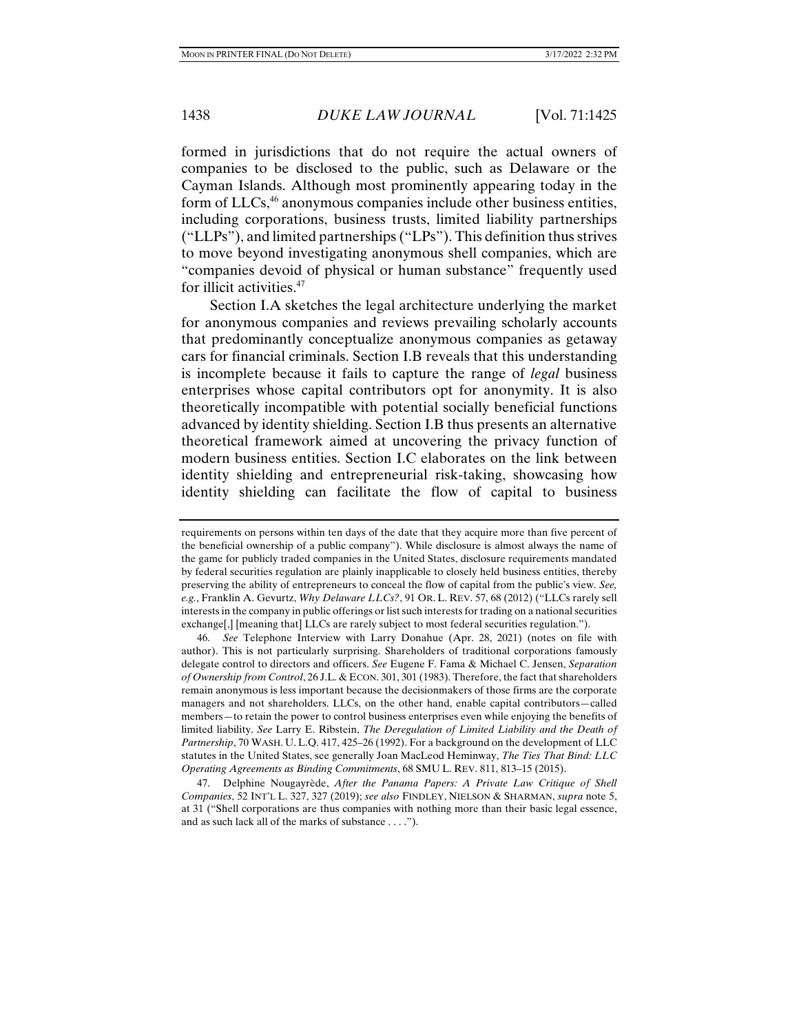formed in jurisdictions that do not require the actual owners of companies to be disclosed to the public, such as Delaware or the Cayman Islands. Although most prominently appearing today in the form of LLCs,<sup>46</sup> anonymous companies include other business entities, including corporations, business trusts, limited liability partnerships ("LLPs"), and limited partnerships ("LPs"). This definition thus strives to move beyond investigating anonymous shell companies, which are "companies devoid of physical or human substance" frequently used for illicit activities.47

Section I.A sketches the legal architecture underlying the market for anonymous companies and reviews prevailing scholarly accounts that predominantly conceptualize anonymous companies as getaway cars for financial criminals. Section I.B reveals that this understanding is incomplete because it fails to capture the range of *legal* business enterprises whose capital contributors opt for anonymity. It is also theoretically incompatible with potential socially beneficial functions advanced by identity shielding. Section I.B thus presents an alternative theoretical framework aimed at uncovering the privacy function of modern business entities. Section I.C elaborates on the link between identity shielding and entrepreneurial risk-taking, showcasing how identity shielding can facilitate the flow of capital to business

 46. *See* Telephone Interview with Larry Donahue (Apr. 28, 2021) (notes on file with author). This is not particularly surprising. Shareholders of traditional corporations famously delegate control to directors and officers. *See* Eugene F. Fama & Michael C. Jensen, *Separation of Ownership from Control*, 26 J.L. & ECON. 301, 301 (1983). Therefore, the fact that shareholders remain anonymous is less important because the decisionmakers of those firms are the corporate managers and not shareholders. LLCs, on the other hand, enable capital contributors—called members—to retain the power to control business enterprises even while enjoying the benefits of limited liability. *See* Larry E. Ribstein, *The Deregulation of Limited Liability and the Death of Partnership*, 70 WASH. U. L.Q. 417, 425–26 (1992). For a background on the development of LLC statutes in the United States, see generally Joan MacLeod Heminway, *The Ties That Bind: LLC Operating Agreements as Binding Commitments*, 68 SMU L. REV. 811, 813–15 (2015).

 47. Delphine Nougayrède, *After the Panama Papers: A Private Law Critique of Shell Companies*, 52 INT'L L. 327, 327 (2019); *see also* FINDLEY, NIELSON & SHARMAN, *supra* note 5, at 31 ("Shell corporations are thus companies with nothing more than their basic legal essence, and as such lack all of the marks of substance . . . .").

requirements on persons within ten days of the date that they acquire more than five percent of the beneficial ownership of a public company"). While disclosure is almost always the name of the game for publicly traded companies in the United States, disclosure requirements mandated by federal securities regulation are plainly inapplicable to closely held business entities, thereby preserving the ability of entrepreneurs to conceal the flow of capital from the public's view. *See, e.g.*, Franklin A. Gevurtz, *Why Delaware LLCs?*, 91 OR. L. REV. 57, 68 (2012) ("LLCs rarely sell interests in the company in public offerings or list such interests for trading on a national securities exchange[,] [meaning that] LLCs are rarely subject to most federal securities regulation.").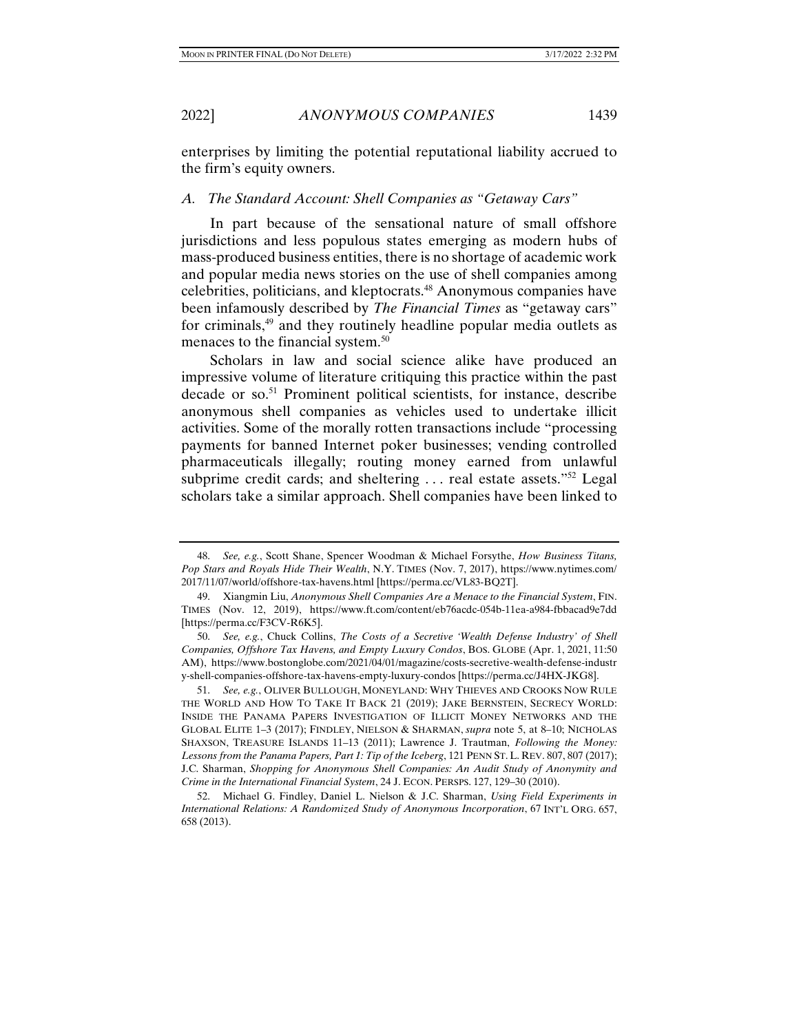enterprises by limiting the potential reputational liability accrued to the firm's equity owners.

#### *A. The Standard Account: Shell Companies as "Getaway Cars"*

In part because of the sensational nature of small offshore jurisdictions and less populous states emerging as modern hubs of mass-produced business entities, there is no shortage of academic work and popular media news stories on the use of shell companies among celebrities, politicians, and kleptocrats.48 Anonymous companies have been infamously described by *The Financial Times* as "getaway cars" for criminals,49 and they routinely headline popular media outlets as menaces to the financial system.<sup>50</sup>

Scholars in law and social science alike have produced an impressive volume of literature critiquing this practice within the past decade or so.<sup>51</sup> Prominent political scientists, for instance, describe anonymous shell companies as vehicles used to undertake illicit activities. Some of the morally rotten transactions include "processing payments for banned Internet poker businesses; vending controlled pharmaceuticals illegally; routing money earned from unlawful subprime credit cards; and sheltering ... real estate assets."<sup>52</sup> Legal scholars take a similar approach. Shell companies have been linked to

 <sup>48.</sup> *See, e.g.*, Scott Shane, Spencer Woodman & Michael Forsythe, *How Business Titans, Pop Stars and Royals Hide Their Wealth*, N.Y. TIMES (Nov. 7, 2017), https://www.nytimes.com/ 2017/11/07/world/offshore-tax-havens.html [https://perma.cc/VL83-BQ2T].

 <sup>49.</sup> Xiangmin Liu, *Anonymous Shell Companies Are a Menace to the Financial System*, FIN. TIMES (Nov. 12, 2019), https://www.ft.com/content/eb76acdc-054b-11ea-a984-fbbacad9e7dd [https://perma.cc/F3CV-R6K5].

 <sup>50.</sup> *See, e.g.*, Chuck Collins, *The Costs of a Secretive 'Wealth Defense Industry' of Shell Companies, Offshore Tax Havens, and Empty Luxury Condos*, BOS. GLOBE (Apr. 1, 2021, 11:50 AM), https://www.bostonglobe.com/2021/04/01/magazine/costs-secretive-wealth-defense-industr y-shell-companies-offshore-tax-havens-empty-luxury-condos [https://perma.cc/J4HX-JKG8].

 <sup>51.</sup> *See, e.g.*, OLIVER BULLOUGH, MONEYLAND: WHY THIEVES AND CROOKS NOW RULE THE WORLD AND HOW TO TAKE IT BACK 21 (2019); JAKE BERNSTEIN, SECRECY WORLD: INSIDE THE PANAMA PAPERS INVESTIGATION OF ILLICIT MONEY NETWORKS AND THE GLOBAL ELITE 1–3 (2017); FINDLEY, NIELSON & SHARMAN, *supra* note 5, at 8–10; NICHOLAS SHAXSON, TREASURE ISLANDS 11–13 (2011); Lawrence J. Trautman, *Following the Money: Lessons from the Panama Papers, Part 1: Tip of the Iceberg*, 121 PENN ST. L. REV. 807, 807 (2017); J.C. Sharman, *Shopping for Anonymous Shell Companies: An Audit Study of Anonymity and Crime in the International Financial System*, 24 J. ECON. PERSPS. 127, 129–30 (2010).

 <sup>52.</sup> Michael G. Findley, Daniel L. Nielson & J.C. Sharman, *Using Field Experiments in International Relations: A Randomized Study of Anonymous Incorporation*, 67 INT'L ORG. 657, 658 (2013).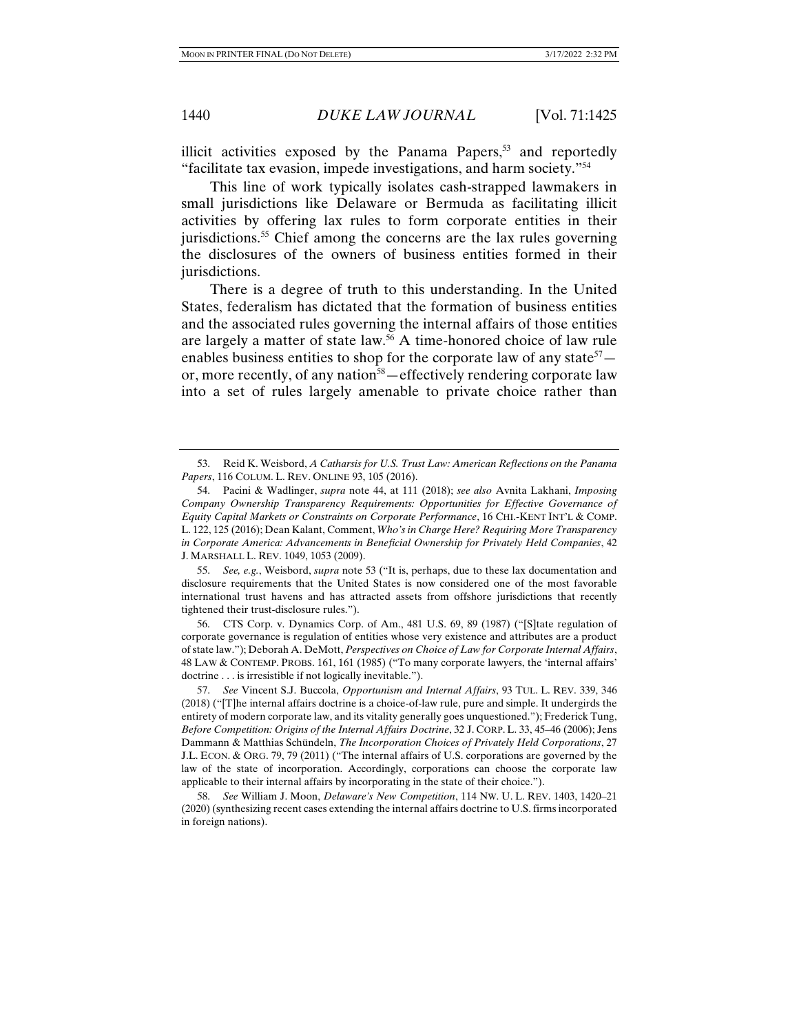illicit activities exposed by the Panama Papers, $53$  and reportedly "facilitate tax evasion, impede investigations, and harm society."54

This line of work typically isolates cash-strapped lawmakers in small jurisdictions like Delaware or Bermuda as facilitating illicit activities by offering lax rules to form corporate entities in their jurisdictions.<sup>55</sup> Chief among the concerns are the lax rules governing the disclosures of the owners of business entities formed in their jurisdictions.

There is a degree of truth to this understanding. In the United States, federalism has dictated that the formation of business entities and the associated rules governing the internal affairs of those entities are largely a matter of state law.56 A time-honored choice of law rule enables business entities to shop for the corporate law of any state<sup>57</sup> $$ or, more recently, of any nation<sup>58</sup>—effectively rendering corporate law into a set of rules largely amenable to private choice rather than

 55. *See, e.g.*, Weisbord, *supra* note 53 ("It is, perhaps, due to these lax documentation and disclosure requirements that the United States is now considered one of the most favorable international trust havens and has attracted assets from offshore jurisdictions that recently tightened their trust-disclosure rules.").

 56. CTS Corp. v. Dynamics Corp. of Am., 481 U.S. 69, 89 (1987) ("[S]tate regulation of corporate governance is regulation of entities whose very existence and attributes are a product of state law."); Deborah A. DeMott, *Perspectives on Choice of Law for Corporate Internal Affairs*, 48 LAW & CONTEMP. PROBS. 161, 161 (1985) ("To many corporate lawyers, the 'internal affairs' doctrine . . . is irresistible if not logically inevitable.").

 57. *See* Vincent S.J. Buccola, *Opportunism and Internal Affairs*, 93 TUL. L. REV. 339, 346 (2018) ("[T]he internal affairs doctrine is a choice-of-law rule, pure and simple. It undergirds the entirety of modern corporate law, and its vitality generally goes unquestioned."); Frederick Tung, *Before Competition: Origins of the Internal Affairs Doctrine*, 32 J. CORP. L. 33, 45–46 (2006); Jens Dammann & Matthias Schündeln, *The Incorporation Choices of Privately Held Corporations*, 27 J.L. ECON. & ORG. 79, 79 (2011) ("The internal affairs of U.S. corporations are governed by the law of the state of incorporation. Accordingly, corporations can choose the corporate law applicable to their internal affairs by incorporating in the state of their choice.").

 58. *See* William J. Moon, *Delaware's New Competition*, 114 NW. U. L. REV. 1403, 1420–21 (2020) (synthesizing recent cases extending the internal affairs doctrine to U.S. firms incorporated in foreign nations).

 <sup>53.</sup> Reid K. Weisbord, *A Catharsis for U.S. Trust Law: American Reflections on the Panama Papers*, 116 COLUM. L. REV. ONLINE 93, 105 (2016).

 <sup>54.</sup> Pacini & Wadlinger, *supra* note 44, at 111 (2018); *see also* Avnita Lakhani, *Imposing Company Ownership Transparency Requirements: Opportunities for Effective Governance of Equity Capital Markets or Constraints on Corporate Performance*, 16 CHI.-KENT INT'L & COMP. L. 122, 125 (2016); Dean Kalant, Comment, *Who's in Charge Here? Requiring More Transparency in Corporate America: Advancements in Beneficial Ownership for Privately Held Companies*, 42 J. MARSHALL L. REV. 1049, 1053 (2009).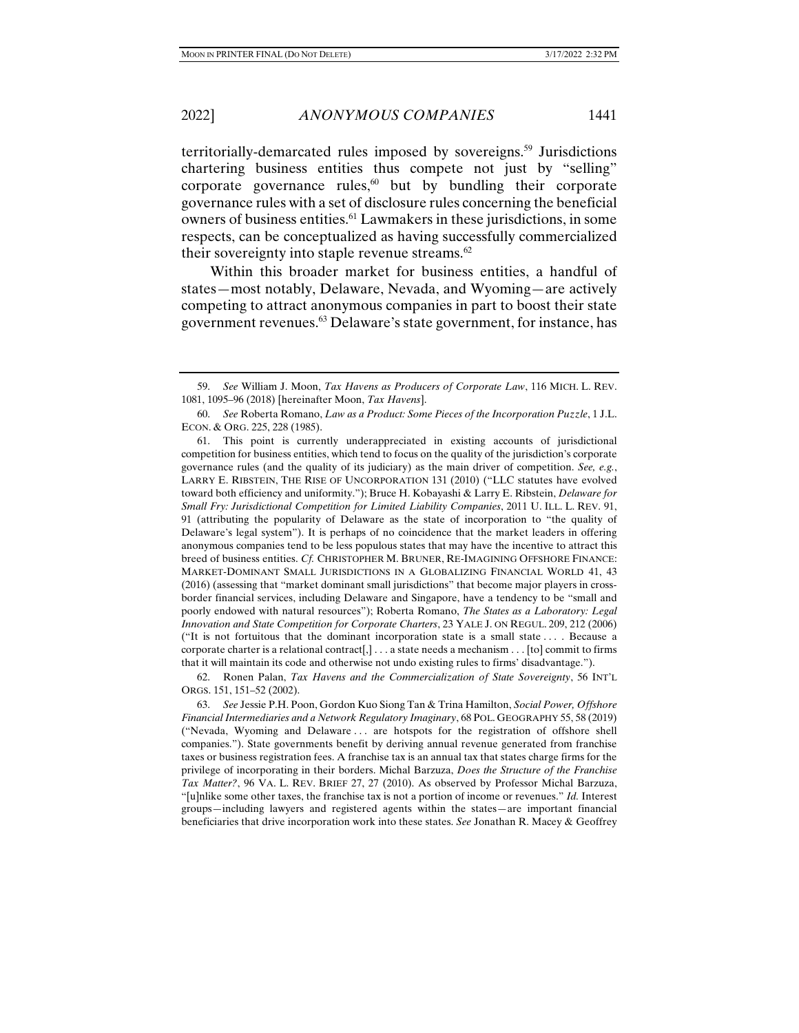territorially-demarcated rules imposed by sovereigns.<sup>59</sup> Jurisdictions chartering business entities thus compete not just by "selling" corporate governance rules, $60$  but by bundling their corporate governance rules with a set of disclosure rules concerning the beneficial owners of business entities.<sup>61</sup> Lawmakers in these jurisdictions, in some respects, can be conceptualized as having successfully commercialized their sovereignty into staple revenue streams. $62$ 

Within this broader market for business entities, a handful of states—most notably, Delaware, Nevada, and Wyoming—are actively competing to attract anonymous companies in part to boost their state government revenues.63 Delaware's state government, for instance, has

 61. This point is currently underappreciated in existing accounts of jurisdictional competition for business entities, which tend to focus on the quality of the jurisdiction's corporate governance rules (and the quality of its judiciary) as the main driver of competition. *See, e.g.*, LARRY E. RIBSTEIN, THE RISE OF UNCORPORATION 131 (2010) ("LLC statutes have evolved toward both efficiency and uniformity."); Bruce H. Kobayashi & Larry E. Ribstein, *Delaware for Small Fry: Jurisdictional Competition for Limited Liability Companies*, 2011 U. ILL. L. REV. 91, 91 (attributing the popularity of Delaware as the state of incorporation to "the quality of Delaware's legal system"). It is perhaps of no coincidence that the market leaders in offering anonymous companies tend to be less populous states that may have the incentive to attract this breed of business entities. *Cf.* CHRISTOPHER M. BRUNER, RE-IMAGINING OFFSHORE FINANCE: MARKET-DOMINANT SMALL JURISDICTIONS IN A GLOBALIZING FINANCIAL WORLD 41, 43 (2016) (assessing that "market dominant small jurisdictions" that become major players in crossborder financial services, including Delaware and Singapore, have a tendency to be "small and poorly endowed with natural resources"); Roberta Romano, *The States as a Laboratory: Legal Innovation and State Competition for Corporate Charters*, 23 YALE J. ON REGUL. 209, 212 (2006) ("It is not fortuitous that the dominant incorporation state is a small state . . . . Because a corporate charter is a relational contract[,]  $\dots$  a state needs a mechanism  $\dots$  [to] commit to firms that it will maintain its code and otherwise not undo existing rules to firms' disadvantage.").

 62. Ronen Palan, *Tax Havens and the Commercialization of State Sovereignty*, 56 INT'L ORGS. 151, 151–52 (2002).

 63. *See* Jessie P.H. Poon, Gordon Kuo Siong Tan & Trina Hamilton, *Social Power, Offshore Financial Intermediaries and a Network Regulatory Imaginary*, 68 POL. GEOGRAPHY 55, 58 (2019) ("Nevada, Wyoming and Delaware . . . are hotspots for the registration of offshore shell companies."). State governments benefit by deriving annual revenue generated from franchise taxes or business registration fees. A franchise tax is an annual tax that states charge firms for the privilege of incorporating in their borders. Michal Barzuza, *Does the Structure of the Franchise Tax Matter?*, 96 VA. L. REV. BRIEF 27, 27 (2010). As observed by Professor Michal Barzuza, "[u]nlike some other taxes, the franchise tax is not a portion of income or revenues." *Id.* Interest groups—including lawyers and registered agents within the states—are important financial beneficiaries that drive incorporation work into these states. *See* Jonathan R. Macey & Geoffrey

 <sup>59.</sup> *See* William J. Moon, *Tax Havens as Producers of Corporate Law*, 116 MICH. L. REV. 1081, 1095–96 (2018) [hereinafter Moon, *Tax Havens*].

 <sup>60.</sup> *See* Roberta Romano, *Law as a Product: Some Pieces of the Incorporation Puzzle*, 1 J.L. ECON. & ORG. 225, 228 (1985).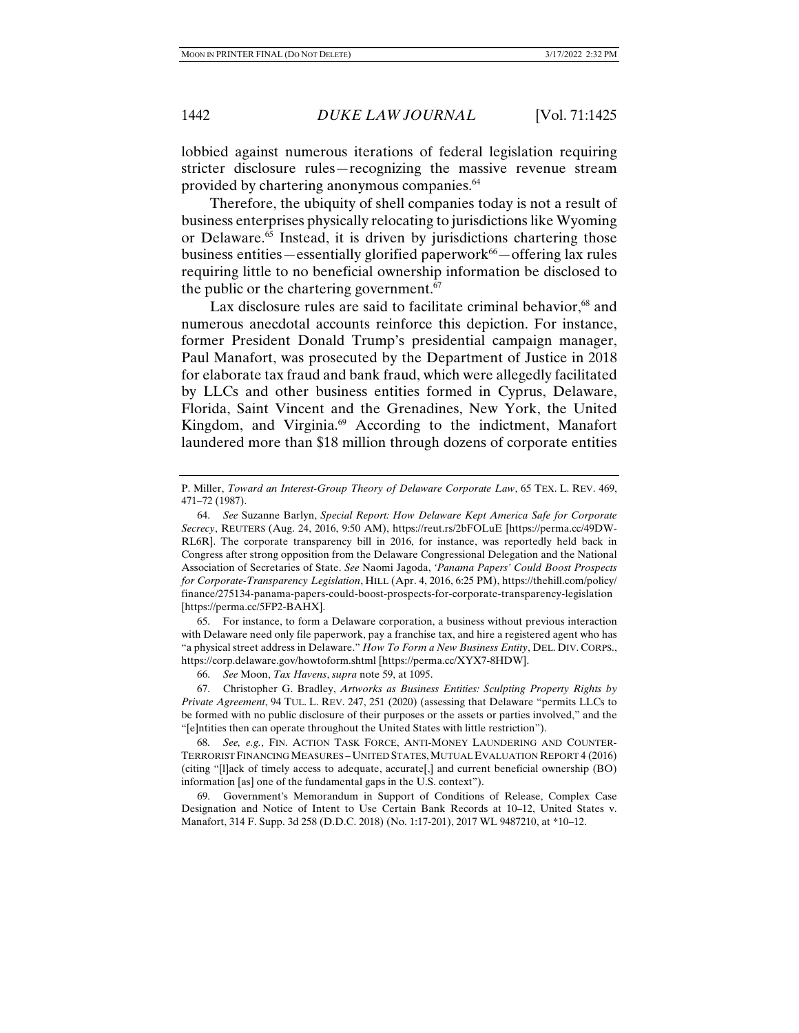lobbied against numerous iterations of federal legislation requiring stricter disclosure rules—recognizing the massive revenue stream provided by chartering anonymous companies.64

Therefore, the ubiquity of shell companies today is not a result of business enterprises physically relocating to jurisdictions like Wyoming or Delaware.65 Instead, it is driven by jurisdictions chartering those business entities—essentially glorified paperwork $66$ —offering lax rules requiring little to no beneficial ownership information be disclosed to the public or the chartering government.<sup>67</sup>

Lax disclosure rules are said to facilitate criminal behavior,<sup>68</sup> and numerous anecdotal accounts reinforce this depiction. For instance, former President Donald Trump's presidential campaign manager, Paul Manafort, was prosecuted by the Department of Justice in 2018 for elaborate tax fraud and bank fraud, which were allegedly facilitated by LLCs and other business entities formed in Cyprus, Delaware, Florida, Saint Vincent and the Grenadines, New York, the United Kingdom, and Virginia.<sup>69</sup> According to the indictment, Manafort laundered more than \$18 million through dozens of corporate entities

 65. For instance, to form a Delaware corporation, a business without previous interaction with Delaware need only file paperwork, pay a franchise tax, and hire a registered agent who has "a physical street address in Delaware." *How To Form a New Business Entity*, DEL. DIV. CORPS., https://corp.delaware.gov/howtoform.shtml [https://perma.cc/XYX7-8HDW].

P. Miller, *Toward an Interest-Group Theory of Delaware Corporate Law*, 65 TEX. L. REV. 469, 471–72 (1987).

 <sup>64.</sup> *See* Suzanne Barlyn, *Special Report: How Delaware Kept America Safe for Corporate Secrecy*, REUTERS (Aug. 24, 2016, 9:50 AM), https://reut.rs/2bFOLuE [https://perma.cc/49DW-RL6R]. The corporate transparency bill in 2016, for instance, was reportedly held back in Congress after strong opposition from the Delaware Congressional Delegation and the National Association of Secretaries of State. *See* Naomi Jagoda, *'Panama Papers' Could Boost Prospects for Corporate-Transparency Legislation*, HILL (Apr. 4, 2016, 6:25 PM), https://thehill.com/policy/ finance/275134-panama-papers-could-boost-prospects-for-corporate-transparency-legislation [https://perma.cc/5FP2-BAHX].

 <sup>66.</sup> *See* Moon, *Tax Havens*, *supra* note 59, at 1095.

 <sup>67.</sup> Christopher G. Bradley, *Artworks as Business Entities: Sculpting Property Rights by Private Agreement*, 94 TUL. L. REV. 247, 251 (2020) (assessing that Delaware "permits LLCs to be formed with no public disclosure of their purposes or the assets or parties involved," and the "[e]ntities then can operate throughout the United States with little restriction").

<sup>68.</sup> *See, e.g.*, FIN. ACTION TASK FORCE, ANTI-MONEY LAUNDERING AND COUNTER-TERRORIST FINANCING MEASURES – UNITED STATES,MUTUAL EVALUATION REPORT 4 (2016) (citing "[l]ack of timely access to adequate, accurate[,] and current beneficial ownership (BO) information [as] one of the fundamental gaps in the U.S. context").

 <sup>69.</sup> Government's Memorandum in Support of Conditions of Release, Complex Case Designation and Notice of Intent to Use Certain Bank Records at 10–12, United States v. Manafort, 314 F. Supp. 3d 258 (D.D.C. 2018) (No. 1:17-201), 2017 WL 9487210, at \*10–12.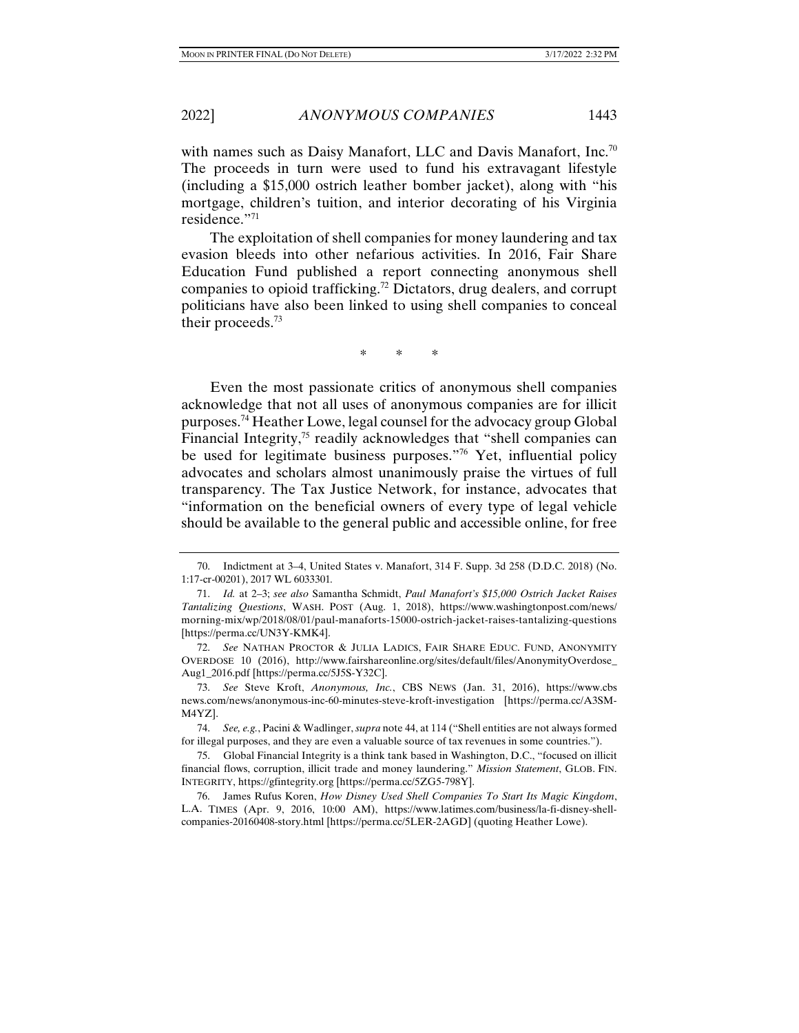with names such as Daisy Manafort, LLC and Davis Manafort, Inc.<sup>70</sup> The proceeds in turn were used to fund his extravagant lifestyle (including a \$15,000 ostrich leather bomber jacket), along with "his mortgage, children's tuition, and interior decorating of his Virginia residence."71

The exploitation of shell companies for money laundering and tax evasion bleeds into other nefarious activities. In 2016, Fair Share Education Fund published a report connecting anonymous shell companies to opioid trafficking.72 Dictators, drug dealers, and corrupt politicians have also been linked to using shell companies to conceal their proceeds.73

\* \* \*

Even the most passionate critics of anonymous shell companies acknowledge that not all uses of anonymous companies are for illicit purposes.74 Heather Lowe, legal counsel for the advocacy group Global Financial Integrity, $75$  readily acknowledges that "shell companies can be used for legitimate business purposes."76 Yet, influential policy advocates and scholars almost unanimously praise the virtues of full transparency. The Tax Justice Network, for instance, advocates that "information on the beneficial owners of every type of legal vehicle should be available to the general public and accessible online, for free

 <sup>70.</sup> Indictment at 3–4, United States v. Manafort, 314 F. Supp. 3d 258 (D.D.C. 2018) (No. 1:17-cr-00201), 2017 WL 6033301*.*

 <sup>71.</sup> *Id.* at 2–3; *see also* Samantha Schmidt, *Paul Manafort's \$15,000 Ostrich Jacket Raises Tantalizing Questions*, WASH. POST (Aug. 1, 2018), https://www.washingtonpost.com/news/ morning-mix/wp/2018/08/01/paul-manaforts-15000-ostrich-jacket-raises-tantalizing-questions [https://perma.cc/UN3Y-KMK4].

 <sup>72.</sup> *See* NATHAN PROCTOR & JULIA LADICS, FAIR SHARE EDUC. FUND, ANONYMITY OVERDOSE 10 (2016), http://www.fairshareonline.org/sites/default/files/AnonymityOverdose\_ Aug1\_2016.pdf [https://perma.cc/5J5S-Y32C].

 <sup>73.</sup> *See* Steve Kroft, *Anonymous, Inc.*, CBS NEWS (Jan. 31, 2016), https://www.cbs news.com/news/anonymous-inc-60-minutes-steve-kroft-investigation [https://perma.cc/A3SM-M4YZ].

 <sup>74.</sup> *See, e.g.*, Pacini & Wadlinger, *supra* note 44, at 114 ("Shell entities are not always formed for illegal purposes, and they are even a valuable source of tax revenues in some countries.").

 <sup>75.</sup> Global Financial Integrity is a think tank based in Washington, D.C., "focused on illicit financial flows, corruption, illicit trade and money laundering." *Mission Statement*, GLOB. FIN. INTEGRITY, https://gfintegrity.org [https://perma.cc/5ZG5-798Y].

 <sup>76.</sup> James Rufus Koren, *How Disney Used Shell Companies To Start Its Magic Kingdom*, L.A. TIMES (Apr. 9, 2016, 10:00 AM), https://www.latimes.com/business/la-fi-disney-shellcompanies-20160408-story.html [https://perma.cc/5LER-2AGD] (quoting Heather Lowe).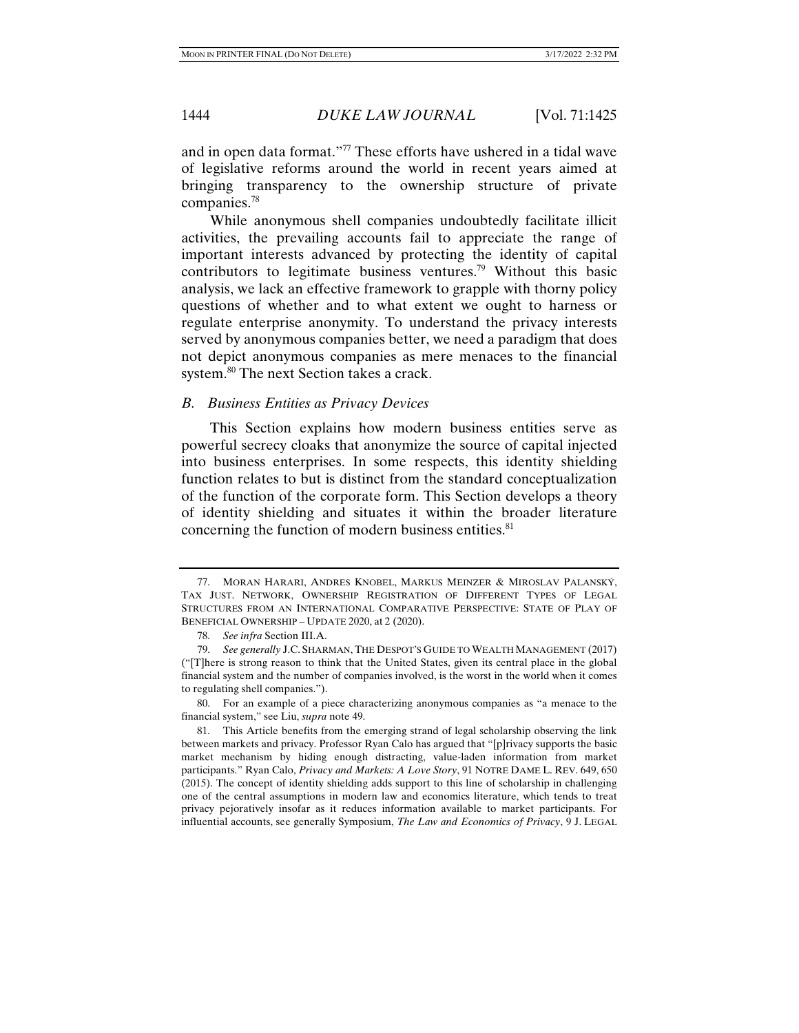and in open data format."77 These efforts have ushered in a tidal wave of legislative reforms around the world in recent years aimed at bringing transparency to the ownership structure of private companies.78

While anonymous shell companies undoubtedly facilitate illicit activities, the prevailing accounts fail to appreciate the range of important interests advanced by protecting the identity of capital contributors to legitimate business ventures.<sup>79</sup> Without this basic analysis, we lack an effective framework to grapple with thorny policy questions of whether and to what extent we ought to harness or regulate enterprise anonymity. To understand the privacy interests served by anonymous companies better, we need a paradigm that does not depict anonymous companies as mere menaces to the financial system.<sup>80</sup> The next Section takes a crack.

#### *B. Business Entities as Privacy Devices*

This Section explains how modern business entities serve as powerful secrecy cloaks that anonymize the source of capital injected into business enterprises. In some respects, this identity shielding function relates to but is distinct from the standard conceptualization of the function of the corporate form. This Section develops a theory of identity shielding and situates it within the broader literature concerning the function of modern business entities.<sup>81</sup>

 <sup>77.</sup> MORAN HARARI, ANDRES KNOBEL, MARKUS MEINZER & MIROSLAV PALANSKÝ, TAX JUST. NETWORK, OWNERSHIP REGISTRATION OF DIFFERENT TYPES OF LEGAL STRUCTURES FROM AN INTERNATIONAL COMPARATIVE PERSPECTIVE: STATE OF PLAY OF BENEFICIAL OWNERSHIP – UPDATE 2020, at 2 (2020).

 <sup>78.</sup> *See infra* Section III.A.

 <sup>79.</sup> *See generally* J.C. SHARMAN, THE DESPOT'S GUIDE TO WEALTH MANAGEMENT (2017) ("[T]here is strong reason to think that the United States, given its central place in the global financial system and the number of companies involved, is the worst in the world when it comes to regulating shell companies.").

 <sup>80.</sup> For an example of a piece characterizing anonymous companies as "a menace to the financial system," see Liu, *supra* note 49.

 <sup>81.</sup> This Article benefits from the emerging strand of legal scholarship observing the link between markets and privacy. Professor Ryan Calo has argued that "[p]rivacy supports the basic market mechanism by hiding enough distracting, value-laden information from market participants." Ryan Calo, *Privacy and Markets: A Love Story*, 91 NOTRE DAME L. REV. 649, 650 (2015). The concept of identity shielding adds support to this line of scholarship in challenging one of the central assumptions in modern law and economics literature, which tends to treat privacy pejoratively insofar as it reduces information available to market participants. For influential accounts, see generally Symposium, *The Law and Economics of Privacy*, 9 J. LEGAL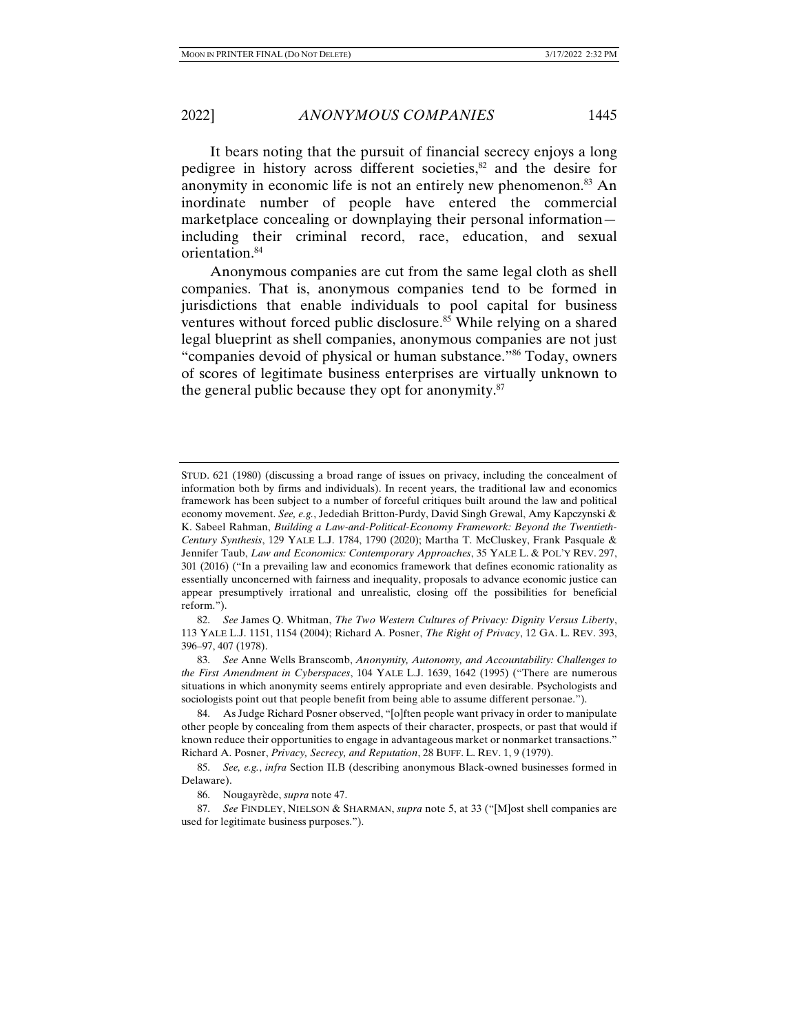2022] *ANONYMOUS COMPANIES* 1445

It bears noting that the pursuit of financial secrecy enjoys a long pedigree in history across different societies, $82$  and the desire for anonymity in economic life is not an entirely new phenomenon.<sup>83</sup> An inordinate number of people have entered the commercial marketplace concealing or downplaying their personal information including their criminal record, race, education, and sexual orientation.<sup>84</sup>

Anonymous companies are cut from the same legal cloth as shell companies. That is, anonymous companies tend to be formed in jurisdictions that enable individuals to pool capital for business ventures without forced public disclosure.<sup>85</sup> While relying on a shared legal blueprint as shell companies, anonymous companies are not just "companies devoid of physical or human substance."86 Today, owners of scores of legitimate business enterprises are virtually unknown to the general public because they opt for anonymity. $87$ 

 82. *See* James Q. Whitman, *The Two Western Cultures of Privacy: Dignity Versus Liberty*, 113 YALE L.J. 1151, 1154 (2004); Richard A. Posner, *The Right of Privacy*, 12 GA. L. REV. 393, 396–97, 407 (1978).

 83. *See* Anne Wells Branscomb, *Anonymity, Autonomy, and Accountability: Challenges to the First Amendment in Cyberspaces*, 104 YALE L.J. 1639, 1642 (1995) ("There are numerous situations in which anonymity seems entirely appropriate and even desirable. Psychologists and sociologists point out that people benefit from being able to assume different personae.").

 84. As Judge Richard Posner observed, "[o]ften people want privacy in order to manipulate other people by concealing from them aspects of their character, prospects, or past that would if known reduce their opportunities to engage in advantageous market or nonmarket transactions." Richard A. Posner, *Privacy, Secrecy, and Reputation*, 28 BUFF. L. REV. 1, 9 (1979).

 85. *See, e.g.*, *infra* Section II.B (describing anonymous Black-owned businesses formed in Delaware).

STUD. 621 (1980) (discussing a broad range of issues on privacy, including the concealment of information both by firms and individuals). In recent years, the traditional law and economics framework has been subject to a number of forceful critiques built around the law and political economy movement. *See, e.g.*, Jedediah Britton-Purdy, David Singh Grewal, Amy Kapczynski & K. Sabeel Rahman, *Building a Law-and-Political-Economy Framework: Beyond the Twentieth-Century Synthesis*, 129 YALE L.J. 1784, 1790 (2020); Martha T. McCluskey, Frank Pasquale & Jennifer Taub, *Law and Economics: Contemporary Approaches*, 35 YALE L. & POL'Y REV. 297, 301 (2016) ("In a prevailing law and economics framework that defines economic rationality as essentially unconcerned with fairness and inequality, proposals to advance economic justice can appear presumptively irrational and unrealistic, closing off the possibilities for beneficial reform.").

 <sup>86.</sup> Nougayrède, *supra* note 47.

 <sup>87.</sup> *See* FINDLEY, NIELSON & SHARMAN, *supra* note 5, at 33 ("[M]ost shell companies are used for legitimate business purposes.").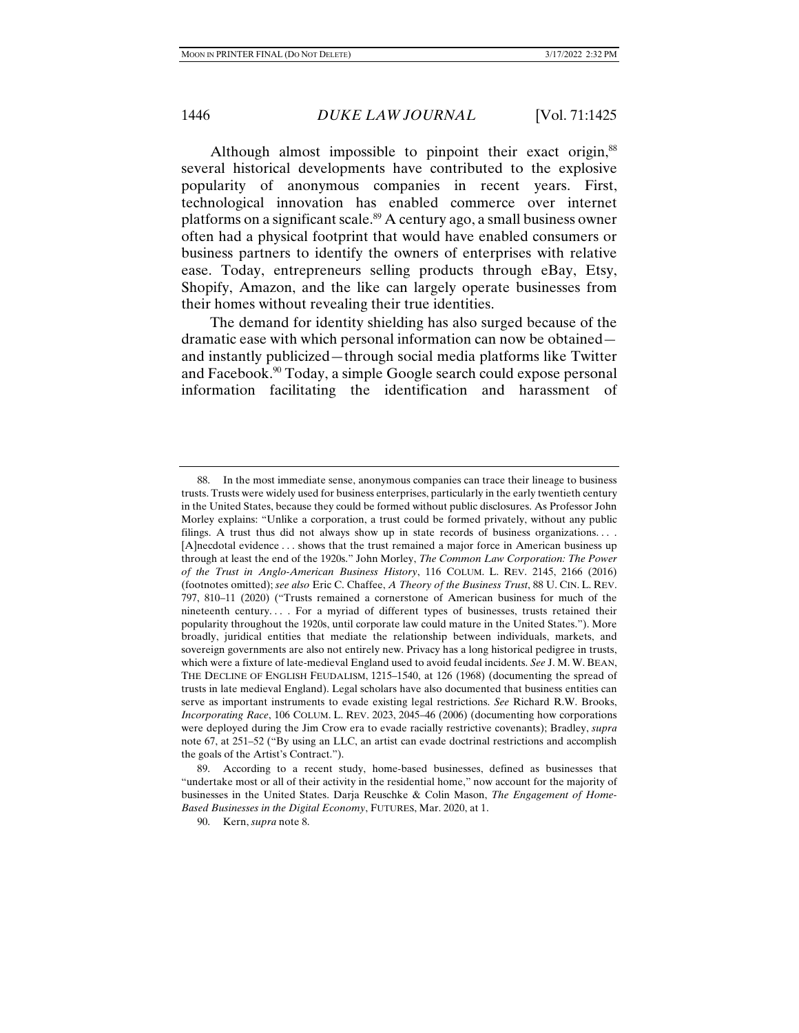Although almost impossible to pinpoint their exact origin,<sup>88</sup> several historical developments have contributed to the explosive popularity of anonymous companies in recent years. First, technological innovation has enabled commerce over internet platforms on a significant scale.<sup>89</sup> A century ago, a small business owner often had a physical footprint that would have enabled consumers or business partners to identify the owners of enterprises with relative ease. Today, entrepreneurs selling products through eBay, Etsy, Shopify, Amazon, and the like can largely operate businesses from their homes without revealing their true identities.

The demand for identity shielding has also surged because of the dramatic ease with which personal information can now be obtained and instantly publicized—through social media platforms like Twitter and Facebook.90 Today, a simple Google search could expose personal information facilitating the identification and harassment of

 <sup>88.</sup> In the most immediate sense, anonymous companies can trace their lineage to business trusts. Trusts were widely used for business enterprises, particularly in the early twentieth century in the United States, because they could be formed without public disclosures. As Professor John Morley explains: "Unlike a corporation, a trust could be formed privately, without any public filings. A trust thus did not always show up in state records of business organizations.... [A]necdotal evidence . . . shows that the trust remained a major force in American business up through at least the end of the 1920s." John Morley, *The Common Law Corporation: The Power of the Trust in Anglo-American Business History*, 116 COLUM. L. REV. 2145, 2166 (2016) (footnotes omitted); *see also* Eric C. Chaffee, *A Theory of the Business Trust*, 88 U. CIN. L. REV. 797, 810–11 (2020) ("Trusts remained a cornerstone of American business for much of the nineteenth century. . . . For a myriad of different types of businesses, trusts retained their popularity throughout the 1920s, until corporate law could mature in the United States."). More broadly, juridical entities that mediate the relationship between individuals, markets, and sovereign governments are also not entirely new. Privacy has a long historical pedigree in trusts, which were a fixture of late-medieval England used to avoid feudal incidents. *See* J. M. W. BEAN, THE DECLINE OF ENGLISH FEUDALISM, 1215–1540, at 126 (1968) (documenting the spread of trusts in late medieval England). Legal scholars have also documented that business entities can serve as important instruments to evade existing legal restrictions. *See* Richard R.W. Brooks, *Incorporating Race*, 106 COLUM. L. REV. 2023, 2045–46 (2006) (documenting how corporations were deployed during the Jim Crow era to evade racially restrictive covenants); Bradley, *supra*  note 67, at 251–52 ("By using an LLC, an artist can evade doctrinal restrictions and accomplish the goals of the Artist's Contract.").

 <sup>89.</sup> According to a recent study, home-based businesses, defined as businesses that "undertake most or all of their activity in the residential home," now account for the majority of businesses in the United States. Darja Reuschke & Colin Mason, *The Engagement of Home-Based Businesses in the Digital Economy*, FUTURES, Mar. 2020, at 1.

 <sup>90.</sup> Kern, *supra* note 8.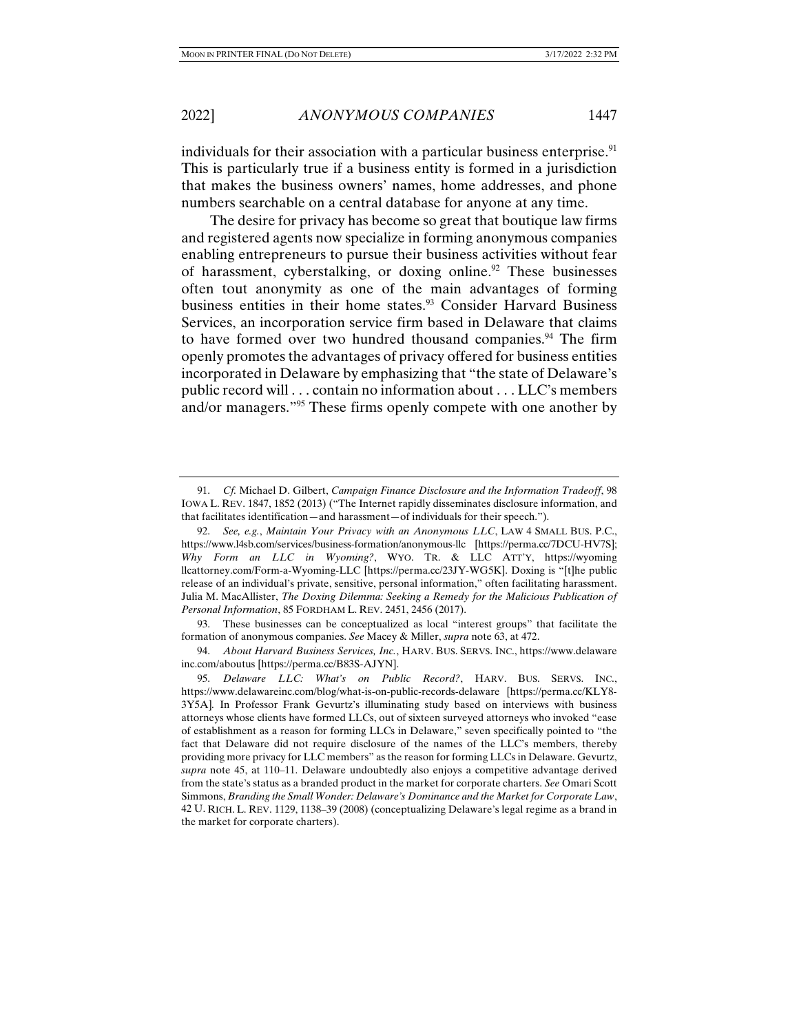individuals for their association with a particular business enterprise. $91$ This is particularly true if a business entity is formed in a jurisdiction that makes the business owners' names, home addresses, and phone numbers searchable on a central database for anyone at any time.

The desire for privacy has become so great that boutique law firms and registered agents now specialize in forming anonymous companies enabling entrepreneurs to pursue their business activities without fear of harassment, cyberstalking, or doxing online.<sup>92</sup> These businesses often tout anonymity as one of the main advantages of forming business entities in their home states.<sup>93</sup> Consider Harvard Business Services, an incorporation service firm based in Delaware that claims to have formed over two hundred thousand companies.<sup>94</sup> The firm openly promotes the advantages of privacy offered for business entities incorporated in Delaware by emphasizing that "the state of Delaware's public record will . . . contain no information about . . . LLC's members and/or managers."95 These firms openly compete with one another by

 93. These businesses can be conceptualized as local "interest groups" that facilitate the formation of anonymous companies. *See* Macey & Miller, *supra* note 63, at 472.

 94. *About Harvard Business Services, Inc.*, HARV. BUS. SERVS. INC., https://www.delaware inc.com/aboutus [https://perma.cc/B83S-AJYN].

 <sup>91.</sup> *Cf.* Michael D. Gilbert, *Campaign Finance Disclosure and the Information Tradeoff*, 98 IOWA L. REV. 1847, 1852 (2013) ("The Internet rapidly disseminates disclosure information, and that facilitates identification—and harassment—of individuals for their speech.").

 <sup>92.</sup> *See, e.g.*, *Maintain Your Privacy with an Anonymous LLC*, LAW 4 SMALL BUS. P.C., https://www.l4sb.com/services/business-formation/anonymous-llc [https://perma.cc/7DCU-HV7S]; *Why Form an LLC in Wyoming?*, WYO. TR. & LLC ATT'Y, https://wyoming llcattorney.com/Form-a-Wyoming-LLC [https://perma.cc/23JY-WG5K]. Doxing is "[t]he public release of an individual's private, sensitive, personal information," often facilitating harassment. Julia M. MacAllister, *The Doxing Dilemma: Seeking a Remedy for the Malicious Publication of Personal Information*, 85 FORDHAM L. REV. 2451, 2456 (2017).

 <sup>95.</sup> *Delaware LLC: What's on Public Record?*, HARV. BUS. SERVS. INC., https://www.delawareinc.com/blog/what-is-on-public-records-delaware [https://perma.cc/KLY8- 3Y5A]*.* In Professor Frank Gevurtz's illuminating study based on interviews with business attorneys whose clients have formed LLCs, out of sixteen surveyed attorneys who invoked "ease of establishment as a reason for forming LLCs in Delaware," seven specifically pointed to "the fact that Delaware did not require disclosure of the names of the LLC's members, thereby providing more privacy for LLC members" as the reason for forming LLCs in Delaware. Gevurtz, *supra* note 45, at 110–11. Delaware undoubtedly also enjoys a competitive advantage derived from the state's status as a branded product in the market for corporate charters. *See* Omari Scott Simmons, *Branding the Small Wonder: Delaware's Dominance and the Market for Corporate Law*, 42 U. RICH. L. REV. 1129, 1138–39 (2008) (conceptualizing Delaware's legal regime as a brand in the market for corporate charters).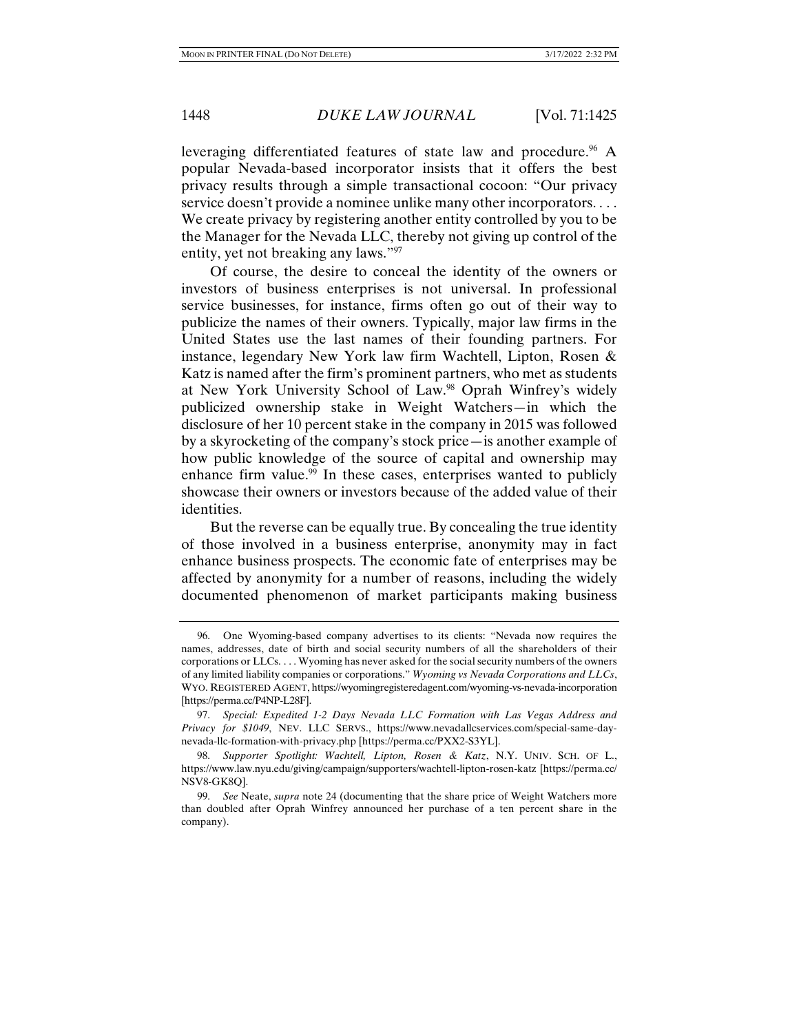leveraging differentiated features of state law and procedure.<sup>96</sup> A popular Nevada-based incorporator insists that it offers the best privacy results through a simple transactional cocoon: "Our privacy service doesn't provide a nominee unlike many other incorporators. . . . We create privacy by registering another entity controlled by you to be the Manager for the Nevada LLC, thereby not giving up control of the entity, yet not breaking any laws."<sup>97</sup>

Of course, the desire to conceal the identity of the owners or investors of business enterprises is not universal. In professional service businesses, for instance, firms often go out of their way to publicize the names of their owners. Typically, major law firms in the United States use the last names of their founding partners. For instance, legendary New York law firm Wachtell, Lipton, Rosen & Katz is named after the firm's prominent partners, who met as students at New York University School of Law.<sup>98</sup> Oprah Winfrey's widely publicized ownership stake in Weight Watchers—in which the disclosure of her 10 percent stake in the company in 2015 was followed by a skyrocketing of the company's stock price—is another example of how public knowledge of the source of capital and ownership may enhance firm value.<sup>99</sup> In these cases, enterprises wanted to publicly showcase their owners or investors because of the added value of their identities.

But the reverse can be equally true. By concealing the true identity of those involved in a business enterprise, anonymity may in fact enhance business prospects. The economic fate of enterprises may be affected by anonymity for a number of reasons, including the widely documented phenomenon of market participants making business

 <sup>96.</sup> One Wyoming-based company advertises to its clients: "Nevada now requires the names, addresses, date of birth and social security numbers of all the shareholders of their corporations or LLCs. . . . Wyoming has never asked for the social security numbers of the owners of any limited liability companies or corporations." *Wyoming vs Nevada Corporations and LLCs*, WYO. REGISTERED AGENT, https://wyomingregisteredagent.com/wyoming-vs-nevada-incorporation [https://perma.cc/P4NP-L28F].

 <sup>97.</sup> *Special: Expedited 1-2 Days Nevada LLC Formation with Las Vegas Address and Privacy for \$1049*, NEV. LLC SERVS., https://www.nevadallcservices.com/special-same-daynevada-llc-formation-with-privacy.php [https://perma.cc/PXX2-S3YL].

 <sup>98.</sup> *Supporter Spotlight: Wachtell, Lipton, Rosen & Katz*, N.Y. UNIV. SCH. OF L., https://www.law.nyu.edu/giving/campaign/supporters/wachtell-lipton-rosen-katz [https://perma.cc/ NSV8-GK8Q].

 <sup>99.</sup> *See* Neate, *supra* note 24 (documenting that the share price of Weight Watchers more than doubled after Oprah Winfrey announced her purchase of a ten percent share in the company).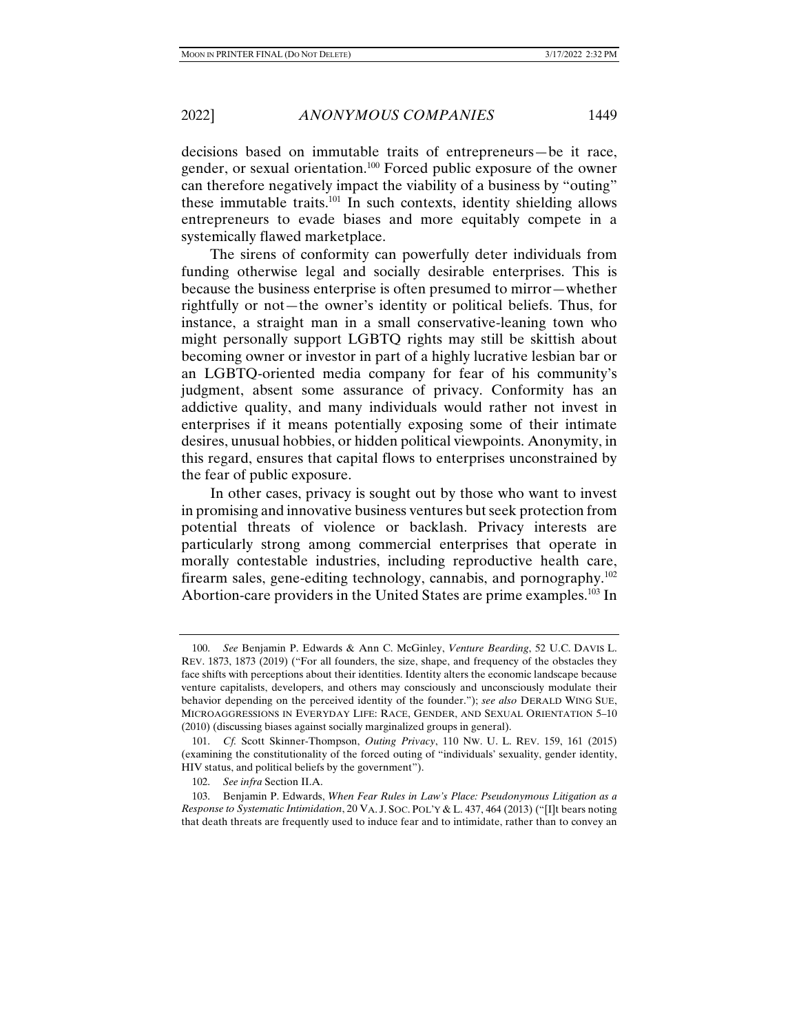decisions based on immutable traits of entrepreneurs—be it race, gender, or sexual orientation.100 Forced public exposure of the owner can therefore negatively impact the viability of a business by "outing" these immutable traits.101 In such contexts, identity shielding allows entrepreneurs to evade biases and more equitably compete in a systemically flawed marketplace.

The sirens of conformity can powerfully deter individuals from funding otherwise legal and socially desirable enterprises. This is because the business enterprise is often presumed to mirror—whether rightfully or not—the owner's identity or political beliefs. Thus, for instance, a straight man in a small conservative-leaning town who might personally support LGBTQ rights may still be skittish about becoming owner or investor in part of a highly lucrative lesbian bar or an LGBTQ-oriented media company for fear of his community's judgment, absent some assurance of privacy. Conformity has an addictive quality, and many individuals would rather not invest in enterprises if it means potentially exposing some of their intimate desires, unusual hobbies, or hidden political viewpoints. Anonymity, in this regard, ensures that capital flows to enterprises unconstrained by the fear of public exposure.

In other cases, privacy is sought out by those who want to invest in promising and innovative business ventures but seek protection from potential threats of violence or backlash. Privacy interests are particularly strong among commercial enterprises that operate in morally contestable industries, including reproductive health care, firearm sales, gene-editing technology, cannabis, and pornography.102 Abortion-care providers in the United States are prime examples.<sup>103</sup> In

 <sup>100.</sup> *See* Benjamin P. Edwards & Ann C. McGinley, *Venture Bearding*, 52 U.C. DAVIS L. REV. 1873, 1873 (2019) ("For all founders, the size, shape, and frequency of the obstacles they face shifts with perceptions about their identities. Identity alters the economic landscape because venture capitalists, developers, and others may consciously and unconsciously modulate their behavior depending on the perceived identity of the founder."); *see also* DERALD WING SUE, MICROAGGRESSIONS IN EVERYDAY LIFE: RACE, GENDER, AND SEXUAL ORIENTATION 5–10 (2010) (discussing biases against socially marginalized groups in general).

 <sup>101.</sup> *Cf.* Scott Skinner-Thompson, *Outing Privacy*, 110 NW. U. L. REV. 159, 161 (2015) (examining the constitutionality of the forced outing of "individuals' sexuality, gender identity, HIV status, and political beliefs by the government").

 <sup>102.</sup> *See infra* Section II.A.

 <sup>103.</sup> Benjamin P. Edwards, *When Fear Rules in Law's Place: Pseudonymous Litigation as a Response to Systematic Intimidation*, 20 VA. J. SOC. POL'Y & L. 437, 464 (2013) ("[I]t bears noting that death threats are frequently used to induce fear and to intimidate, rather than to convey an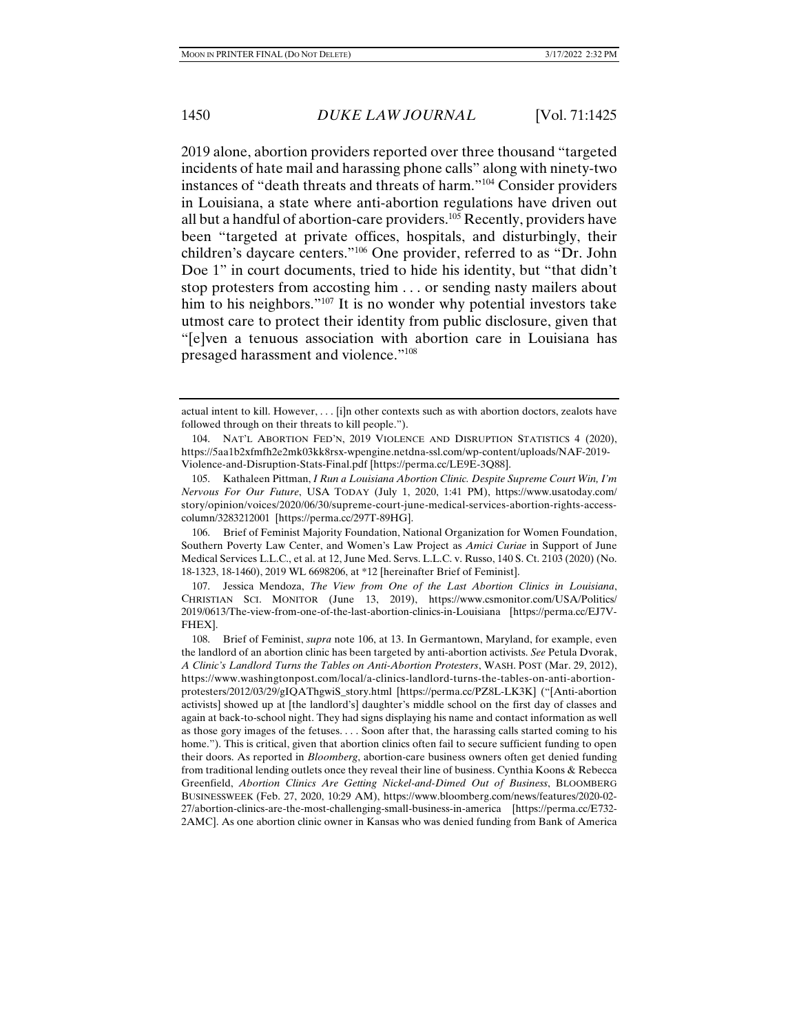2019 alone, abortion providers reported over three thousand "targeted incidents of hate mail and harassing phone calls" along with ninety-two instances of "death threats and threats of harm."104 Consider providers in Louisiana, a state where anti-abortion regulations have driven out all but a handful of abortion-care providers.105 Recently, providers have been "targeted at private offices, hospitals, and disturbingly, their children's daycare centers."106 One provider, referred to as "Dr. John Doe 1" in court documents, tried to hide his identity, but "that didn't stop protesters from accosting him . . . or sending nasty mailers about him to his neighbors."<sup>107</sup> It is no wonder why potential investors take utmost care to protect their identity from public disclosure, given that "[e]ven a tenuous association with abortion care in Louisiana has presaged harassment and violence."108

 106. Brief of Feminist Majority Foundation, National Organization for Women Foundation, Southern Poverty Law Center, and Women's Law Project as *Amici Curiae* in Support of June Medical Services L.L.C., et al. at 12, June Med. Servs. L.L.C. v. Russo, 140 S. Ct. 2103 (2020) (No. 18-1323, 18-1460), 2019 WL 6698206, at \*12 [hereinafter Brief of Feminist].

 107. Jessica Mendoza, *The View from One of the Last Abortion Clinics in Louisiana*, CHRISTIAN SCI. MONITOR (June 13, 2019), https://www.csmonitor.com/USA/Politics/ 2019/0613/The-view-from-one-of-the-last-abortion-clinics-in-Louisiana [https://perma.cc/EJ7V-FHEX].

actual intent to kill. However, . . . [i]n other contexts such as with abortion doctors, zealots have followed through on their threats to kill people.").

NAT'L ABORTION FED'N, 2019 VIOLENCE AND DISRUPTION STATISTICS 4 (2020), https://5aa1b2xfmfh2e2mk03kk8rsx-wpengine.netdna-ssl.com/wp-content/uploads/NAF-2019- Violence-and-Disruption-Stats-Final.pdf [https://perma.cc/LE9E-3Q88].

 <sup>105.</sup> Kathaleen Pittman, *I Run a Louisiana Abortion Clinic. Despite Supreme Court Win, I'm Nervous For Our Future*, USA TODAY (July 1, 2020, 1:41 PM), https://www.usatoday.com/ story/opinion/voices/2020/06/30/supreme-court-june-medical-services-abortion-rights-accesscolumn/3283212001 [https://perma.cc/297T-89HG].

 <sup>108.</sup> Brief of Feminist, *supra* note 106, at 13. In Germantown, Maryland, for example, even the landlord of an abortion clinic has been targeted by anti-abortion activists. *See* Petula Dvorak, *A Clinic's Landlord Turns the Tables on Anti-Abortion Protesters*, WASH. POST (Mar. 29, 2012), https://www.washingtonpost.com/local/a-clinics-landlord-turns-the-tables-on-anti-abortionprotesters/2012/03/29/gIQAThgwiS\_story.html [https://perma.cc/PZ8L-LK3K] ("[Anti-abortion activists] showed up at [the landlord's] daughter's middle school on the first day of classes and again at back-to-school night. They had signs displaying his name and contact information as well as those gory images of the fetuses. . . . Soon after that, the harassing calls started coming to his home."). This is critical, given that abortion clinics often fail to secure sufficient funding to open their doors. As reported in *Bloomberg*, abortion-care business owners often get denied funding from traditional lending outlets once they reveal their line of business. Cynthia Koons & Rebecca Greenfield, *Abortion Clinics Are Getting Nickel-and-Dimed Out of Business*, BLOOMBERG BUSINESSWEEK (Feb. 27, 2020, 10:29 AM), https://www.bloomberg.com/news/features/2020-02- 27/abortion-clinics-are-the-most-challenging-small-business-in-america [https://perma.cc/E732- 2AMC]. As one abortion clinic owner in Kansas who was denied funding from Bank of America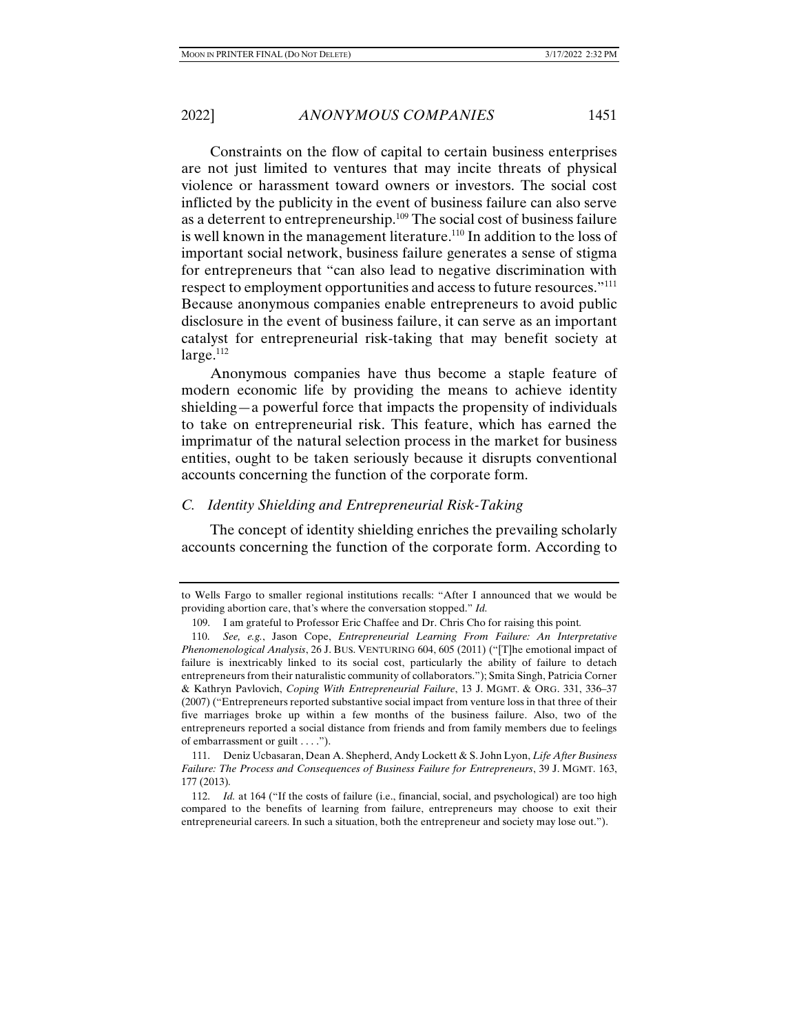Constraints on the flow of capital to certain business enterprises are not just limited to ventures that may incite threats of physical violence or harassment toward owners or investors. The social cost inflicted by the publicity in the event of business failure can also serve as a deterrent to entrepreneurship.109 The social cost of business failure is well known in the management literature.<sup>110</sup> In addition to the loss of important social network, business failure generates a sense of stigma for entrepreneurs that "can also lead to negative discrimination with respect to employment opportunities and access to future resources."111 Because anonymous companies enable entrepreneurs to avoid public disclosure in the event of business failure, it can serve as an important catalyst for entrepreneurial risk-taking that may benefit society at  $large.<sup>112</sup>$ 

Anonymous companies have thus become a staple feature of modern economic life by providing the means to achieve identity shielding—a powerful force that impacts the propensity of individuals to take on entrepreneurial risk. This feature, which has earned the imprimatur of the natural selection process in the market for business entities, ought to be taken seriously because it disrupts conventional accounts concerning the function of the corporate form.

#### *C. Identity Shielding and Entrepreneurial Risk-Taking*

The concept of identity shielding enriches the prevailing scholarly accounts concerning the function of the corporate form. According to

to Wells Fargo to smaller regional institutions recalls: "After I announced that we would be providing abortion care, that's where the conversation stopped." *Id.*

 <sup>109.</sup> I am grateful to Professor Eric Chaffee and Dr. Chris Cho for raising this point*.*

 <sup>110.</sup> *See, e.g.*, Jason Cope, *Entrepreneurial Learning From Failure: An Interpretative Phenomenological Analysis*, 26 J. BUS. VENTURING 604, 605 (2011) ("[T]he emotional impact of failure is inextricably linked to its social cost, particularly the ability of failure to detach entrepreneurs from their naturalistic community of collaborators."); Smita Singh, Patricia Corner & Kathryn Pavlovich, *Coping With Entrepreneurial Failure*, 13 J. MGMT. & ORG. 331, 336–37 (2007) ("Entrepreneurs reported substantive social impact from venture loss in that three of their five marriages broke up within a few months of the business failure. Also, two of the entrepreneurs reported a social distance from friends and from family members due to feelings of embarrassment or guilt . . . .").

 <sup>111.</sup> Deniz Ucbasaran, Dean A. Shepherd, Andy Lockett & S. John Lyon, *Life After Business Failure: The Process and Consequences of Business Failure for Entrepreneurs*, 39 J. MGMT. 163, 177 (2013)*.* 

<sup>112.</sup> *Id.* at 164 ("If the costs of failure (i.e., financial, social, and psychological) are too high compared to the benefits of learning from failure, entrepreneurs may choose to exit their entrepreneurial careers. In such a situation, both the entrepreneur and society may lose out.").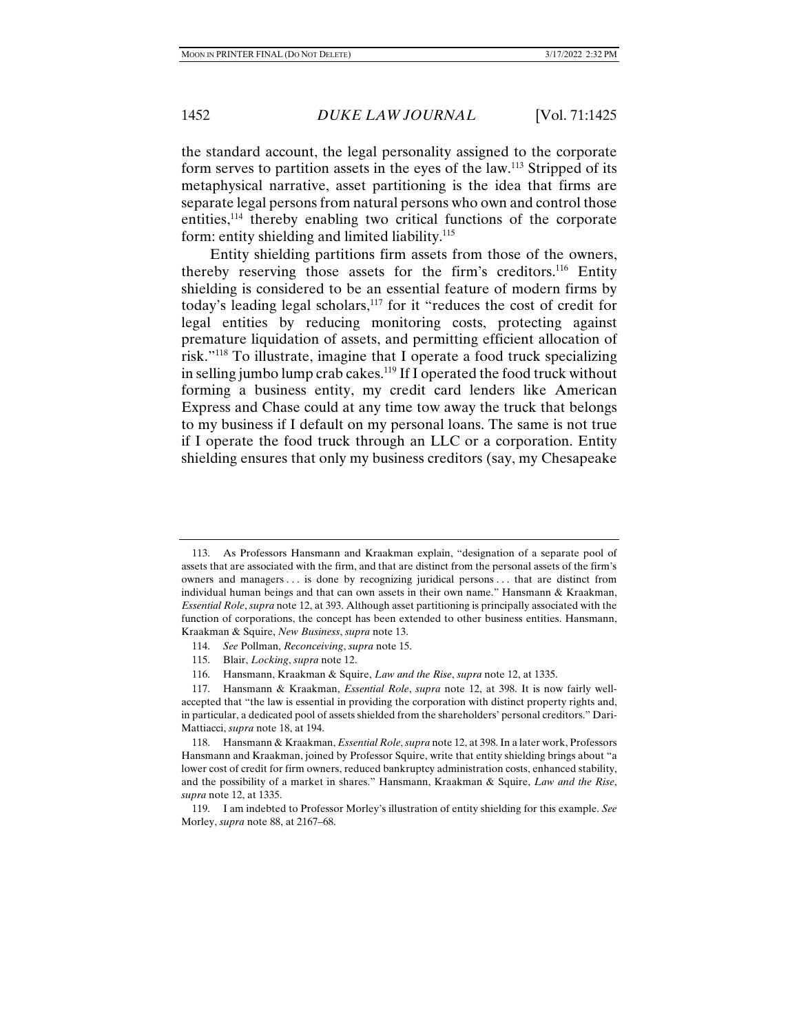the standard account, the legal personality assigned to the corporate form serves to partition assets in the eyes of the law.113 Stripped of its metaphysical narrative, asset partitioning is the idea that firms are separate legal persons from natural persons who own and control those entities,114 thereby enabling two critical functions of the corporate form: entity shielding and limited liability.<sup>115</sup>

Entity shielding partitions firm assets from those of the owners, thereby reserving those assets for the firm's creditors.116 Entity shielding is considered to be an essential feature of modern firms by today's leading legal scholars,<sup>117</sup> for it "reduces the cost of credit for legal entities by reducing monitoring costs, protecting against premature liquidation of assets, and permitting efficient allocation of risk."118 To illustrate, imagine that I operate a food truck specializing in selling jumbo lump crab cakes.<sup>119</sup> If I operated the food truck without forming a business entity, my credit card lenders like American Express and Chase could at any time tow away the truck that belongs to my business if I default on my personal loans. The same is not true if I operate the food truck through an LLC or a corporation. Entity shielding ensures that only my business creditors (say, my Chesapeake

116. Hansmann, Kraakman & Squire, *Law and the Rise*, *supra* note 12, at 1335.

 <sup>113.</sup> As Professors Hansmann and Kraakman explain, "designation of a separate pool of assets that are associated with the firm, and that are distinct from the personal assets of the firm's owners and managers . . . is done by recognizing juridical persons . . . that are distinct from individual human beings and that can own assets in their own name." Hansmann & Kraakman, *Essential Role*, *supra* note 12, at 393. Although asset partitioning is principally associated with the function of corporations, the concept has been extended to other business entities. Hansmann, Kraakman & Squire, *New Business*, *supra* note 13.

 <sup>114.</sup> *See* Pollman, *Reconceiving*, *supra* note 15.

 <sup>115.</sup> Blair, *Locking*, *supra* note 12.

 <sup>117.</sup> Hansmann & Kraakman, *Essential Role*, *supra* note 12, at 398. It is now fairly wellaccepted that "the law is essential in providing the corporation with distinct property rights and, in particular, a dedicated pool of assets shielded from the shareholders' personal creditors." Dari-Mattiacci, *supra* note 18, at 194.

 <sup>118.</sup> Hansmann & Kraakman, *Essential Role*, *supra* note 12, at 398. In a later work, Professors Hansmann and Kraakman, joined by Professor Squire, write that entity shielding brings about "a lower cost of credit for firm owners, reduced bankruptcy administration costs, enhanced stability, and the possibility of a market in shares." Hansmann, Kraakman & Squire, *Law and the Rise*, *supra* note 12, at 1335.

 <sup>119.</sup> I am indebted to Professor Morley's illustration of entity shielding for this example. *See* Morley, *supra* note 88, at 2167–68.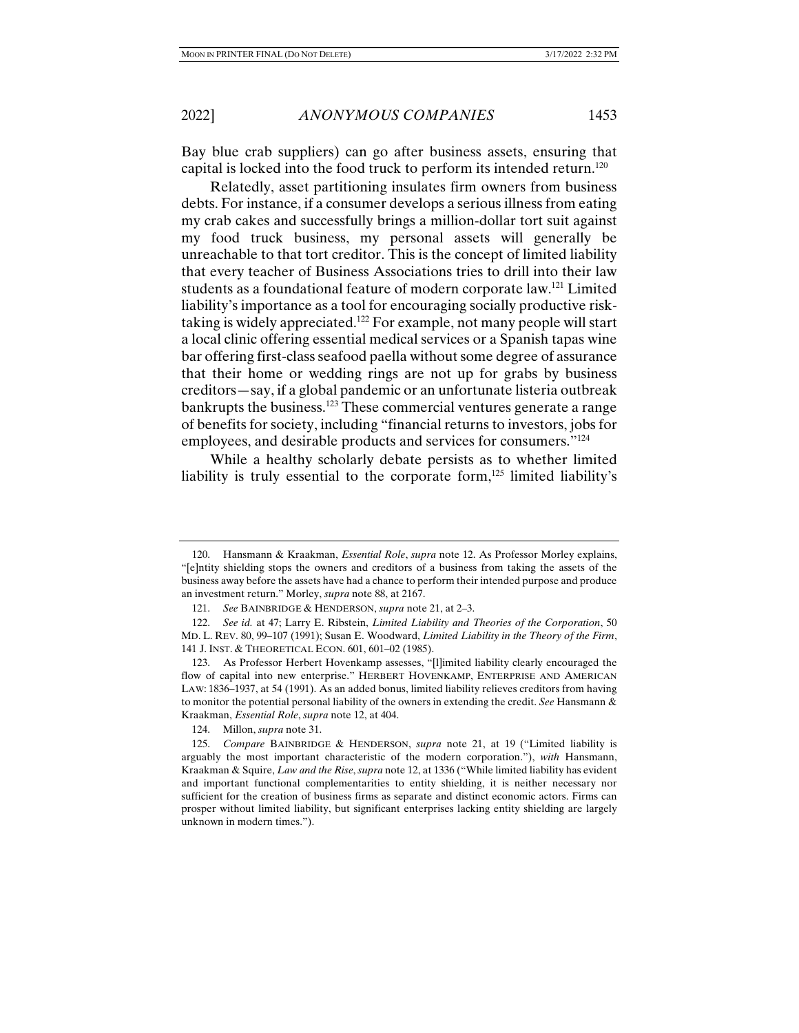Bay blue crab suppliers) can go after business assets, ensuring that capital is locked into the food truck to perform its intended return.120

Relatedly, asset partitioning insulates firm owners from business debts. For instance, if a consumer develops a serious illness from eating my crab cakes and successfully brings a million-dollar tort suit against my food truck business, my personal assets will generally be unreachable to that tort creditor. This is the concept of limited liability that every teacher of Business Associations tries to drill into their law students as a foundational feature of modern corporate law.121 Limited liability's importance as a tool for encouraging socially productive risktaking is widely appreciated.122 For example, not many people will start a local clinic offering essential medical services or a Spanish tapas wine bar offering first-class seafood paella without some degree of assurance that their home or wedding rings are not up for grabs by business creditors—say, if a global pandemic or an unfortunate listeria outbreak bankrupts the business.<sup>123</sup> These commercial ventures generate a range of benefits for society, including "financial returns to investors, jobs for employees, and desirable products and services for consumers."124

While a healthy scholarly debate persists as to whether limited liability is truly essential to the corporate form, $125$  limited liability's

124. Millon, *supra* note 31.

 <sup>120.</sup> Hansmann & Kraakman, *Essential Role*, *supra* note 12. As Professor Morley explains, "[e]ntity shielding stops the owners and creditors of a business from taking the assets of the business away before the assets have had a chance to perform their intended purpose and produce an investment return." Morley, *supra* note 88, at 2167.

 <sup>121.</sup> *See* BAINBRIDGE & HENDERSON, *supra* note 21, at 2–3.

 <sup>122.</sup> *See id.* at 47; Larry E. Ribstein, *Limited Liability and Theories of the Corporation*, 50 MD. L. REV. 80, 99–107 (1991); Susan E. Woodward, *Limited Liability in the Theory of the Firm*, 141 J. INST. & THEORETICAL ECON. 601, 601–02 (1985).

 <sup>123.</sup> As Professor Herbert Hovenkamp assesses, "[l]imited liability clearly encouraged the flow of capital into new enterprise." HERBERT HOVENKAMP, ENTERPRISE AND AMERICAN LAW: 1836–1937, at 54 (1991). As an added bonus, limited liability relieves creditors from having to monitor the potential personal liability of the owners in extending the credit. *See* Hansmann & Kraakman, *Essential Role*, *supra* note 12, at 404.

 <sup>125.</sup> *Compare* BAINBRIDGE & HENDERSON, *supra* note 21, at 19 ("Limited liability is arguably the most important characteristic of the modern corporation."), *with* Hansmann, Kraakman & Squire, *Law and the Rise*, *supra* note 12, at 1336 ("While limited liability has evident and important functional complementarities to entity shielding, it is neither necessary nor sufficient for the creation of business firms as separate and distinct economic actors. Firms can prosper without limited liability, but significant enterprises lacking entity shielding are largely unknown in modern times.").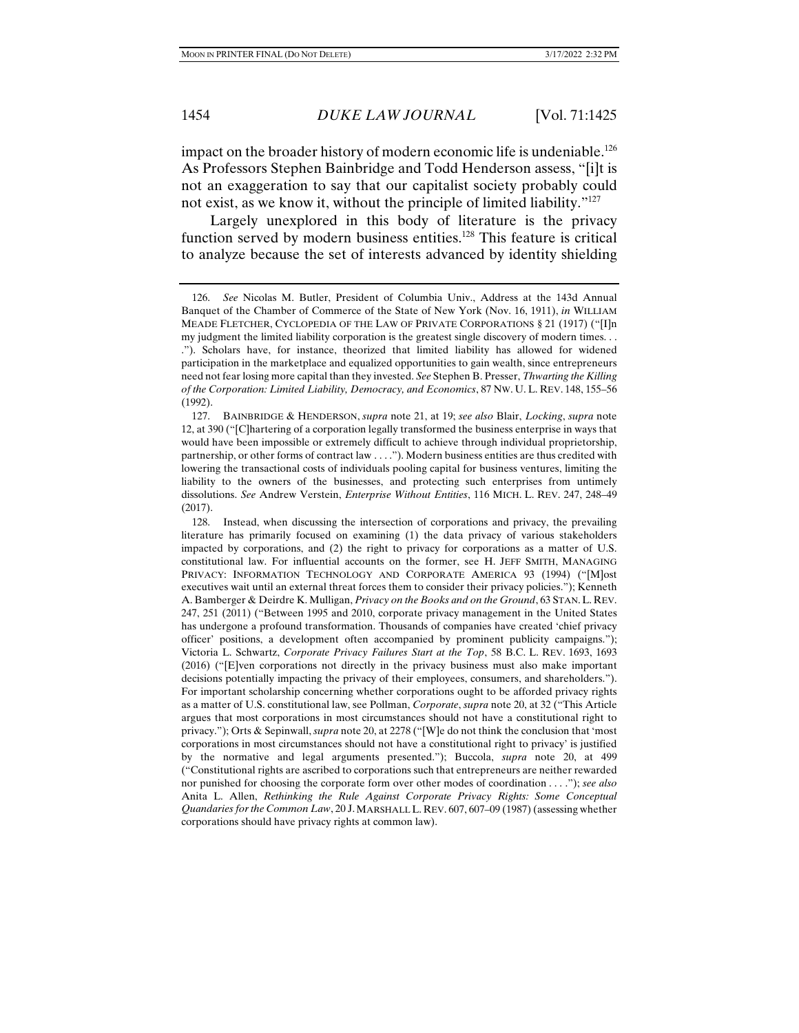impact on the broader history of modern economic life is undeniable.<sup>126</sup> As Professors Stephen Bainbridge and Todd Henderson assess, "[i]t is not an exaggeration to say that our capitalist society probably could not exist, as we know it, without the principle of limited liability."127

Largely unexplored in this body of literature is the privacy function served by modern business entities.<sup>128</sup> This feature is critical to analyze because the set of interests advanced by identity shielding

 128. Instead, when discussing the intersection of corporations and privacy, the prevailing literature has primarily focused on examining (1) the data privacy of various stakeholders impacted by corporations, and (2) the right to privacy for corporations as a matter of U.S. constitutional law. For influential accounts on the former, see H. JEFF SMITH, MANAGING PRIVACY: INFORMATION TECHNOLOGY AND CORPORATE AMERICA 93 (1994) ("[M]ost executives wait until an external threat forces them to consider their privacy policies."); Kenneth A. Bamberger & Deirdre K. Mulligan, *Privacy on the Books and on the Ground*, 63 STAN.L. REV. 247, 251 (2011) ("Between 1995 and 2010, corporate privacy management in the United States has undergone a profound transformation. Thousands of companies have created 'chief privacy officer' positions, a development often accompanied by prominent publicity campaigns."); Victoria L. Schwartz, *Corporate Privacy Failures Start at the Top*, 58 B.C. L. REV. 1693, 1693 (2016) ("[E]ven corporations not directly in the privacy business must also make important decisions potentially impacting the privacy of their employees, consumers, and shareholders."). For important scholarship concerning whether corporations ought to be afforded privacy rights as a matter of U.S. constitutional law, see Pollman, *Corporate*, *supra* note 20, at 32 ("This Article argues that most corporations in most circumstances should not have a constitutional right to privacy."); Orts & Sepinwall, *supra* note 20, at 2278 ("[W]e do not think the conclusion that 'most corporations in most circumstances should not have a constitutional right to privacy' is justified by the normative and legal arguments presented."); Buccola, *supra* note 20, at 499 ("Constitutional rights are ascribed to corporations such that entrepreneurs are neither rewarded nor punished for choosing the corporate form over other modes of coordination . . . ."); *see also* Anita L. Allen, *Rethinking the Rule Against Corporate Privacy Rights: Some Conceptual Quandaries for the Common Law*, 20 J.MARSHALL L. REV. 607, 607–09 (1987) (assessing whether corporations should have privacy rights at common law).

 <sup>126.</sup> *See* Nicolas M. Butler, President of Columbia Univ., Address at the 143d Annual Banquet of the Chamber of Commerce of the State of New York (Nov. 16, 1911), *in* WILLIAM MEADE FLETCHER, CYCLOPEDIA OF THE LAW OF PRIVATE CORPORATIONS § 21 (1917) ("[I]n my judgment the limited liability corporation is the greatest single discovery of modern times. . . ."). Scholars have, for instance, theorized that limited liability has allowed for widened participation in the marketplace and equalized opportunities to gain wealth, since entrepreneurs need not fear losing more capital than they invested. *See* Stephen B. Presser, *Thwarting the Killing of the Corporation: Limited Liability, Democracy, and Economics*, 87 NW. U. L. REV. 148, 155–56 (1992).

 <sup>127.</sup> BAINBRIDGE & HENDERSON, *supra* note 21, at 19; *see also* Blair, *Locking*, *supra* note 12, at 390 ("[C]hartering of a corporation legally transformed the business enterprise in ways that would have been impossible or extremely difficult to achieve through individual proprietorship, partnership, or other forms of contract law . . . ."). Modern business entities are thus credited with lowering the transactional costs of individuals pooling capital for business ventures, limiting the liability to the owners of the businesses, and protecting such enterprises from untimely dissolutions. *See* Andrew Verstein, *Enterprise Without Entities*, 116 MICH. L. REV. 247, 248–49 (2017).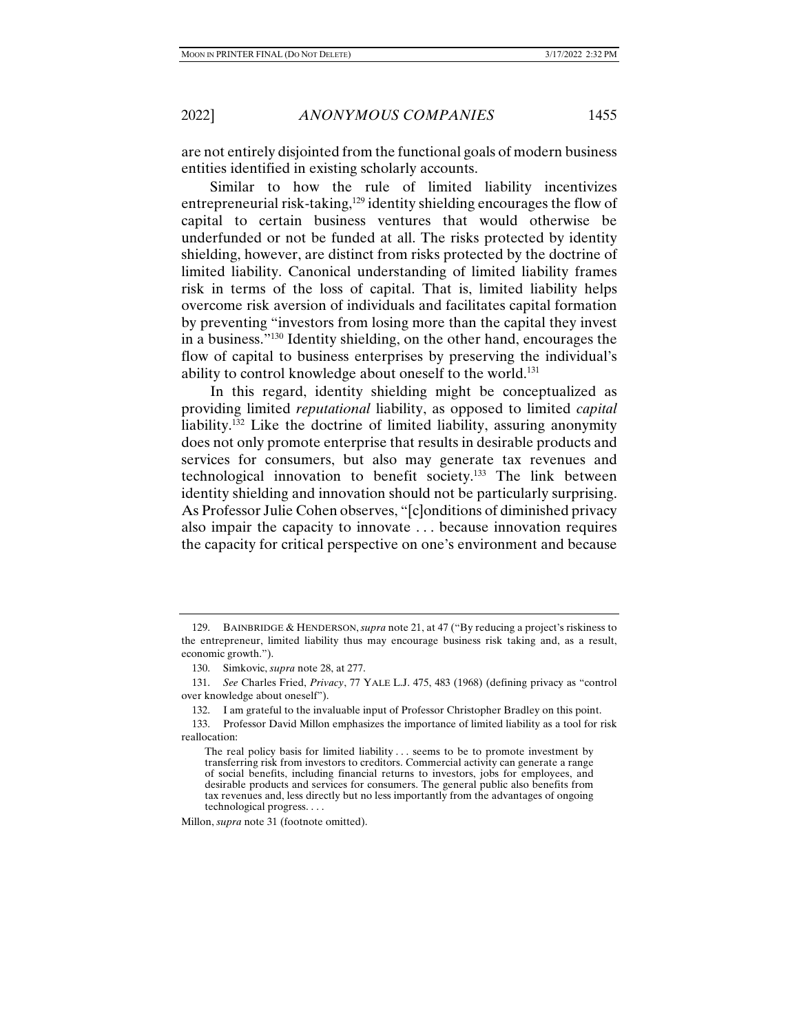are not entirely disjointed from the functional goals of modern business entities identified in existing scholarly accounts.

Similar to how the rule of limited liability incentivizes entrepreneurial risk-taking,<sup>129</sup> identity shielding encourages the flow of capital to certain business ventures that would otherwise be underfunded or not be funded at all. The risks protected by identity shielding, however, are distinct from risks protected by the doctrine of limited liability. Canonical understanding of limited liability frames risk in terms of the loss of capital. That is, limited liability helps overcome risk aversion of individuals and facilitates capital formation by preventing "investors from losing more than the capital they invest in a business."130 Identity shielding, on the other hand, encourages the flow of capital to business enterprises by preserving the individual's ability to control knowledge about oneself to the world.131

In this regard, identity shielding might be conceptualized as providing limited *reputational* liability, as opposed to limited *capital* liability.132 Like the doctrine of limited liability, assuring anonymity does not only promote enterprise that results in desirable products and services for consumers, but also may generate tax revenues and technological innovation to benefit society.133 The link between identity shielding and innovation should not be particularly surprising. As Professor Julie Cohen observes, "[c]onditions of diminished privacy also impair the capacity to innovate . . . because innovation requires the capacity for critical perspective on one's environment and because

Millon, *supra* note 31 (footnote omitted).

 <sup>129.</sup> BAINBRIDGE & HENDERSON,*supra* note 21, at 47 ("By reducing a project's riskiness to the entrepreneur, limited liability thus may encourage business risk taking and, as a result, economic growth.").

 <sup>130.</sup> Simkovic, *supra* note 28, at 277.

 <sup>131.</sup> *See* Charles Fried, *Privacy*, 77 YALE L.J. 475, 483 (1968) (defining privacy as "control over knowledge about oneself").

 <sup>132.</sup> I am grateful to the invaluable input of Professor Christopher Bradley on this point.

 <sup>133.</sup> Professor David Millon emphasizes the importance of limited liability as a tool for risk reallocation:

The real policy basis for limited liability . . . seems to be to promote investment by transferring risk from investors to creditors. Commercial activity can generate a range of social benefits, including financial returns to investors, jobs for employees, and desirable products and services for consumers. The general public also benefits from tax revenues and, less directly but no less importantly from the advantages of ongoing technological progress. . . .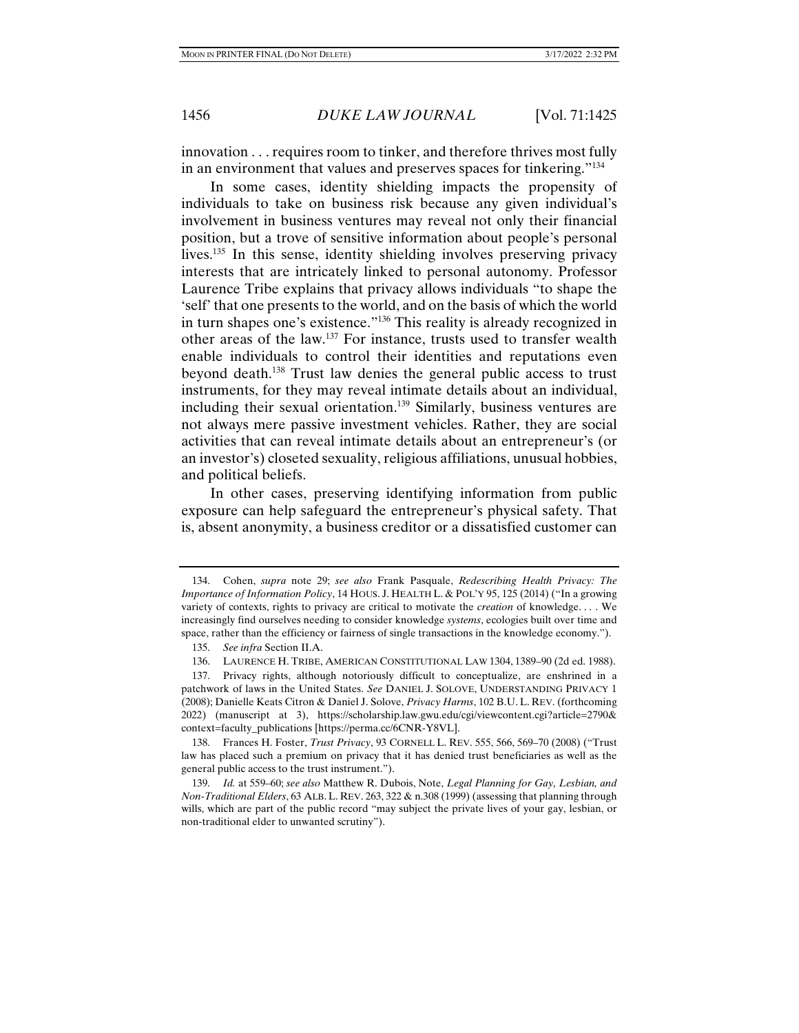innovation . . . requires room to tinker, and therefore thrives most fully in an environment that values and preserves spaces for tinkering."134

In some cases, identity shielding impacts the propensity of individuals to take on business risk because any given individual's involvement in business ventures may reveal not only their financial position, but a trove of sensitive information about people's personal lives.135 In this sense, identity shielding involves preserving privacy interests that are intricately linked to personal autonomy. Professor Laurence Tribe explains that privacy allows individuals "to shape the 'self' that one presents to the world, and on the basis of which the world in turn shapes one's existence."136 This reality is already recognized in other areas of the law.137 For instance, trusts used to transfer wealth enable individuals to control their identities and reputations even beyond death.138 Trust law denies the general public access to trust instruments, for they may reveal intimate details about an individual, including their sexual orientation.139 Similarly, business ventures are not always mere passive investment vehicles. Rather, they are social activities that can reveal intimate details about an entrepreneur's (or an investor's) closeted sexuality, religious affiliations, unusual hobbies, and political beliefs.

In other cases, preserving identifying information from public exposure can help safeguard the entrepreneur's physical safety. That is, absent anonymity, a business creditor or a dissatisfied customer can

 <sup>134.</sup> Cohen, *supra* note 29; *see also* Frank Pasquale, *Redescribing Health Privacy: The Importance of Information Policy*, 14 HOUS. J. HEALTH L. & POL'Y 95, 125 (2014) ("In a growing variety of contexts, rights to privacy are critical to motivate the *creation* of knowledge. . . . We increasingly find ourselves needing to consider knowledge *systems*, ecologies built over time and space, rather than the efficiency or fairness of single transactions in the knowledge economy.").

 <sup>135.</sup> *See infra* Section II.A.

 <sup>136.</sup> LAURENCE H. TRIBE, AMERICAN CONSTITUTIONAL LAW 1304, 1389–90 (2d ed. 1988).

 <sup>137.</sup> Privacy rights, although notoriously difficult to conceptualize, are enshrined in a patchwork of laws in the United States. *See* DANIEL J. SOLOVE, UNDERSTANDING PRIVACY 1 (2008); Danielle Keats Citron & Daniel J. Solove, *Privacy Harms*, 102 B.U. L. REV. (forthcoming 2022) (manuscript at 3), https://scholarship.law.gwu.edu/cgi/viewcontent.cgi?article=2790& context=faculty\_publications [https://perma.cc/6CNR-Y8VL].

 <sup>138.</sup> Frances H. Foster, *Trust Privacy*, 93 CORNELL L. REV. 555, 566, 569–70 (2008) ("Trust law has placed such a premium on privacy that it has denied trust beneficiaries as well as the general public access to the trust instrument.").

 <sup>139.</sup> *Id.* at 559–60; *see also* Matthew R. Dubois, Note, *Legal Planning for Gay, Lesbian, and Non-Traditional Elders*, 63 ALB. L. REV. 263, 322 & n.308 (1999) (assessing that planning through wills, which are part of the public record "may subject the private lives of your gay, lesbian, or non-traditional elder to unwanted scrutiny").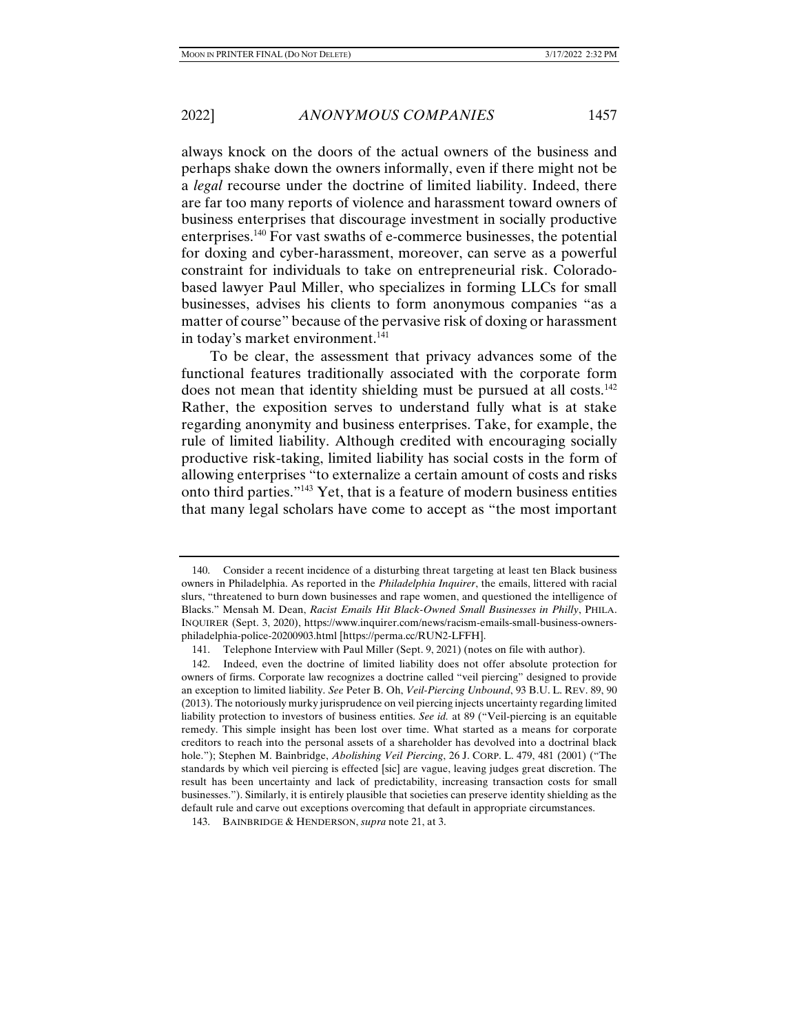always knock on the doors of the actual owners of the business and perhaps shake down the owners informally, even if there might not be a *legal* recourse under the doctrine of limited liability. Indeed, there are far too many reports of violence and harassment toward owners of business enterprises that discourage investment in socially productive enterprises.140 For vast swaths of e-commerce businesses, the potential for doxing and cyber-harassment, moreover, can serve as a powerful constraint for individuals to take on entrepreneurial risk. Coloradobased lawyer Paul Miller, who specializes in forming LLCs for small businesses, advises his clients to form anonymous companies "as a matter of course" because of the pervasive risk of doxing or harassment in today's market environment.<sup>141</sup>

To be clear, the assessment that privacy advances some of the functional features traditionally associated with the corporate form does not mean that identity shielding must be pursued at all costs.<sup>142</sup> Rather, the exposition serves to understand fully what is at stake regarding anonymity and business enterprises. Take, for example, the rule of limited liability. Although credited with encouraging socially productive risk-taking, limited liability has social costs in the form of allowing enterprises "to externalize a certain amount of costs and risks onto third parties."143 Yet, that is a feature of modern business entities that many legal scholars have come to accept as "the most important

 <sup>140.</sup> Consider a recent incidence of a disturbing threat targeting at least ten Black business owners in Philadelphia. As reported in the *Philadelphia Inquirer*, the emails, littered with racial slurs, "threatened to burn down businesses and rape women, and questioned the intelligence of Blacks." Mensah M. Dean, *Racist Emails Hit Black-Owned Small Businesses in Philly*, PHILA. INQUIRER (Sept. 3, 2020), https://www.inquirer.com/news/racism-emails-small-business-ownersphiladelphia-police-20200903.html [https://perma.cc/RUN2-LFFH].

 <sup>141.</sup> Telephone Interview with Paul Miller (Sept. 9, 2021) (notes on file with author).

 <sup>142.</sup> Indeed, even the doctrine of limited liability does not offer absolute protection for owners of firms. Corporate law recognizes a doctrine called "veil piercing" designed to provide an exception to limited liability. *See* Peter B. Oh, *Veil-Piercing Unbound*, 93 B.U. L. REV. 89, 90 (2013). The notoriously murky jurisprudence on veil piercing injects uncertainty regarding limited liability protection to investors of business entities. *See id.* at 89 ("Veil-piercing is an equitable remedy. This simple insight has been lost over time. What started as a means for corporate creditors to reach into the personal assets of a shareholder has devolved into a doctrinal black hole."); Stephen M. Bainbridge, *Abolishing Veil Piercing*, 26 J. CORP. L. 479, 481 (2001) ("The standards by which veil piercing is effected [sic] are vague, leaving judges great discretion. The result has been uncertainty and lack of predictability, increasing transaction costs for small businesses."). Similarly, it is entirely plausible that societies can preserve identity shielding as the default rule and carve out exceptions overcoming that default in appropriate circumstances.

 <sup>143.</sup> BAINBRIDGE & HENDERSON, *supra* note 21, at 3.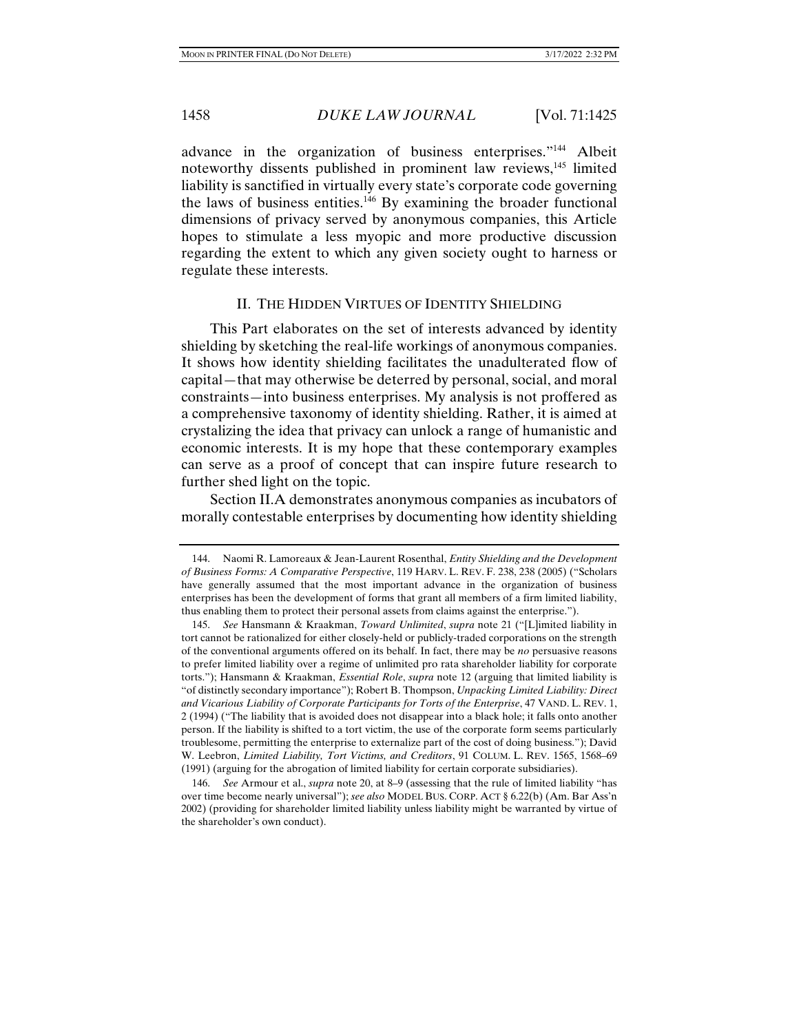advance in the organization of business enterprises."144 Albeit noteworthy dissents published in prominent law reviews,<sup>145</sup> limited liability is sanctified in virtually every state's corporate code governing the laws of business entities.<sup>146</sup> By examining the broader functional dimensions of privacy served by anonymous companies, this Article hopes to stimulate a less myopic and more productive discussion regarding the extent to which any given society ought to harness or regulate these interests.

#### II. THE HIDDEN VIRTUES OF IDENTITY SHIELDING

This Part elaborates on the set of interests advanced by identity shielding by sketching the real-life workings of anonymous companies. It shows how identity shielding facilitates the unadulterated flow of capital—that may otherwise be deterred by personal, social, and moral constraints—into business enterprises. My analysis is not proffered as a comprehensive taxonomy of identity shielding. Rather, it is aimed at crystalizing the idea that privacy can unlock a range of humanistic and economic interests. It is my hope that these contemporary examples can serve as a proof of concept that can inspire future research to further shed light on the topic.

Section II.A demonstrates anonymous companies as incubators of morally contestable enterprises by documenting how identity shielding

 <sup>144.</sup> Naomi R. Lamoreaux & Jean-Laurent Rosenthal, *Entity Shielding and the Development of Business Forms: A Comparative Perspective*, 119 HARV. L. REV. F. 238, 238 (2005) ("Scholars have generally assumed that the most important advance in the organization of business enterprises has been the development of forms that grant all members of a firm limited liability, thus enabling them to protect their personal assets from claims against the enterprise.").

 <sup>145.</sup> *See* Hansmann & Kraakman, *Toward Unlimited*, *supra* note 21 ("[L]imited liability in tort cannot be rationalized for either closely-held or publicly-traded corporations on the strength of the conventional arguments offered on its behalf. In fact, there may be *no* persuasive reasons to prefer limited liability over a regime of unlimited pro rata shareholder liability for corporate torts."); Hansmann & Kraakman, *Essential Role*, *supra* note 12 (arguing that limited liability is "of distinctly secondary importance"); Robert B. Thompson, *Unpacking Limited Liability: Direct and Vicarious Liability of Corporate Participants for Torts of the Enterprise*, 47 VAND. L. REV. 1, 2 (1994) ("The liability that is avoided does not disappear into a black hole; it falls onto another person. If the liability is shifted to a tort victim, the use of the corporate form seems particularly troublesome, permitting the enterprise to externalize part of the cost of doing business."); David W. Leebron, *Limited Liability, Tort Victims, and Creditors*, 91 COLUM. L. REV. 1565, 1568–69 (1991) (arguing for the abrogation of limited liability for certain corporate subsidiaries).

 <sup>146.</sup> *See* Armour et al., *supra* note 20, at 8–9 (assessing that the rule of limited liability "has over time become nearly universal"); *see also* MODEL BUS. CORP. ACT § 6.22(b) (Am. Bar Ass'n 2002) (providing for shareholder limited liability unless liability might be warranted by virtue of the shareholder's own conduct).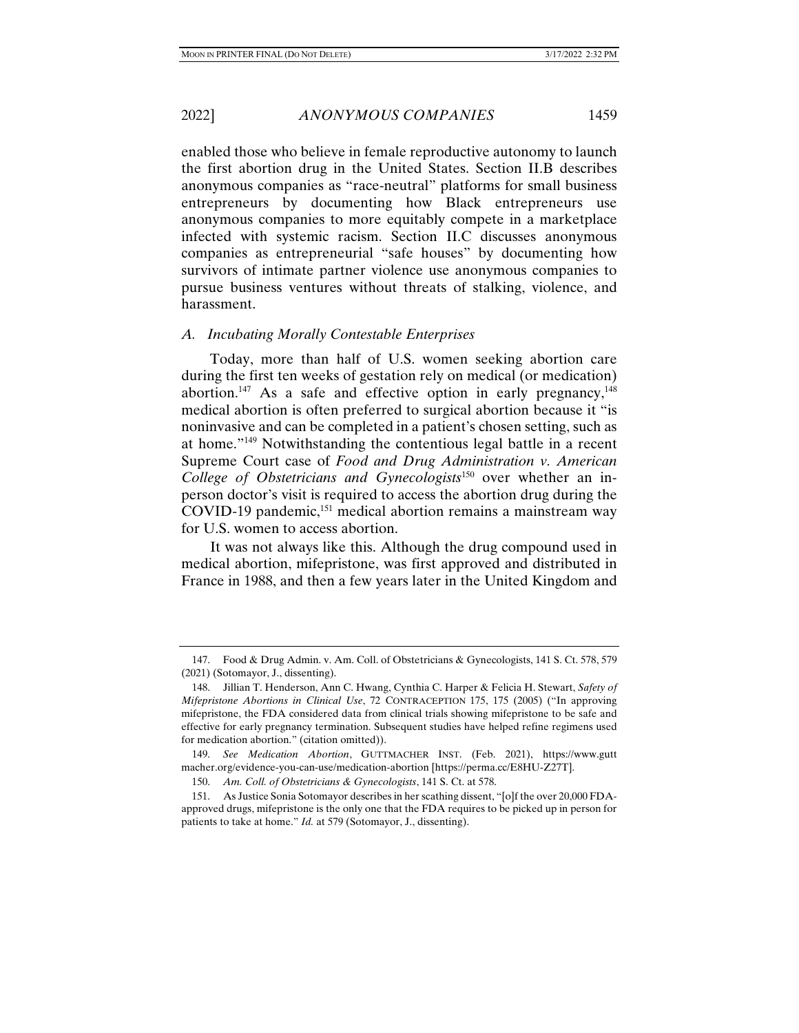harassment.

enabled those who believe in female reproductive autonomy to launch the first abortion drug in the United States. Section II.B describes anonymous companies as "race-neutral" platforms for small business entrepreneurs by documenting how Black entrepreneurs use anonymous companies to more equitably compete in a marketplace infected with systemic racism. Section II.C discusses anonymous companies as entrepreneurial "safe houses" by documenting how survivors of intimate partner violence use anonymous companies to pursue business ventures without threats of stalking, violence, and

# *A. Incubating Morally Contestable Enterprises*

Today, more than half of U.S. women seeking abortion care during the first ten weeks of gestation rely on medical (or medication) abortion.<sup>147</sup> As a safe and effective option in early pregnancy,  $148$ medical abortion is often preferred to surgical abortion because it "is noninvasive and can be completed in a patient's chosen setting, such as at home."149 Notwithstanding the contentious legal battle in a recent Supreme Court case of *Food and Drug Administration v. American College of Obstetricians and Gynecologists*150 over whether an inperson doctor's visit is required to access the abortion drug during the COVID-19 pandemic,<sup>151</sup> medical abortion remains a mainstream way for U.S. women to access abortion.

It was not always like this. Although the drug compound used in medical abortion, mifepristone, was first approved and distributed in France in 1988, and then a few years later in the United Kingdom and

 <sup>147.</sup> Food & Drug Admin. v. Am. Coll. of Obstetricians & Gynecologists, 141 S. Ct. 578, 579 (2021) (Sotomayor, J., dissenting).

 <sup>148.</sup> Jillian T. Henderson, Ann C. Hwang, Cynthia C. Harper & Felicia H. Stewart, *Safety of Mifepristone Abortions in Clinical Use*, 72 CONTRACEPTION 175, 175 (2005) ("In approving mifepristone, the FDA considered data from clinical trials showing mifepristone to be safe and effective for early pregnancy termination. Subsequent studies have helped refine regimens used for medication abortion." (citation omitted)).

 <sup>149.</sup> *See Medication Abortion*, GUTTMACHER INST. (Feb. 2021), https://www.gutt macher.org/evidence-you-can-use/medication-abortion [https://perma.cc/E8HU-Z27T].

 <sup>150.</sup> *Am. Coll. of Obstetricians & Gynecologists*, 141 S. Ct. at 578.

 <sup>151.</sup> As Justice Sonia Sotomayor describes in her scathing dissent, "[o]f the over 20,000 FDAapproved drugs, mifepristone is the only one that the FDA requires to be picked up in person for patients to take at home." *Id.* at 579 (Sotomayor, J., dissenting).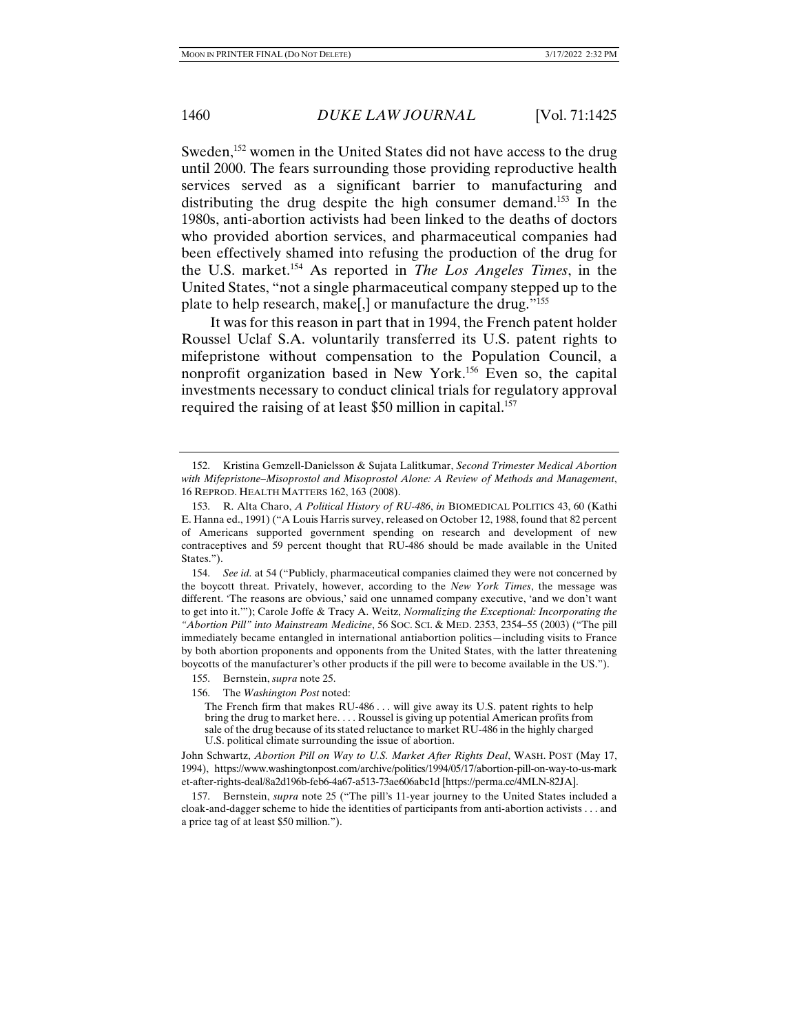Sweden,<sup>152</sup> women in the United States did not have access to the drug until 2000. The fears surrounding those providing reproductive health services served as a significant barrier to manufacturing and distributing the drug despite the high consumer demand.153 In the 1980s, anti-abortion activists had been linked to the deaths of doctors who provided abortion services, and pharmaceutical companies had been effectively shamed into refusing the production of the drug for the U.S. market.154 As reported in *The Los Angeles Times*, in the United States, "not a single pharmaceutical company stepped up to the plate to help research, make[,] or manufacture the drug."155

It was for this reason in part that in 1994, the French patent holder Roussel Uclaf S.A. voluntarily transferred its U.S. patent rights to mifepristone without compensation to the Population Council, a nonprofit organization based in New York.156 Even so, the capital investments necessary to conduct clinical trials for regulatory approval required the raising of at least \$50 million in capital.<sup>157</sup>

John Schwartz, *Abortion Pill on Way to U.S. Market After Rights Deal*, WASH. POST (May 17, 1994), https://www.washingtonpost.com/archive/politics/1994/05/17/abortion-pill-on-way-to-us-mark et-after-rights-deal/8a2d196b-feb6-4a67-a513-73ae606abc1d [https://perma.cc/4MLN-82JA].

 <sup>152.</sup> Kristina Gemzell-Danielsson & Sujata Lalitkumar, *Second Trimester Medical Abortion with Mifepristone–Misoprostol and Misoprostol Alone: A Review of Methods and Management*, 16 REPROD. HEALTH MATTERS 162, 163 (2008).

 <sup>153.</sup> R. Alta Charo, *A Political History of RU-486*, *in* BIOMEDICAL POLITICS 43, 60 (Kathi E. Hanna ed., 1991) ("A Louis Harris survey, released on October 12, 1988, found that 82 percent of Americans supported government spending on research and development of new contraceptives and 59 percent thought that RU-486 should be made available in the United States.").

 <sup>154.</sup> *See id.* at 54 ("Publicly, pharmaceutical companies claimed they were not concerned by the boycott threat. Privately, however, according to the *New York Times*, the message was different. 'The reasons are obvious,' said one unnamed company executive, 'and we don't want to get into it.'"); Carole Joffe & Tracy A. Weitz, *Normalizing the Exceptional: Incorporating the "Abortion Pill" into Mainstream Medicine*, 56 SOC. SCI. & MED. 2353, 2354–55 (2003) ("The pill immediately became entangled in international antiabortion politics—including visits to France by both abortion proponents and opponents from the United States, with the latter threatening boycotts of the manufacturer's other products if the pill were to become available in the US.").

 <sup>155.</sup> Bernstein, *supra* note 25.

 <sup>156.</sup> The *Washington Post* noted:

The French firm that makes  $RU-486...$  will give away its U.S. patent rights to help bring the drug to market here. . . . Roussel is giving up potential American profits from sale of the drug because of its stated reluctance to market RU-486 in the highly charged U.S. political climate surrounding the issue of abortion.

 <sup>157.</sup> Bernstein, *supra* note 25 ("The pill's 11-year journey to the United States included a cloak-and-dagger scheme to hide the identities of participants from anti-abortion activists . . . and a price tag of at least \$50 million.").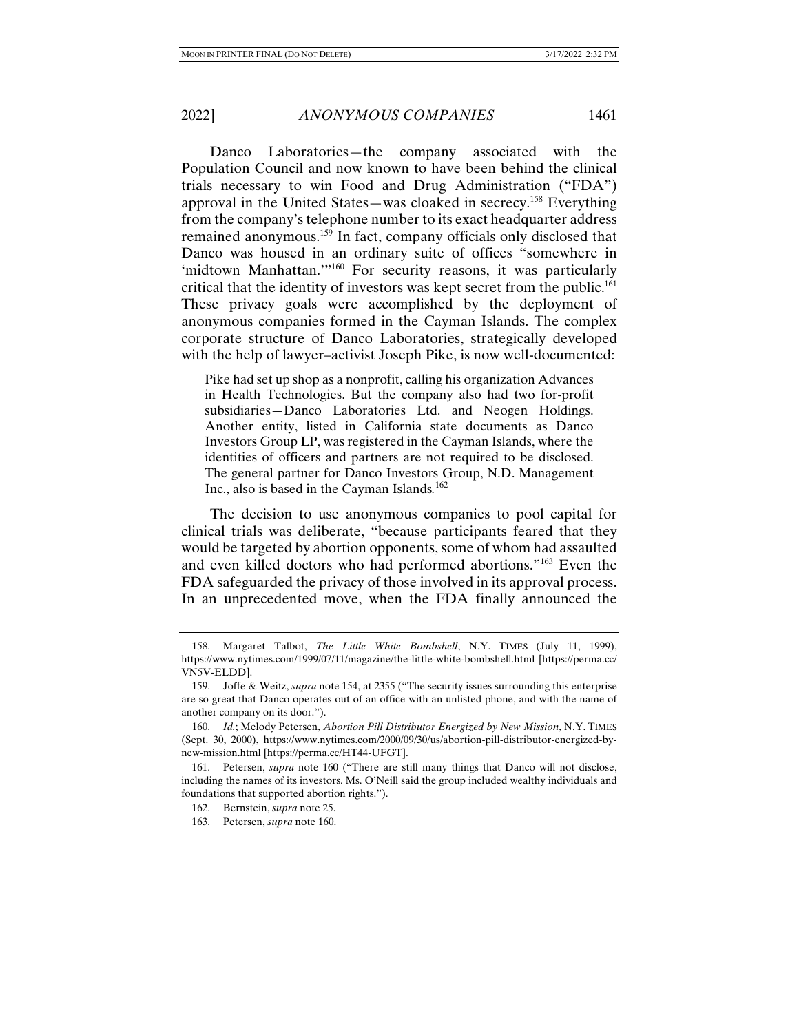Danco Laboratories—the company associated with the Population Council and now known to have been behind the clinical trials necessary to win Food and Drug Administration ("FDA") approval in the United States—was cloaked in secrecy.158 Everything from the company's telephone number to its exact headquarter address remained anonymous.159 In fact, company officials only disclosed that Danco was housed in an ordinary suite of offices "somewhere in 'midtown Manhattan.'"160 For security reasons, it was particularly critical that the identity of investors was kept secret from the public.161 These privacy goals were accomplished by the deployment of anonymous companies formed in the Cayman Islands. The complex corporate structure of Danco Laboratories, strategically developed with the help of lawyer–activist Joseph Pike, is now well-documented:

Pike had set up shop as a nonprofit, calling his organization Advances in Health Technologies. But the company also had two for-profit subsidiaries—Danco Laboratories Ltd. and Neogen Holdings. Another entity, listed in California state documents as Danco Investors Group LP, was registered in the Cayman Islands, where the identities of officers and partners are not required to be disclosed. The general partner for Danco Investors Group, N.D. Management Inc., also is based in the Cayman Islands*.* 162

The decision to use anonymous companies to pool capital for clinical trials was deliberate, "because participants feared that they would be targeted by abortion opponents, some of whom had assaulted and even killed doctors who had performed abortions."163 Even the FDA safeguarded the privacy of those involved in its approval process. In an unprecedented move, when the FDA finally announced the

 <sup>158.</sup> Margaret Talbot, *The Little White Bombshell*, N.Y. TIMES (July 11, 1999), https://www.nytimes.com/1999/07/11/magazine/the-little-white-bombshell.html [https://perma.cc/ VN5V-ELDD].

 <sup>159.</sup> Joffe & Weitz, *supra* note 154, at 2355 ("The security issues surrounding this enterprise are so great that Danco operates out of an office with an unlisted phone, and with the name of another company on its door.").

 <sup>160.</sup> *Id.*; Melody Petersen, *Abortion Pill Distributor Energized by New Mission*, N.Y. TIMES (Sept. 30, 2000), https://www.nytimes.com/2000/09/30/us/abortion-pill-distributor-energized-bynew-mission.html [https://perma.cc/HT44-UFGT].

 <sup>161.</sup> Petersen, *supra* note 160 ("There are still many things that Danco will not disclose, including the names of its investors. Ms. O'Neill said the group included wealthy individuals and foundations that supported abortion rights.").

 <sup>162.</sup> Bernstein, *supra* note 25.

 <sup>163.</sup> Petersen, *supra* note 160.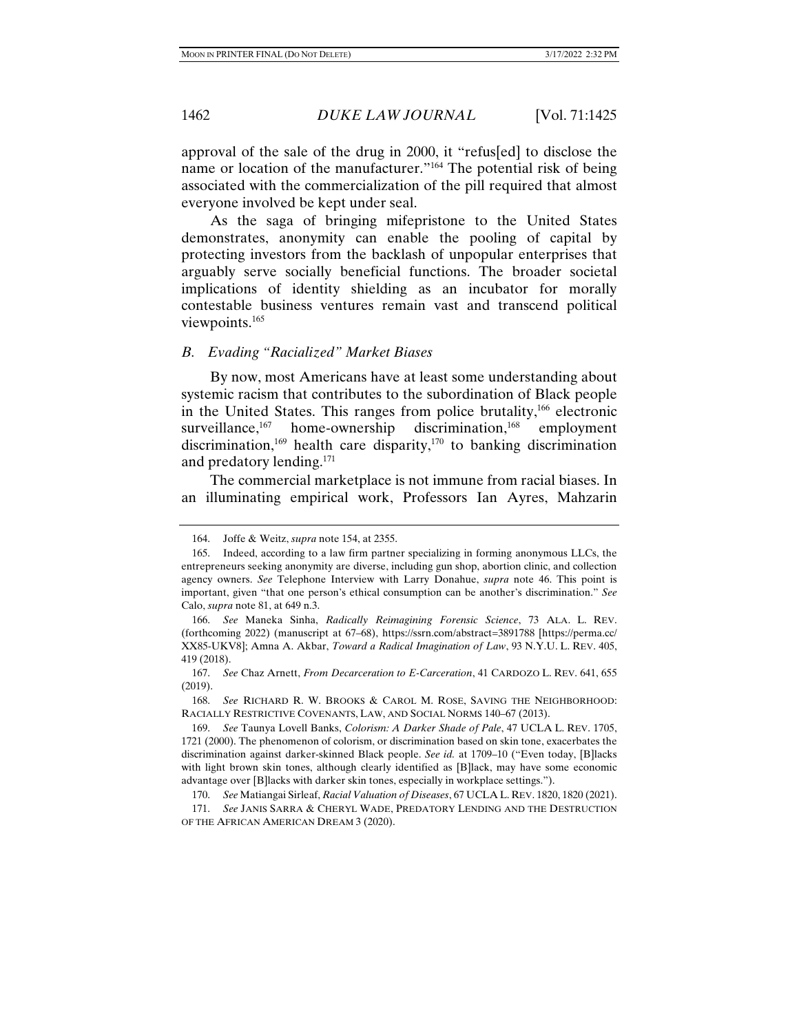approval of the sale of the drug in 2000, it "refus[ed] to disclose the name or location of the manufacturer."164 The potential risk of being associated with the commercialization of the pill required that almost everyone involved be kept under seal.

As the saga of bringing mifepristone to the United States demonstrates, anonymity can enable the pooling of capital by protecting investors from the backlash of unpopular enterprises that arguably serve socially beneficial functions. The broader societal implications of identity shielding as an incubator for morally contestable business ventures remain vast and transcend political viewpoints.165

## *B. Evading "Racialized" Market Biases*

By now, most Americans have at least some understanding about systemic racism that contributes to the subordination of Black people in the United States. This ranges from police brutality, $166$  electronic surveillance, $167$  home-ownership discrimination, $168$  employment discrimination,<sup>169</sup> health care disparity,<sup>170</sup> to banking discrimination and predatory lending.<sup>171</sup>

The commercial marketplace is not immune from racial biases. In an illuminating empirical work, Professors Ian Ayres, Mahzarin

 <sup>164.</sup> Joffe & Weitz, *supra* note 154, at 2355.

 <sup>165.</sup> Indeed, according to a law firm partner specializing in forming anonymous LLCs, the entrepreneurs seeking anonymity are diverse, including gun shop, abortion clinic, and collection agency owners. *See* Telephone Interview with Larry Donahue, *supra* note 46. This point is important, given "that one person's ethical consumption can be another's discrimination." *See*  Calo, *supra* note 81, at 649 n.3.

 <sup>166.</sup> *See* Maneka Sinha, *Radically Reimagining Forensic Science*, 73 ALA. L. REV. (forthcoming 2022) (manuscript at 67–68), https://ssrn.com/abstract=3891788 [https://perma.cc/ XX85-UKV8]; Amna A. Akbar, *Toward a Radical Imagination of Law*, 93 N.Y.U. L. REV. 405, 419 (2018).

 <sup>167.</sup> *See* Chaz Arnett, *From Decarceration to E-Carceration*, 41 CARDOZO L. REV. 641, 655 (2019).

 <sup>168.</sup> *See* RICHARD R. W. BROOKS & CAROL M. ROSE, SAVING THE NEIGHBORHOOD: RACIALLY RESTRICTIVE COVENANTS, LAW, AND SOCIAL NORMS 140–67 (2013).

 <sup>169.</sup> *See* Taunya Lovell Banks, *Colorism: A Darker Shade of Pale*, 47 UCLA L. REV. 1705, 1721 (2000). The phenomenon of colorism, or discrimination based on skin tone, exacerbates the discrimination against darker-skinned Black people. *See id.* at 1709–10 ("Even today, [B]lacks with light brown skin tones, although clearly identified as [B]lack, may have some economic advantage over [B]lacks with darker skin tones, especially in workplace settings.").

 <sup>170.</sup> *See* Matiangai Sirleaf, *Racial Valuation of Diseases*, 67 UCLA L. REV. 1820, 1820 (2021).

 <sup>171.</sup> *See* JANIS SARRA & CHERYL WADE, PREDATORY LENDING AND THE DESTRUCTION OF THE AFRICAN AMERICAN DREAM 3 (2020).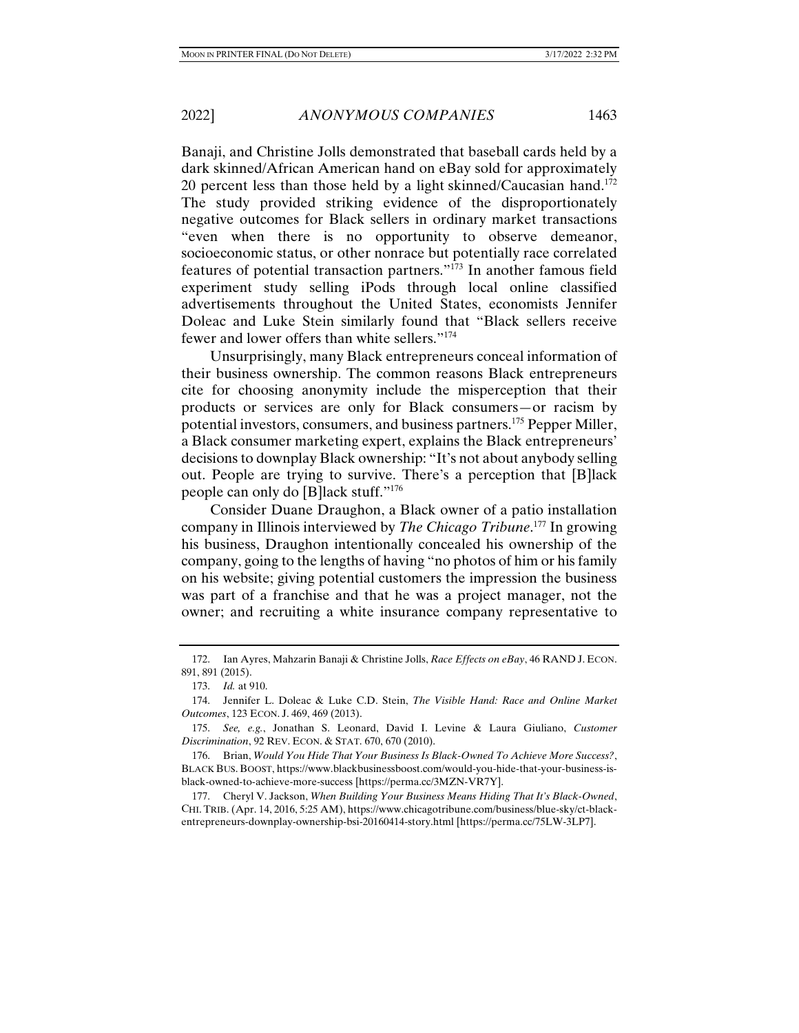Banaji, and Christine Jolls demonstrated that baseball cards held by a dark skinned/African American hand on eBay sold for approximately 20 percent less than those held by a light skinned/Caucasian hand.<sup>172</sup> The study provided striking evidence of the disproportionately negative outcomes for Black sellers in ordinary market transactions "even when there is no opportunity to observe demeanor, socioeconomic status, or other nonrace but potentially race correlated features of potential transaction partners."173 In another famous field experiment study selling iPods through local online classified advertisements throughout the United States, economists Jennifer Doleac and Luke Stein similarly found that "Black sellers receive fewer and lower offers than white sellers."174

Unsurprisingly, many Black entrepreneurs conceal information of their business ownership. The common reasons Black entrepreneurs cite for choosing anonymity include the misperception that their products or services are only for Black consumers—or racism by potential investors, consumers, and business partners.175 Pepper Miller, a Black consumer marketing expert, explains the Black entrepreneurs' decisions to downplay Black ownership: "It's not about anybody selling out. People are trying to survive. There's a perception that [B]lack people can only do [B]lack stuff."176

Consider Duane Draughon, a Black owner of a patio installation company in Illinois interviewed by *The Chicago Tribune*. 177 In growing his business, Draughon intentionally concealed his ownership of the company, going to the lengths of having "no photos of him or his family on his website; giving potential customers the impression the business was part of a franchise and that he was a project manager, not the owner; and recruiting a white insurance company representative to

 <sup>172.</sup> Ian Ayres, Mahzarin Banaji & Christine Jolls, *Race Effects on eBay*, 46 RAND J. ECON. 891, 891 (2015).

 <sup>173.</sup> *Id.* at 910.

 <sup>174.</sup> Jennifer L. Doleac & Luke C.D. Stein, *The Visible Hand: Race and Online Market Outcomes*, 123 ECON. J. 469, 469 (2013).

 <sup>175.</sup> *See, e.g.*, Jonathan S. Leonard, David I. Levine & Laura Giuliano, *Customer Discrimination*, 92 REV. ECON. & STAT. 670, 670 (2010).

 <sup>176.</sup> Brian, *Would You Hide That Your Business Is Black-Owned To Achieve More Success?*, BLACK BUS. BOOST, https://www.blackbusinessboost.com/would-you-hide-that-your-business-isblack-owned-to-achieve-more-success [https://perma.cc/3MZN-VR7Y].

 <sup>177.</sup> Cheryl V. Jackson, *When Building Your Business Means Hiding That It's Black-Owned*, CHI. TRIB. (Apr. 14, 2016, 5:25 AM), https://www.chicagotribune.com/business/blue-sky/ct-blackentrepreneurs-downplay-ownership-bsi-20160414-story.html [https://perma.cc/75LW-3LP7].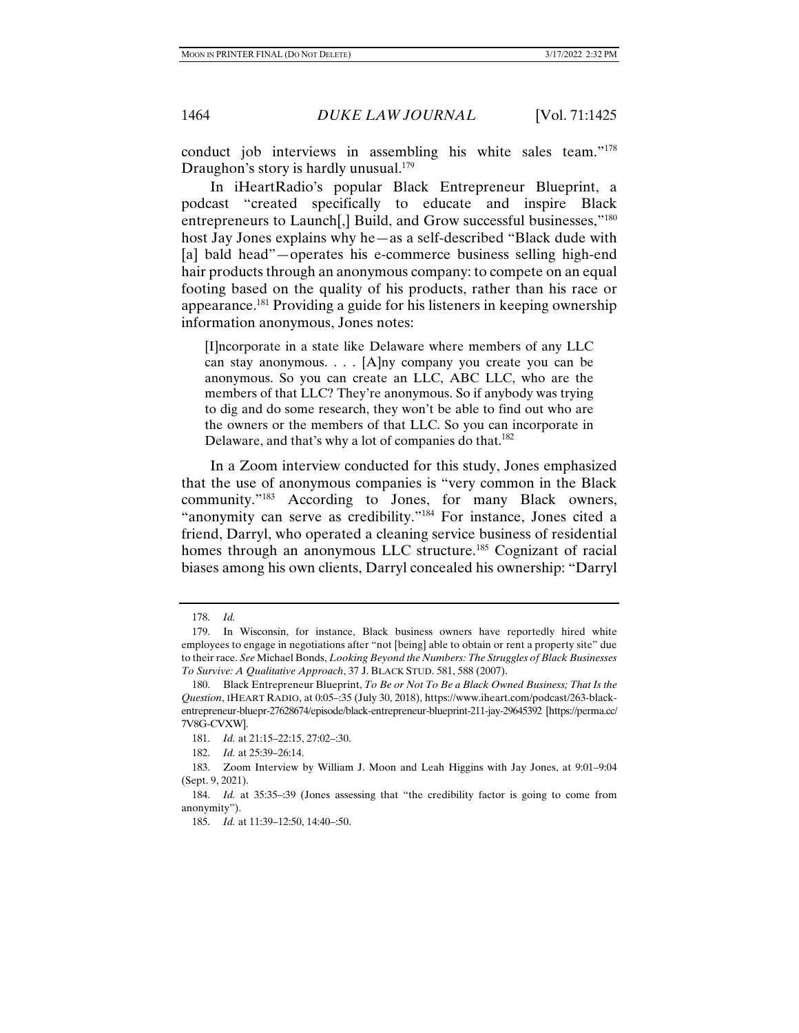conduct job interviews in assembling his white sales team."178 Draughon's story is hardly unusual. $179$ 

In iHeartRadio's popular Black Entrepreneur Blueprint, a podcast "created specifically to educate and inspire Black entrepreneurs to Launch[,] Build, and Grow successful businesses,"<sup>180</sup> host Jay Jones explains why he—as a self-described "Black dude with [a] bald head"—operates his e-commerce business selling high-end hair products through an anonymous company: to compete on an equal footing based on the quality of his products, rather than his race or appearance.181 Providing a guide for his listeners in keeping ownership information anonymous, Jones notes:

[I]ncorporate in a state like Delaware where members of any LLC can stay anonymous. . . . [A]ny company you create you can be anonymous. So you can create an LLC, ABC LLC, who are the members of that LLC? They're anonymous. So if anybody was trying to dig and do some research, they won't be able to find out who are the owners or the members of that LLC. So you can incorporate in Delaware, and that's why a lot of companies do that.<sup>182</sup>

In a Zoom interview conducted for this study, Jones emphasized that the use of anonymous companies is "very common in the Black community."183 According to Jones, for many Black owners, "anonymity can serve as credibility."184 For instance, Jones cited a friend, Darryl, who operated a cleaning service business of residential homes through an anonymous LLC structure.<sup>185</sup> Cognizant of racial biases among his own clients, Darryl concealed his ownership: "Darryl

 <sup>178.</sup> *Id.*

 <sup>179.</sup> In Wisconsin, for instance, Black business owners have reportedly hired white employees to engage in negotiations after "not [being] able to obtain or rent a property site" due to their race. *See* Michael Bonds, *Looking Beyond the Numbers: The Struggles of Black Businesses To Survive: A Qualitative Approach*, 37 J. BLACK STUD. 581, 588 (2007).

 <sup>180.</sup> Black Entrepreneur Blueprint, *To Be or Not To Be a Black Owned Business; That Is the Question*, IHEART RADIO, at 0:05–:35 (July 30, 2018), https://www.iheart.com/podcast/263-blackentrepreneur-bluepr-27628674/episode/black-entrepreneur-blueprint-211-jay-29645392 [https://perma.cc/ 7V8G-CVXW].

 <sup>181.</sup> *Id.* at 21:15–22:15, 27:02–:30.

 <sup>182.</sup> *Id.* at 25:39–26:14.

 <sup>183.</sup> Zoom Interview by William J. Moon and Leah Higgins with Jay Jones, at 9:01–9:04 (Sept. 9, 2021).

 <sup>184.</sup> *Id.* at 35:35–:39 (Jones assessing that "the credibility factor is going to come from anonymity").

 <sup>185.</sup> *Id.* at 11:39–12:50, 14:40–:50.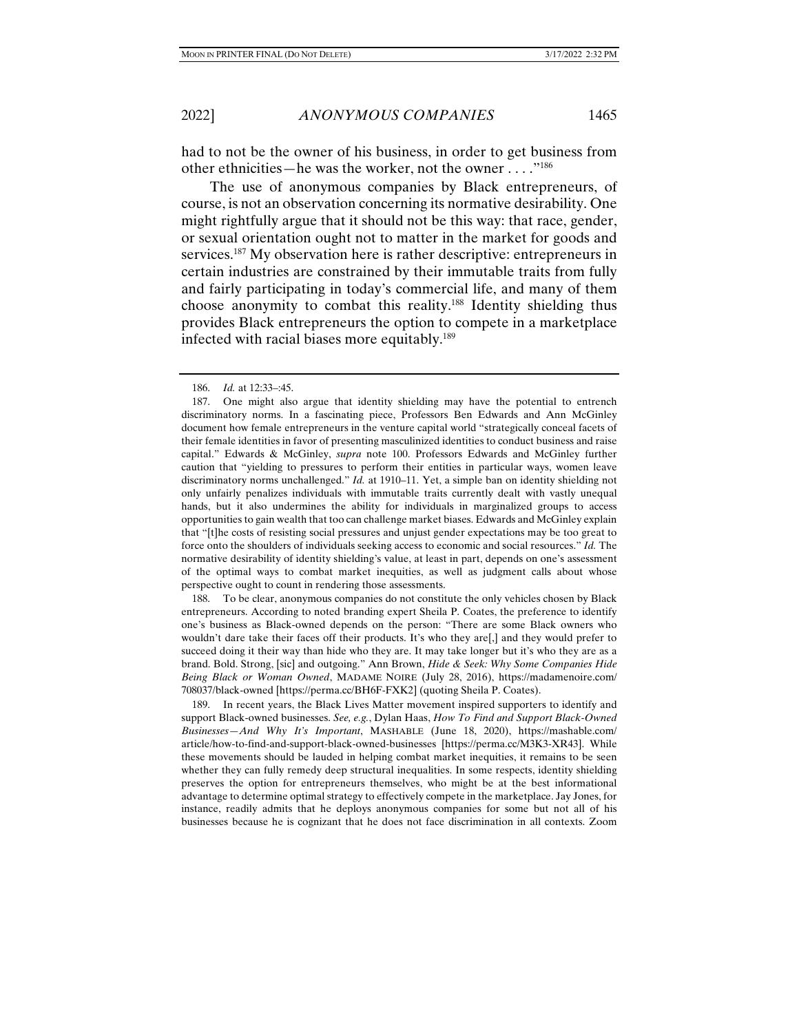had to not be the owner of his business, in order to get business from other ethnicities—he was the worker, not the owner . . . ."186

The use of anonymous companies by Black entrepreneurs, of course, is not an observation concerning its normative desirability. One might rightfully argue that it should not be this way: that race, gender, or sexual orientation ought not to matter in the market for goods and services.<sup>187</sup> My observation here is rather descriptive: entrepreneurs in certain industries are constrained by their immutable traits from fully and fairly participating in today's commercial life, and many of them choose anonymity to combat this reality.188 Identity shielding thus provides Black entrepreneurs the option to compete in a marketplace infected with racial biases more equitably.<sup>189</sup>

 188. To be clear, anonymous companies do not constitute the only vehicles chosen by Black entrepreneurs. According to noted branding expert Sheila P. Coates, the preference to identify one's business as Black-owned depends on the person: "There are some Black owners who wouldn't dare take their faces off their products. It's who they are[,] and they would prefer to succeed doing it their way than hide who they are. It may take longer but it's who they are as a brand. Bold. Strong, [sic] and outgoing." Ann Brown, *Hide & Seek: Why Some Companies Hide Being Black or Woman Owned*, MADAME NOIRE (July 28, 2016), https://madamenoire.com/ 708037/black-owned [https://perma.cc/BH6F-FXK2] (quoting Sheila P. Coates).

 189. In recent years, the Black Lives Matter movement inspired supporters to identify and support Black-owned businesses. *See, e.g.*, Dylan Haas, *How To Find and Support Black-Owned Businesses—And Why It's Important*, MASHABLE (June 18, 2020), https://mashable.com/ article/how-to-find-and-support-black-owned-businesses [https://perma.cc/M3K3-XR43]. While these movements should be lauded in helping combat market inequities, it remains to be seen whether they can fully remedy deep structural inequalities. In some respects, identity shielding preserves the option for entrepreneurs themselves, who might be at the best informational advantage to determine optimal strategy to effectively compete in the marketplace. Jay Jones, for instance, readily admits that he deploys anonymous companies for some but not all of his businesses because he is cognizant that he does not face discrimination in all contexts. Zoom

 <sup>186.</sup> *Id.* at 12:33–:45.

 <sup>187.</sup> One might also argue that identity shielding may have the potential to entrench discriminatory norms. In a fascinating piece, Professors Ben Edwards and Ann McGinley document how female entrepreneurs in the venture capital world "strategically conceal facets of their female identities in favor of presenting masculinized identities to conduct business and raise capital." Edwards & McGinley, *supra* note 100. Professors Edwards and McGinley further caution that "yielding to pressures to perform their entities in particular ways, women leave discriminatory norms unchallenged." *Id.* at 1910–11. Yet, a simple ban on identity shielding not only unfairly penalizes individuals with immutable traits currently dealt with vastly unequal hands, but it also undermines the ability for individuals in marginalized groups to access opportunities to gain wealth that too can challenge market biases. Edwards and McGinley explain that "[t]he costs of resisting social pressures and unjust gender expectations may be too great to force onto the shoulders of individuals seeking access to economic and social resources." *Id.* The normative desirability of identity shielding's value, at least in part, depends on one's assessment of the optimal ways to combat market inequities, as well as judgment calls about whose perspective ought to count in rendering those assessments.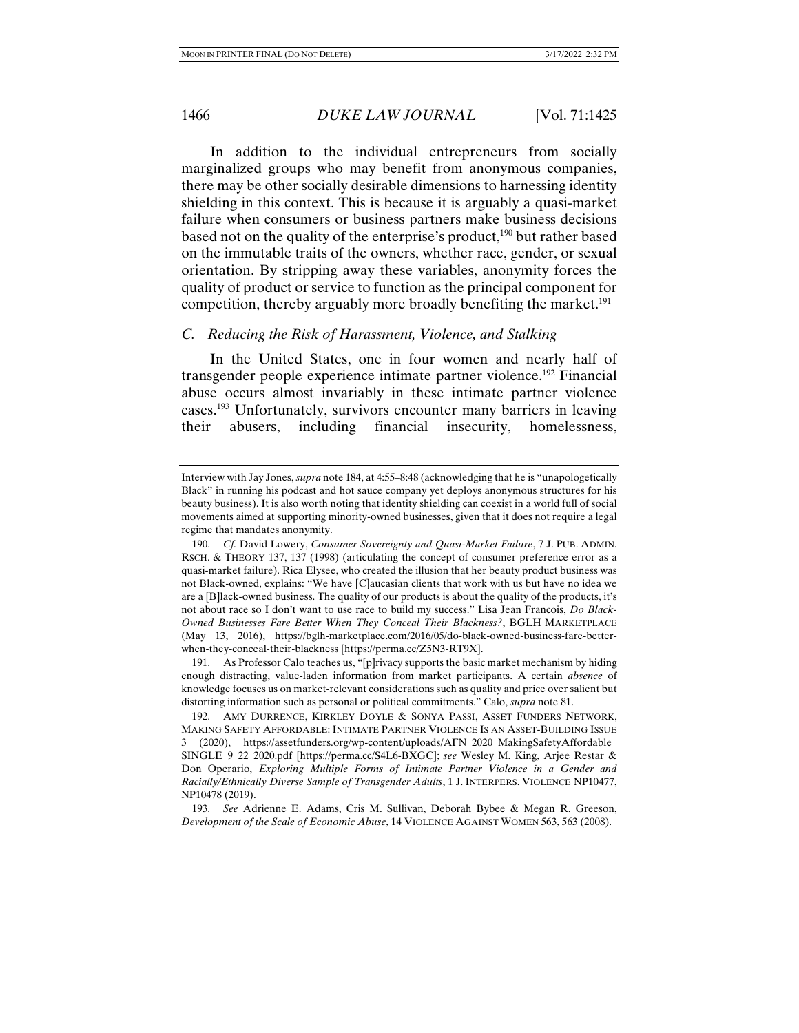In addition to the individual entrepreneurs from socially marginalized groups who may benefit from anonymous companies, there may be other socially desirable dimensions to harnessing identity shielding in this context. This is because it is arguably a quasi-market failure when consumers or business partners make business decisions based not on the quality of the enterprise's product,<sup>190</sup> but rather based on the immutable traits of the owners, whether race, gender, or sexual orientation. By stripping away these variables, anonymity forces the quality of product or service to function as the principal component for competition, thereby arguably more broadly benefiting the market.<sup>191</sup>

#### *C. Reducing the Risk of Harassment, Violence, and Stalking*

In the United States, one in four women and nearly half of transgender people experience intimate partner violence.<sup>192</sup> Financial abuse occurs almost invariably in these intimate partner violence cases.193 Unfortunately, survivors encounter many barriers in leaving their abusers, including financial insecurity, homelessness,

Interview with Jay Jones, *supra* note 184, at 4:55–8:48 (acknowledging that he is "unapologetically Black" in running his podcast and hot sauce company yet deploys anonymous structures for his beauty business). It is also worth noting that identity shielding can coexist in a world full of social movements aimed at supporting minority-owned businesses, given that it does not require a legal regime that mandates anonymity.

 <sup>190.</sup> *Cf.* David Lowery, *Consumer Sovereignty and Quasi-Market Failure*, 7 J. PUB. ADMIN. RSCH. & THEORY 137, 137 (1998) (articulating the concept of consumer preference error as a quasi-market failure). Rica Elysee, who created the illusion that her beauty product business was not Black-owned, explains: "We have [C]aucasian clients that work with us but have no idea we are a [B]lack-owned business. The quality of our products is about the quality of the products, it's not about race so I don't want to use race to build my success." Lisa Jean Francois, *Do Black-Owned Businesses Fare Better When They Conceal Their Blackness?*, BGLH MARKETPLACE (May 13, 2016), https://bglh-marketplace.com/2016/05/do-black-owned-business-fare-betterwhen-they-conceal-their-blackness [https://perma.cc/Z5N3-RT9X].

 <sup>191.</sup> As Professor Calo teaches us, "[p]rivacy supports the basic market mechanism by hiding enough distracting, value-laden information from market participants. A certain *absence* of knowledge focuses us on market-relevant considerations such as quality and price over salient but distorting information such as personal or political commitments." Calo, *supra* note 81.

 <sup>192.</sup> AMY DURRENCE, KIRKLEY DOYLE & SONYA PASSI, ASSET FUNDERS NETWORK, MAKING SAFETY AFFORDABLE: INTIMATE PARTNER VIOLENCE IS AN ASSET-BUILDING ISSUE 3 (2020), https://assetfunders.org/wp-content/uploads/AFN\_2020\_MakingSafetyAffordable\_ SINGLE\_9\_22\_2020.pdf [https://perma.cc/S4L6-BXGC]; *see* Wesley M. King, Arjee Restar & Don Operario, *Exploring Multiple Forms of Intimate Partner Violence in a Gender and Racially/Ethnically Diverse Sample of Transgender Adults*, 1 J. INTERPERS. VIOLENCE NP10477, NP10478 (2019).

 <sup>193.</sup> *See* Adrienne E. Adams, Cris M. Sullivan, Deborah Bybee & Megan R. Greeson, *Development of the Scale of Economic Abuse*, 14 VIOLENCE AGAINST WOMEN 563, 563 (2008).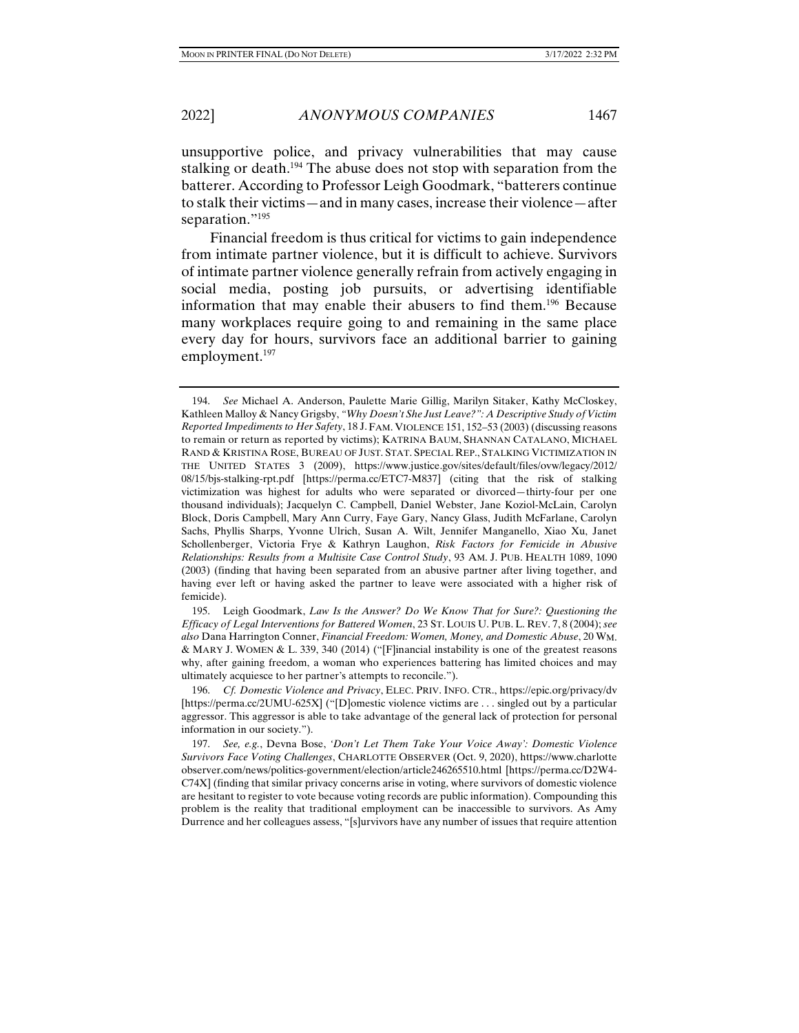unsupportive police, and privacy vulnerabilities that may cause stalking or death.<sup>194</sup> The abuse does not stop with separation from the batterer. According to Professor Leigh Goodmark, "batterers continue to stalk their victims—and in many cases, increase their violence—after separation."<sup>195</sup>

Financial freedom is thus critical for victims to gain independence from intimate partner violence, but it is difficult to achieve. Survivors of intimate partner violence generally refrain from actively engaging in social media, posting job pursuits, or advertising identifiable information that may enable their abusers to find them.196 Because many workplaces require going to and remaining in the same place every day for hours, survivors face an additional barrier to gaining employment.<sup>197</sup>

 195. Leigh Goodmark, *Law Is the Answer? Do We Know That for Sure?: Questioning the Efficacy of Legal Interventions for Battered Women*, 23 ST. LOUIS U. PUB. L. REV. 7, 8 (2004); *see also* Dana Harrington Conner, *Financial Freedom: Women, Money, and Domestic Abuse*, 20 WM. & MARY J. WOMEN & L. 339, 340 (2014) ("[F]inancial instability is one of the greatest reasons why, after gaining freedom, a woman who experiences battering has limited choices and may ultimately acquiesce to her partner's attempts to reconcile.").

 196. *Cf. Domestic Violence and Privacy*, ELEC. PRIV. INFO. CTR., https://epic.org/privacy/dv [https://perma.cc/2UMU-625X] ("[D]omestic violence victims are . . . singled out by a particular aggressor. This aggressor is able to take advantage of the general lack of protection for personal information in our society.").

 197. *See, e.g.*, Devna Bose, *'Don't Let Them Take Your Voice Away': Domestic Violence Survivors Face Voting Challenges*, CHARLOTTE OBSERVER (Oct. 9, 2020), https://www.charlotte observer.com/news/politics-government/election/article246265510.html [https://perma.cc/D2W4- C74X] (finding that similar privacy concerns arise in voting, where survivors of domestic violence are hesitant to register to vote because voting records are public information). Compounding this problem is the reality that traditional employment can be inaccessible to survivors. As Amy Durrence and her colleagues assess, "[s]urvivors have any number of issues that require attention

 <sup>194.</sup> *See* Michael A. Anderson, Paulette Marie Gillig, Marilyn Sitaker, Kathy McCloskey, Kathleen Malloy & Nancy Grigsby, *"Why Doesn't She Just Leave?": A Descriptive Study of Victim Reported Impediments to Her Safety*, 18 J. FAM. VIOLENCE 151, 152–53 (2003) (discussing reasons to remain or return as reported by victims); KATRINA BAUM, SHANNAN CATALANO, MICHAEL RAND & KRISTINA ROSE, BUREAU OF JUST. STAT. SPECIAL REP., STALKING VICTIMIZATION IN THE UNITED STATES 3 (2009), https://www.justice.gov/sites/default/files/ovw/legacy/2012/ 08/15/bjs-stalking-rpt.pdf [https://perma.cc/ETC7-M837] (citing that the risk of stalking victimization was highest for adults who were separated or divorced—thirty-four per one thousand individuals); Jacquelyn C. Campbell, Daniel Webster, Jane Koziol-McLain, Carolyn Block, Doris Campbell, Mary Ann Curry, Faye Gary, Nancy Glass, Judith McFarlane, Carolyn Sachs, Phyllis Sharps, Yvonne Ulrich, Susan A. Wilt, Jennifer Manganello, Xiao Xu, Janet Schollenberger, Victoria Frye & Kathryn Laughon, *Risk Factors for Femicide in Abusive Relationships: Results from a Multisite Case Control Study*, 93 AM. J. PUB. HEALTH 1089, 1090 (2003) (finding that having been separated from an abusive partner after living together, and having ever left or having asked the partner to leave were associated with a higher risk of femicide).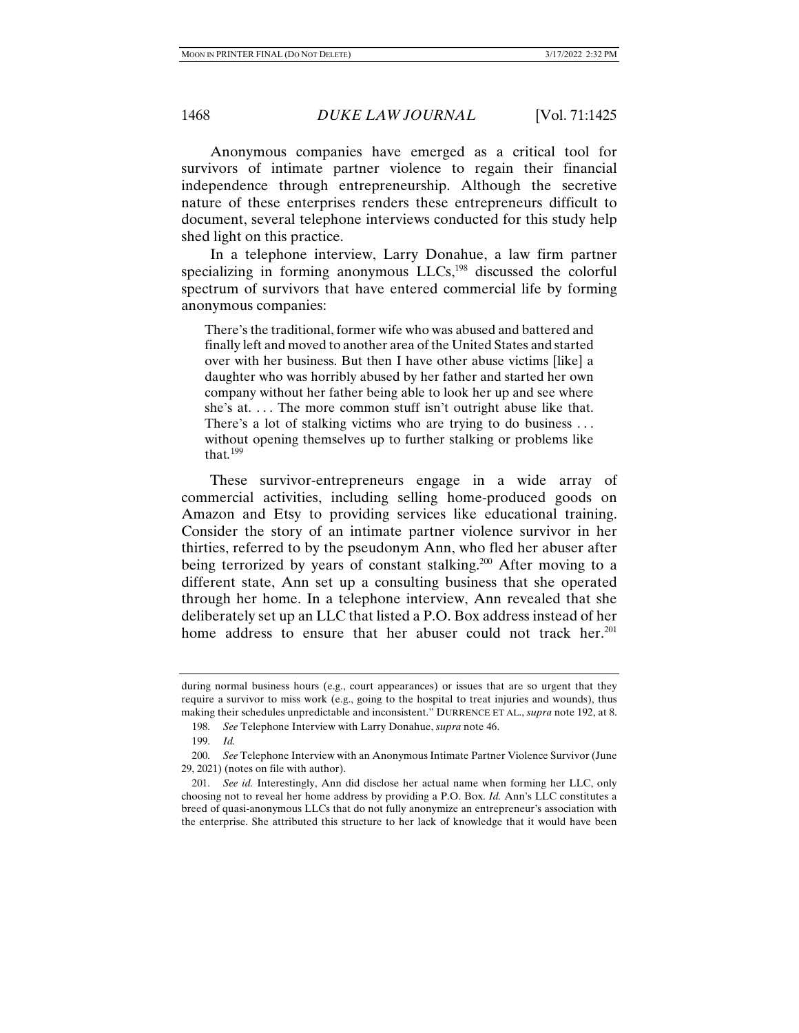Anonymous companies have emerged as a critical tool for survivors of intimate partner violence to regain their financial independence through entrepreneurship. Although the secretive nature of these enterprises renders these entrepreneurs difficult to document, several telephone interviews conducted for this study help shed light on this practice.

In a telephone interview, Larry Donahue, a law firm partner specializing in forming anonymous LLCs,<sup>198</sup> discussed the colorful spectrum of survivors that have entered commercial life by forming anonymous companies:

There's the traditional, former wife who was abused and battered and finally left and moved to another area of the United States and started over with her business. But then I have other abuse victims [like] a daughter who was horribly abused by her father and started her own company without her father being able to look her up and see where she's at.... The more common stuff isn't outright abuse like that. There's a lot of stalking victims who are trying to do business ... without opening themselves up to further stalking or problems like that*.* 199

These survivor-entrepreneurs engage in a wide array of commercial activities, including selling home-produced goods on Amazon and Etsy to providing services like educational training. Consider the story of an intimate partner violence survivor in her thirties, referred to by the pseudonym Ann, who fled her abuser after being terrorized by years of constant stalking.<sup>200</sup> After moving to a different state, Ann set up a consulting business that she operated through her home. In a telephone interview, Ann revealed that she deliberately set up an LLC that listed a P.O. Box address instead of her home address to ensure that her abuser could not track her.<sup>201</sup>

during normal business hours (e.g., court appearances) or issues that are so urgent that they require a survivor to miss work (e.g., going to the hospital to treat injuries and wounds), thus making their schedules unpredictable and inconsistent." DURRENCE ET AL., *supra* note 192, at 8.

 <sup>198.</sup> *See* Telephone Interview with Larry Donahue, *supra* note 46.

 <sup>199.</sup> *Id.*

 <sup>200.</sup> *See* Telephone Interview with an Anonymous Intimate Partner Violence Survivor (June 29, 2021) (notes on file with author).

 <sup>201.</sup> *See id.* Interestingly, Ann did disclose her actual name when forming her LLC, only choosing not to reveal her home address by providing a P.O. Box. *Id.* Ann's LLC constitutes a breed of quasi-anonymous LLCs that do not fully anonymize an entrepreneur's association with the enterprise. She attributed this structure to her lack of knowledge that it would have been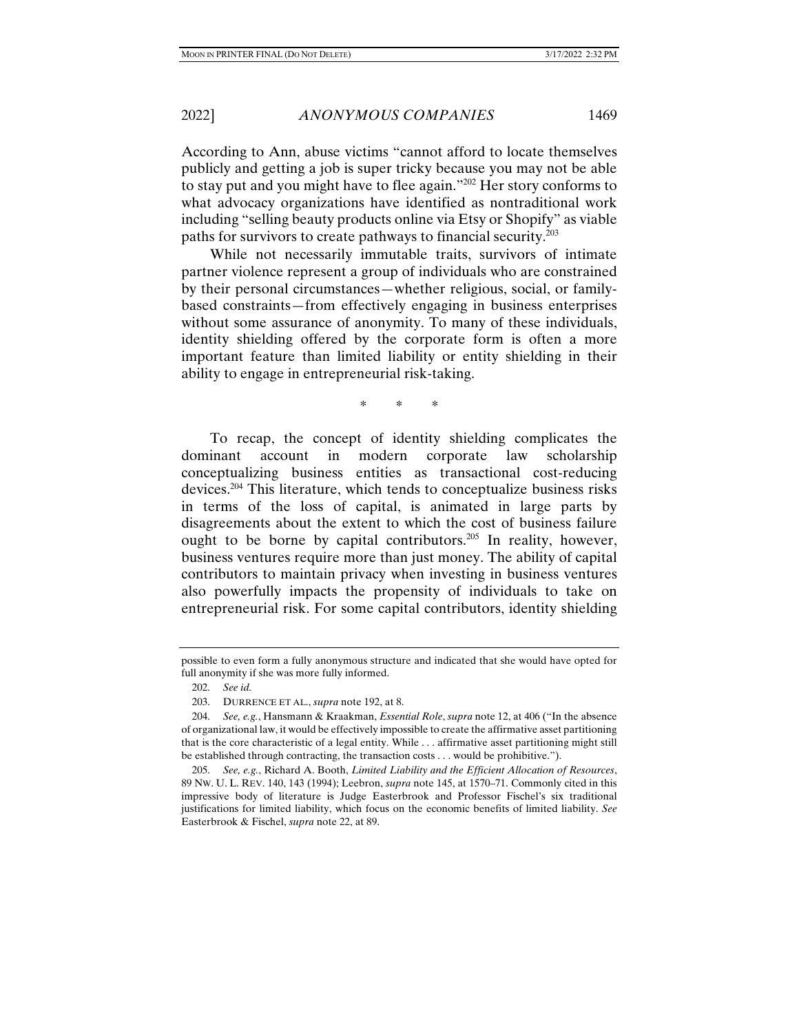According to Ann, abuse victims "cannot afford to locate themselves publicly and getting a job is super tricky because you may not be able to stay put and you might have to flee again."202 Her story conforms to what advocacy organizations have identified as nontraditional work including "selling beauty products online via Etsy or Shopify" as viable paths for survivors to create pathways to financial security.203

While not necessarily immutable traits, survivors of intimate partner violence represent a group of individuals who are constrained by their personal circumstances—whether religious, social, or familybased constraints—from effectively engaging in business enterprises without some assurance of anonymity. To many of these individuals, identity shielding offered by the corporate form is often a more important feature than limited liability or entity shielding in their ability to engage in entrepreneurial risk-taking.

\* \* \*

To recap, the concept of identity shielding complicates the dominant account in modern corporate law scholarship conceptualizing business entities as transactional cost-reducing devices.204 This literature, which tends to conceptualize business risks in terms of the loss of capital, is animated in large parts by disagreements about the extent to which the cost of business failure ought to be borne by capital contributors.205 In reality, however, business ventures require more than just money. The ability of capital contributors to maintain privacy when investing in business ventures also powerfully impacts the propensity of individuals to take on entrepreneurial risk. For some capital contributors, identity shielding

possible to even form a fully anonymous structure and indicated that she would have opted for full anonymity if she was more fully informed.

 <sup>202.</sup> *See id.*

 <sup>203.</sup> DURRENCE ET AL., *supra* note 192, at 8.

 <sup>204.</sup> *See, e.g.*, Hansmann & Kraakman, *Essential Role*, *supra* note 12, at 406 ("In the absence of organizational law, it would be effectively impossible to create the affirmative asset partitioning that is the core characteristic of a legal entity. While . . . affirmative asset partitioning might still be established through contracting, the transaction costs . . . would be prohibitive.").

 <sup>205.</sup> *See, e.g.*, Richard A. Booth, *Limited Liability and the Efficient Allocation of Resources*, 89 NW. U. L. REV. 140, 143 (1994); Leebron, *supra* note 145, at 1570–71. Commonly cited in this impressive body of literature is Judge Easterbrook and Professor Fischel's six traditional justifications for limited liability, which focus on the economic benefits of limited liability. *See* Easterbrook & Fischel, *supra* note 22, at 89.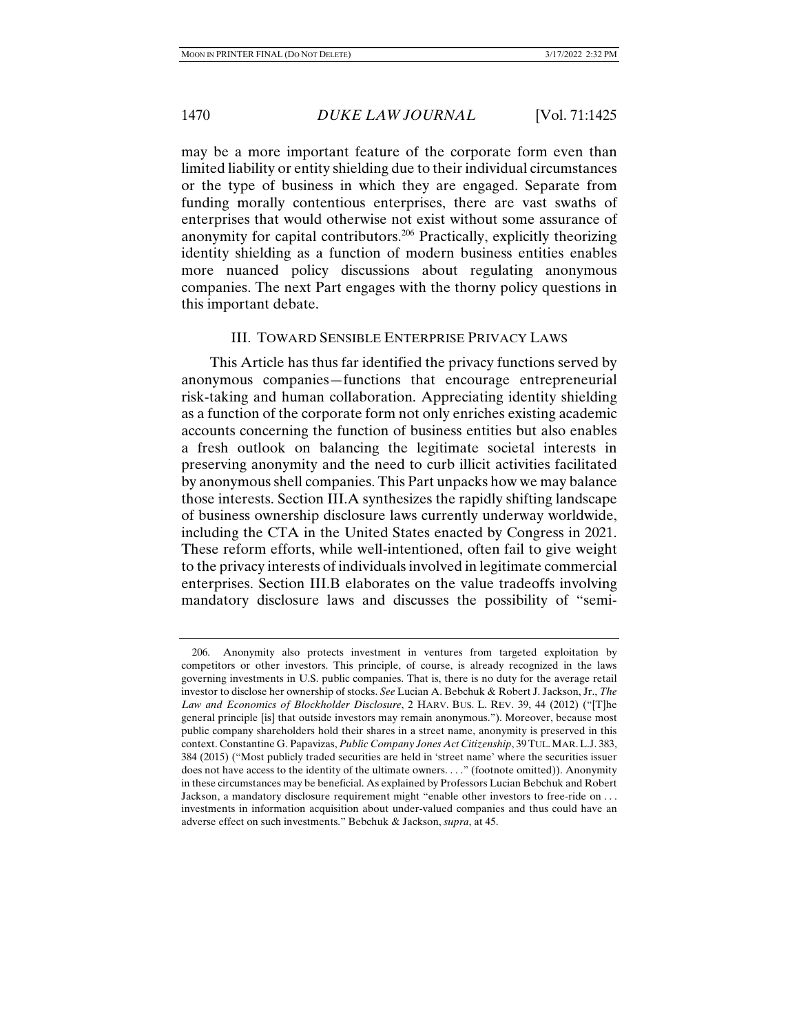may be a more important feature of the corporate form even than limited liability or entity shielding due to their individual circumstances or the type of business in which they are engaged. Separate from funding morally contentious enterprises, there are vast swaths of enterprises that would otherwise not exist without some assurance of anonymity for capital contributors.206 Practically, explicitly theorizing identity shielding as a function of modern business entities enables more nuanced policy discussions about regulating anonymous companies. The next Part engages with the thorny policy questions in this important debate.

#### III. TOWARD SENSIBLE ENTERPRISE PRIVACY LAWS

This Article has thus far identified the privacy functions served by anonymous companies—functions that encourage entrepreneurial risk-taking and human collaboration. Appreciating identity shielding as a function of the corporate form not only enriches existing academic accounts concerning the function of business entities but also enables a fresh outlook on balancing the legitimate societal interests in preserving anonymity and the need to curb illicit activities facilitated by anonymous shell companies. This Part unpacks how we may balance those interests. Section III.A synthesizes the rapidly shifting landscape of business ownership disclosure laws currently underway worldwide, including the CTA in the United States enacted by Congress in 2021. These reform efforts, while well-intentioned, often fail to give weight to the privacy interests of individuals involved in legitimate commercial enterprises. Section III.B elaborates on the value tradeoffs involving mandatory disclosure laws and discusses the possibility of "semi-

 <sup>206.</sup> Anonymity also protects investment in ventures from targeted exploitation by competitors or other investors. This principle, of course, is already recognized in the laws governing investments in U.S. public companies. That is, there is no duty for the average retail investor to disclose her ownership of stocks. *See* Lucian A. Bebchuk & Robert J. Jackson, Jr., *The Law and Economics of Blockholder Disclosure*, 2 HARV. BUS. L. REV. 39, 44 (2012) ("[T]he general principle [is] that outside investors may remain anonymous."). Moreover, because most public company shareholders hold their shares in a street name, anonymity is preserved in this context. Constantine G. Papavizas, *Public Company Jones Act Citizenship*, 39TUL.MAR.L.J. 383, 384 (2015) ("Most publicly traded securities are held in 'street name' where the securities issuer does not have access to the identity of the ultimate owners. . . ." (footnote omitted)). Anonymity in these circumstances may be beneficial. As explained by Professors Lucian Bebchuk and Robert Jackson, a mandatory disclosure requirement might "enable other investors to free-ride on . . . investments in information acquisition about under-valued companies and thus could have an adverse effect on such investments." Bebchuk & Jackson, *supra*, at 45.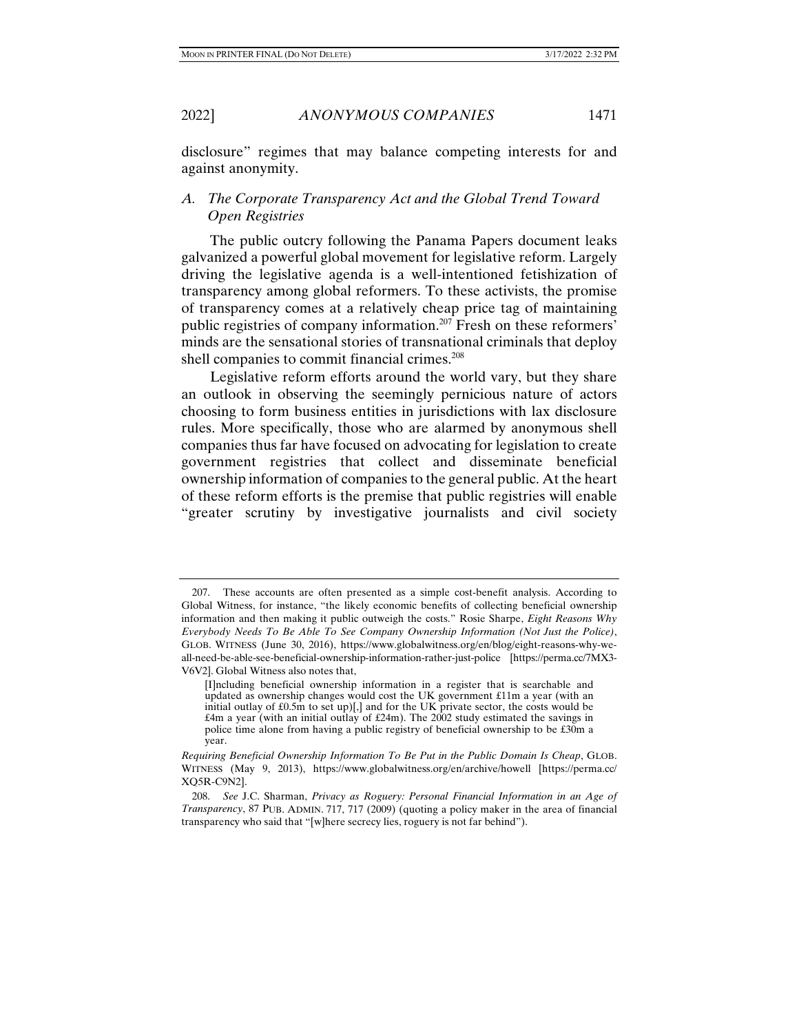2022] *ANONYMOUS COMPANIES* 1471

disclosure" regimes that may balance competing interests for and against anonymity.

## *A. The Corporate Transparency Act and the Global Trend Toward Open Registries*

The public outcry following the Panama Papers document leaks galvanized a powerful global movement for legislative reform. Largely driving the legislative agenda is a well-intentioned fetishization of transparency among global reformers. To these activists, the promise of transparency comes at a relatively cheap price tag of maintaining public registries of company information.207 Fresh on these reformers' minds are the sensational stories of transnational criminals that deploy shell companies to commit financial crimes.<sup>208</sup>

Legislative reform efforts around the world vary, but they share an outlook in observing the seemingly pernicious nature of actors choosing to form business entities in jurisdictions with lax disclosure rules. More specifically, those who are alarmed by anonymous shell companies thus far have focused on advocating for legislation to create government registries that collect and disseminate beneficial ownership information of companies to the general public. At the heart of these reform efforts is the premise that public registries will enable "greater scrutiny by investigative journalists and civil society

 <sup>207.</sup> These accounts are often presented as a simple cost-benefit analysis. According to Global Witness, for instance, "the likely economic benefits of collecting beneficial ownership information and then making it public outweigh the costs." Rosie Sharpe, *Eight Reasons Why Everybody Needs To Be Able To See Company Ownership Information (Not Just the Police)*, GLOB. WITNESS (June 30, 2016), https://www.globalwitness.org/en/blog/eight-reasons-why-weall-need-be-able-see-beneficial-ownership-information-rather-just-police [https://perma.cc/7MX3- V6V2]. Global Witness also notes that,

<sup>[</sup>I]ncluding beneficial ownership information in a register that is searchable and updated as ownership changes would cost the UK government £11m a year (with an initial outlay of £0.5m to set up)[,] and for the UK private sector, the costs would be  $£4m$  a year (with an initial outlay of £24m). The 2002 study estimated the savings in police time alone from having a public registry of beneficial ownership to be £30m a year.

*Requiring Beneficial Ownership Information To Be Put in the Public Domain Is Cheap*, GLOB. WITNESS (May 9, 2013), https://www.globalwitness.org/en/archive/howell [https://perma.cc/ XQ5R-C9N2].

 <sup>208.</sup> *See* J.C. Sharman, *Privacy as Roguery: Personal Financial Information in an Age of Transparency*, 87 PUB. ADMIN. 717, 717 (2009) (quoting a policy maker in the area of financial transparency who said that "[w]here secrecy lies, roguery is not far behind").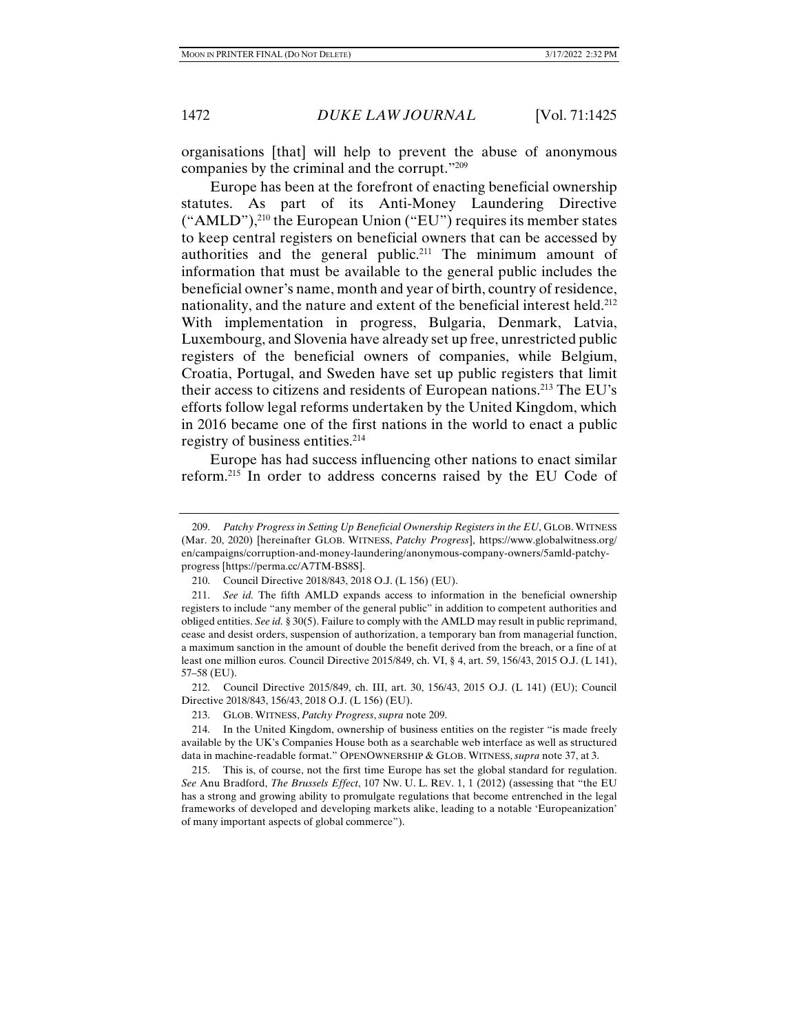organisations [that] will help to prevent the abuse of anonymous companies by the criminal and the corrupt."209

Europe has been at the forefront of enacting beneficial ownership statutes. As part of its Anti-Money Laundering Directive ("AMLD"),210 the European Union ("EU") requires its member states to keep central registers on beneficial owners that can be accessed by authorities and the general public.<sup>211</sup> The minimum amount of information that must be available to the general public includes the beneficial owner's name, month and year of birth, country of residence, nationality, and the nature and extent of the beneficial interest held.<sup>212</sup> With implementation in progress, Bulgaria, Denmark, Latvia, Luxembourg, and Slovenia have already set up free, unrestricted public registers of the beneficial owners of companies, while Belgium, Croatia, Portugal, and Sweden have set up public registers that limit their access to citizens and residents of European nations.213 The EU's efforts follow legal reforms undertaken by the United Kingdom, which in 2016 became one of the first nations in the world to enact a public registry of business entities.<sup>214</sup>

Europe has had success influencing other nations to enact similar reform.215 In order to address concerns raised by the EU Code of

 212. Council Directive 2015/849, ch. III, art. 30, 156/43, 2015 O.J. (L 141) (EU); Council Directive 2018/843, 156/43, 2018 O.J. (L 156) (EU).

213. GLOB. WITNESS, *Patchy Progress*, *supra* note 209.

 214. In the United Kingdom, ownership of business entities on the register "is made freely available by the UK's Companies House both as a searchable web interface as well as structured data in machine-readable format." OPENOWNERSHIP & GLOB. WITNESS, *supra* note 37, at 3.

 215. This is, of course, not the first time Europe has set the global standard for regulation. *See* Anu Bradford, *The Brussels Effect*, 107 NW. U. L. REV. 1, 1 (2012) (assessing that "the EU has a strong and growing ability to promulgate regulations that become entrenched in the legal frameworks of developed and developing markets alike, leading to a notable 'Europeanization' of many important aspects of global commerce").

 <sup>209.</sup> *Patchy Progress in Setting Up Beneficial Ownership Registers in the EU*, GLOB. WITNESS (Mar. 20, 2020) [hereinafter GLOB. WITNESS, *Patchy Progress*], https://www.globalwitness.org/ en/campaigns/corruption-and-money-laundering/anonymous-company-owners/5amld-patchyprogress [https://perma.cc/A7TM-BS8S].

 <sup>210.</sup> Council Directive 2018/843, 2018 O.J. (L 156) (EU).

 <sup>211.</sup> *See id.* The fifth AMLD expands access to information in the beneficial ownership registers to include "any member of the general public" in addition to competent authorities and obliged entities. *See id.* § 30(5). Failure to comply with the AMLD may result in public reprimand, cease and desist orders, suspension of authorization, a temporary ban from managerial function, a maximum sanction in the amount of double the benefit derived from the breach, or a fine of at least one million euros. Council Directive 2015/849, ch. VI, § 4, art. 59, 156/43, 2015 O.J. (L 141), 57–58 (EU).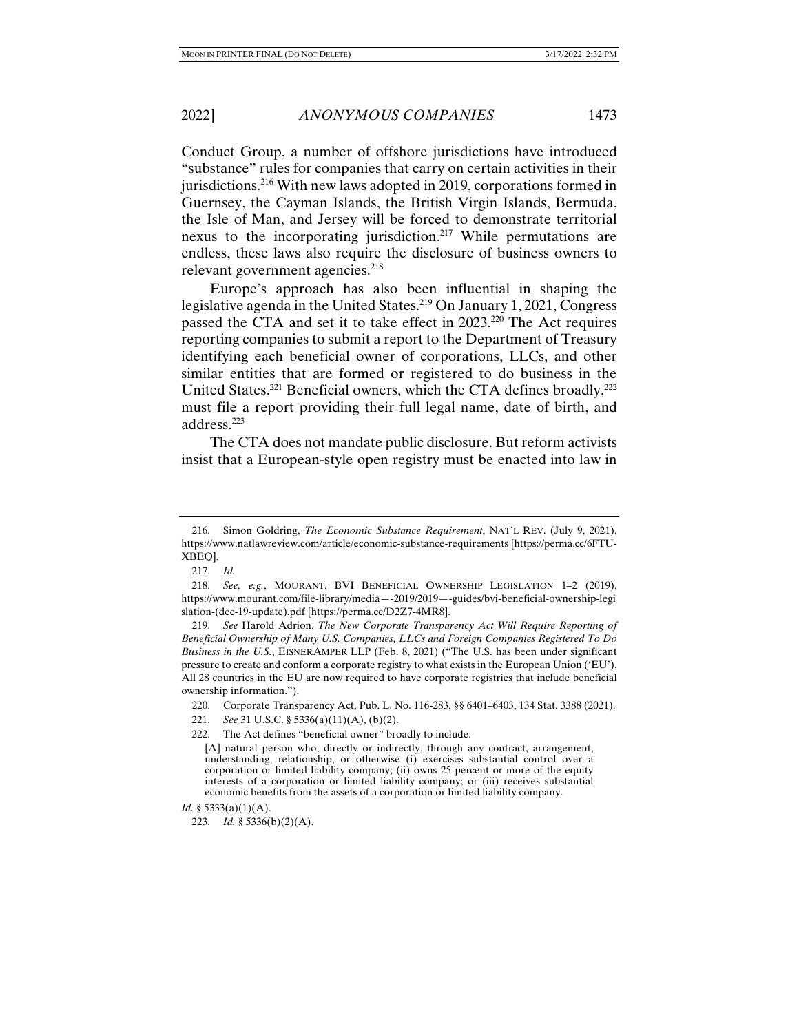Conduct Group, a number of offshore jurisdictions have introduced "substance" rules for companies that carry on certain activities in their jurisdictions.<sup>216</sup> With new laws adopted in 2019, corporations formed in Guernsey, the Cayman Islands, the British Virgin Islands, Bermuda, the Isle of Man, and Jersey will be forced to demonstrate territorial nexus to the incorporating jurisdiction.217 While permutations are endless, these laws also require the disclosure of business owners to relevant government agencies.<sup>218</sup>

Europe's approach has also been influential in shaping the legislative agenda in the United States.<sup>219</sup> On January 1, 2021, Congress passed the CTA and set it to take effect in 2023.220 The Act requires reporting companies to submit a report to the Department of Treasury identifying each beneficial owner of corporations, LLCs, and other similar entities that are formed or registered to do business in the United States.<sup>221</sup> Beneficial owners, which the CTA defines broadly, $^{222}$ must file a report providing their full legal name, date of birth, and address.223

The CTA does not mandate public disclosure. But reform activists insist that a European-style open registry must be enacted into law in

217. *Id.*

 <sup>216.</sup> Simon Goldring, *The Economic Substance Requirement*, NAT'L REV. (July 9, 2021), https://www.natlawreview.com/article/economic-substance-requirements [https://perma.cc/6FTU-XBEQ].

 <sup>218.</sup> *See, e.g.*, MOURANT, BVI BENEFICIAL OWNERSHIP LEGISLATION 1–2 (2019), https://www.mourant.com/file-library/media—-2019/2019—-guides/bvi-beneficial-ownership-legi slation-(dec-19-update).pdf [https://perma.cc/D2Z7-4MR8].

 <sup>219.</sup> *See* Harold Adrion, *The New Corporate Transparency Act Will Require Reporting of Beneficial Ownership of Many U.S. Companies, LLCs and Foreign Companies Registered To Do Business in the U.S.*, EISNERAMPER LLP (Feb. 8, 2021) ("The U.S. has been under significant pressure to create and conform a corporate registry to what exists in the European Union ('EU'). All 28 countries in the EU are now required to have corporate registries that include beneficial ownership information.").

 <sup>220.</sup> Corporate Transparency Act, Pub. L. No. 116-283, §§ 6401–6403, 134 Stat. 3388 (2021).

 <sup>221.</sup> *See* 31 U.S.C. § 5336(a)(11)(A), (b)(2).

 <sup>222.</sup> The Act defines "beneficial owner" broadly to include:

<sup>[</sup>A] natural person who, directly or indirectly, through any contract, arrangement, understanding, relationship, or otherwise (i) exercises substantial control over a corporation or limited liability company; (ii) owns 25 percent or more of the equity interests of a corporation or limited liability company; or (iii) receives substantial economic benefits from the assets of a corporation or limited liability company.

*Id.* § 5333(a)(1)(A).

 <sup>223.</sup> *Id.* § 5336(b)(2)(A).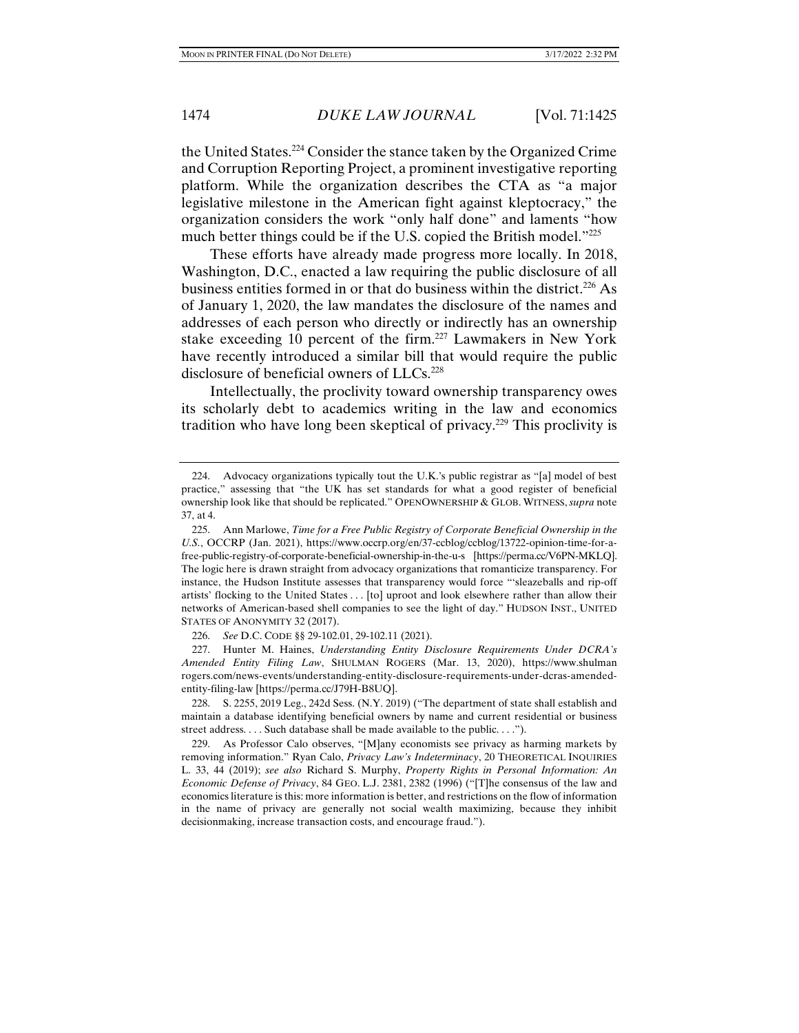the United States.224 Consider the stance taken by the Organized Crime and Corruption Reporting Project, a prominent investigative reporting platform. While the organization describes the CTA as "a major legislative milestone in the American fight against kleptocracy," the organization considers the work "only half done" and laments "how much better things could be if the U.S. copied the British model."<sup>225</sup>

These efforts have already made progress more locally. In 2018, Washington, D.C., enacted a law requiring the public disclosure of all business entities formed in or that do business within the district.<sup>226</sup> As of January 1, 2020, the law mandates the disclosure of the names and addresses of each person who directly or indirectly has an ownership stake exceeding 10 percent of the firm.<sup>227</sup> Lawmakers in New York have recently introduced a similar bill that would require the public disclosure of beneficial owners of LLCs.<sup>228</sup>

Intellectually, the proclivity toward ownership transparency owes its scholarly debt to academics writing in the law and economics tradition who have long been skeptical of privacy.229 This proclivity is

 227. Hunter M. Haines, *Understanding Entity Disclosure Requirements Under DCRA's Amended Entity Filing Law*, SHULMAN ROGERS (Mar. 13, 2020), https://www.shulman rogers.com/news-events/understanding-entity-disclosure-requirements-under-dcras-amendedentity-filing-law [https://perma.cc/J79H-B8UQ].

 228. S. 2255, 2019 Leg., 242d Sess. (N.Y. 2019) ("The department of state shall establish and maintain a database identifying beneficial owners by name and current residential or business street address. . . . Such database shall be made available to the public. . . .").

 229. As Professor Calo observes, "[M]any economists see privacy as harming markets by removing information." Ryan Calo, *Privacy Law's Indeterminacy*, 20 THEORETICAL INQUIRIES L. 33, 44 (2019); *see also* Richard S. Murphy, *Property Rights in Personal Information: An Economic Defense of Privacy*, 84 GEO. L.J. 2381, 2382 (1996) ("[T]he consensus of the law and economics literature is this: more information is better, and restrictions on the flow of information in the name of privacy are generally not social wealth maximizing, because they inhibit decisionmaking, increase transaction costs, and encourage fraud.").

 <sup>224.</sup> Advocacy organizations typically tout the U.K.'s public registrar as "[a] model of best practice," assessing that "the UK has set standards for what a good register of beneficial ownership look like that should be replicated." OPENOWNERSHIP & GLOB. WITNESS,*supra* note 37, at 4.

 <sup>225.</sup> Ann Marlowe, *Time for a Free Public Registry of Corporate Beneficial Ownership in the U.S.*, OCCRP (Jan. 2021), https://www.occrp.org/en/37-ccblog/ccblog/13722-opinion-time-for-afree-public-registry-of-corporate-beneficial-ownership-in-the-u-s [https://perma.cc/V6PN-MKLQ]. The logic here is drawn straight from advocacy organizations that romanticize transparency. For instance, the Hudson Institute assesses that transparency would force "'sleazeballs and rip-off artists' flocking to the United States . . . [to] uproot and look elsewhere rather than allow their networks of American-based shell companies to see the light of day." HUDSON INST., UNITED STATES OF ANONYMITY 32 (2017).

 <sup>226.</sup> *See* D.C. CODE §§ 29-102.01, 29-102.11 (2021).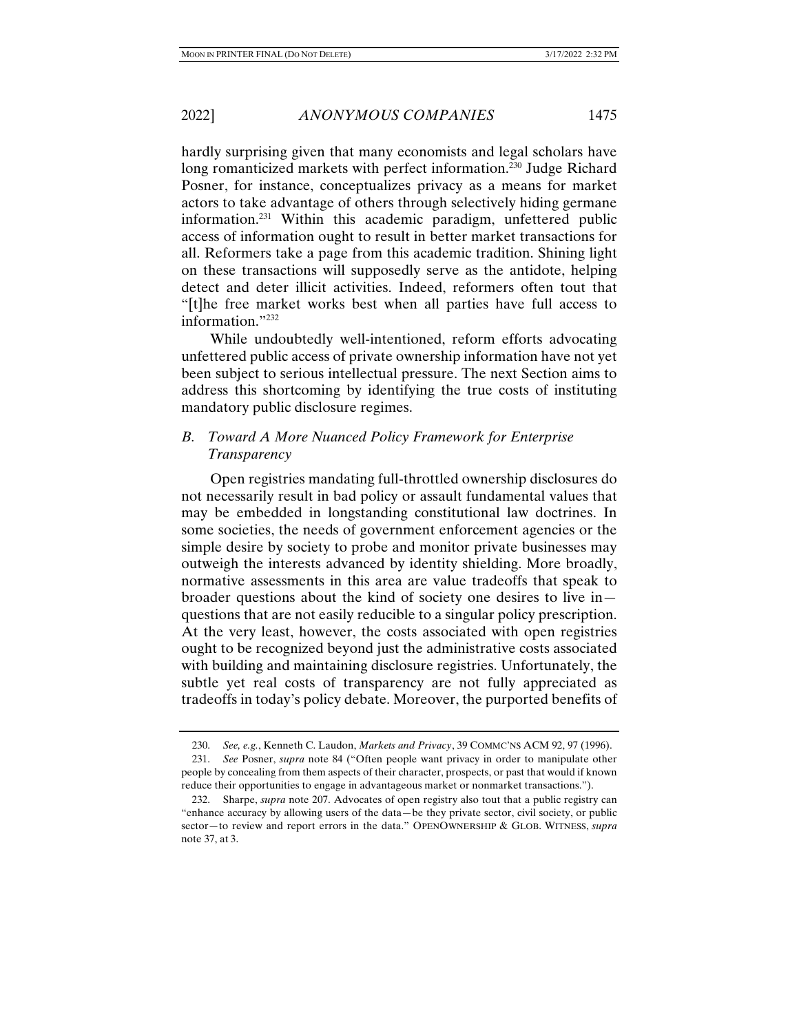hardly surprising given that many economists and legal scholars have long romanticized markets with perfect information.<sup>230</sup> Judge Richard Posner, for instance, conceptualizes privacy as a means for market actors to take advantage of others through selectively hiding germane information.231 Within this academic paradigm, unfettered public access of information ought to result in better market transactions for all. Reformers take a page from this academic tradition. Shining light on these transactions will supposedly serve as the antidote, helping detect and deter illicit activities. Indeed, reformers often tout that "[t]he free market works best when all parties have full access to information."232

While undoubtedly well-intentioned, reform efforts advocating unfettered public access of private ownership information have not yet been subject to serious intellectual pressure. The next Section aims to address this shortcoming by identifying the true costs of instituting mandatory public disclosure regimes.

# *B. Toward A More Nuanced Policy Framework for Enterprise Transparency*

Open registries mandating full-throttled ownership disclosures do not necessarily result in bad policy or assault fundamental values that may be embedded in longstanding constitutional law doctrines. In some societies, the needs of government enforcement agencies or the simple desire by society to probe and monitor private businesses may outweigh the interests advanced by identity shielding. More broadly, normative assessments in this area are value tradeoffs that speak to broader questions about the kind of society one desires to live in questions that are not easily reducible to a singular policy prescription. At the very least, however, the costs associated with open registries ought to be recognized beyond just the administrative costs associated with building and maintaining disclosure registries. Unfortunately, the subtle yet real costs of transparency are not fully appreciated as tradeoffs in today's policy debate. Moreover, the purported benefits of

 <sup>230.</sup> *See, e.g.*, Kenneth C. Laudon, *Markets and Privacy*, 39 COMMC'NS ACM 92, 97 (1996).

 <sup>231.</sup> *See* Posner, *supra* note 84 ("Often people want privacy in order to manipulate other people by concealing from them aspects of their character, prospects, or past that would if known reduce their opportunities to engage in advantageous market or nonmarket transactions.").

 <sup>232.</sup> Sharpe, *supra* note 207. Advocates of open registry also tout that a public registry can "enhance accuracy by allowing users of the data—be they private sector, civil society, or public sector—to review and report errors in the data." OPENOWNERSHIP & GLOB. WITNESS, *supra* note 37, at 3.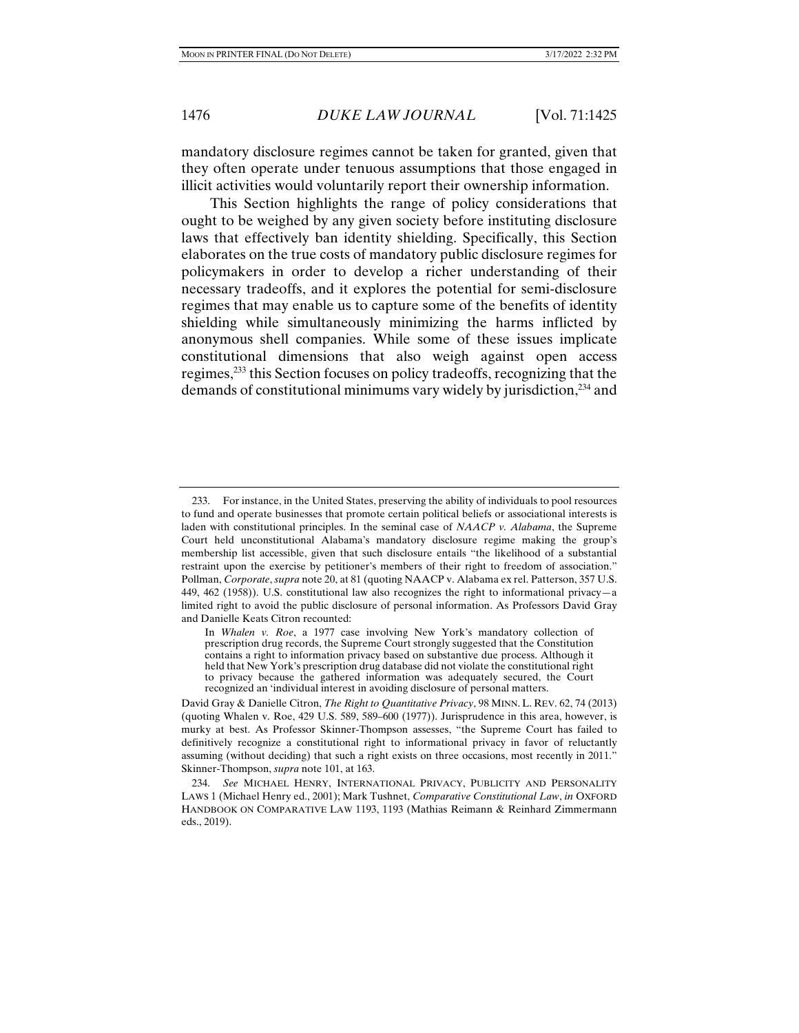mandatory disclosure regimes cannot be taken for granted, given that they often operate under tenuous assumptions that those engaged in illicit activities would voluntarily report their ownership information.

This Section highlights the range of policy considerations that ought to be weighed by any given society before instituting disclosure laws that effectively ban identity shielding. Specifically, this Section elaborates on the true costs of mandatory public disclosure regimes for policymakers in order to develop a richer understanding of their necessary tradeoffs, and it explores the potential for semi-disclosure regimes that may enable us to capture some of the benefits of identity shielding while simultaneously minimizing the harms inflicted by anonymous shell companies. While some of these issues implicate constitutional dimensions that also weigh against open access regimes,233 this Section focuses on policy tradeoffs, recognizing that the demands of constitutional minimums vary widely by jurisdiction,<sup>234</sup> and

 <sup>233.</sup> For instance, in the United States, preserving the ability of individuals to pool resources to fund and operate businesses that promote certain political beliefs or associational interests is laden with constitutional principles. In the seminal case of *NAACP v. Alabama*, the Supreme Court held unconstitutional Alabama's mandatory disclosure regime making the group's membership list accessible, given that such disclosure entails "the likelihood of a substantial restraint upon the exercise by petitioner's members of their right to freedom of association." Pollman, *Corporate*, *supra* note 20, at 81 (quoting NAACP v. Alabama ex rel. Patterson, 357 U.S. 449, 462 (1958)). U.S. constitutional law also recognizes the right to informational privacy—a limited right to avoid the public disclosure of personal information. As Professors David Gray and Danielle Keats Citron recounted:

In *Whalen v. Roe*, a 1977 case involving New York's mandatory collection of prescription drug records, the Supreme Court strongly suggested that the Constitution contains a right to information privacy based on substantive due process. Although it held that New York's prescription drug database did not violate the constitutional right to privacy because the gathered information was adequately secured, the Court recognized an 'individual interest in avoiding disclosure of personal matters.

David Gray & Danielle Citron, *The Right to Quantitative Privacy*, 98 MINN. L. REV. 62, 74 (2013) (quoting Whalen v. Roe, 429 U.S. 589, 589–600 (1977)). Jurisprudence in this area, however, is murky at best. As Professor Skinner-Thompson assesses, "the Supreme Court has failed to definitively recognize a constitutional right to informational privacy in favor of reluctantly assuming (without deciding) that such a right exists on three occasions, most recently in 2011." Skinner-Thompson, *supra* note 101, at 163.

 <sup>234.</sup> *See* MICHAEL HENRY, INTERNATIONAL PRIVACY, PUBLICITY AND PERSONALITY LAWS 1 (Michael Henry ed., 2001); Mark Tushnet, *Comparative Constitutional Law*, *in* OXFORD HANDBOOK ON COMPARATIVE LAW 1193, 1193 (Mathias Reimann & Reinhard Zimmermann eds., 2019).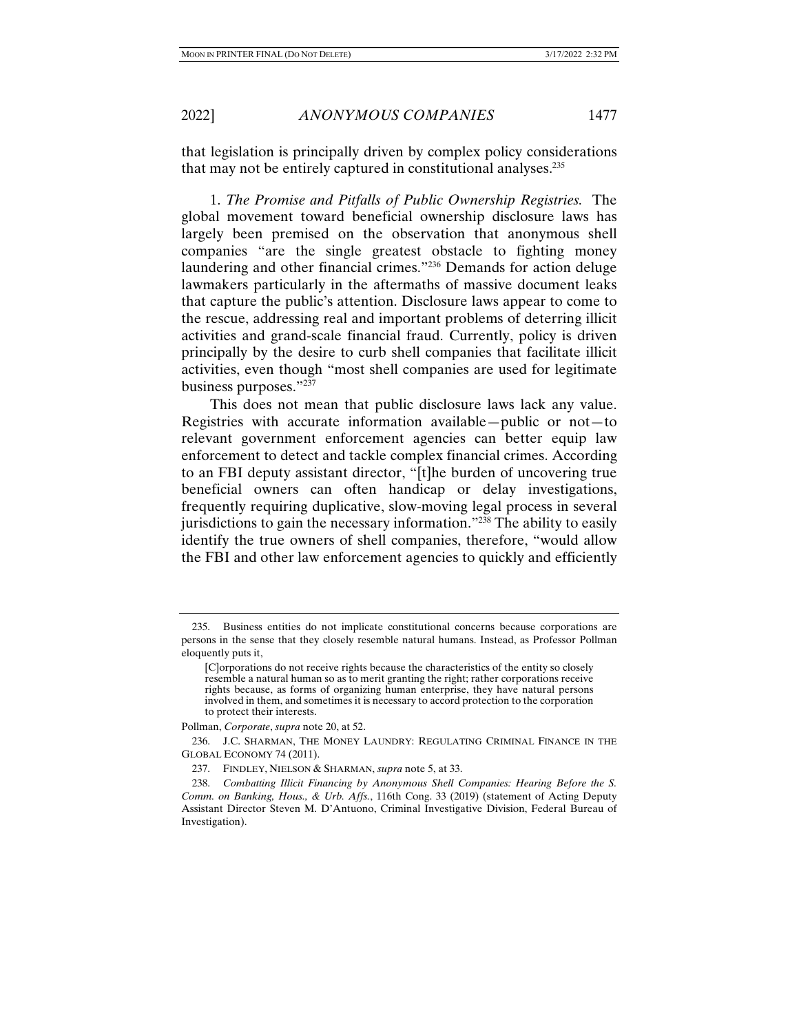that legislation is principally driven by complex policy considerations that may not be entirely captured in constitutional analyses.235

1. *The Promise and Pitfalls of Public Ownership Registries.* The global movement toward beneficial ownership disclosure laws has largely been premised on the observation that anonymous shell companies "are the single greatest obstacle to fighting money laundering and other financial crimes."236 Demands for action deluge lawmakers particularly in the aftermaths of massive document leaks that capture the public's attention. Disclosure laws appear to come to the rescue, addressing real and important problems of deterring illicit activities and grand-scale financial fraud. Currently, policy is driven principally by the desire to curb shell companies that facilitate illicit activities, even though "most shell companies are used for legitimate business purposes."237

This does not mean that public disclosure laws lack any value. Registries with accurate information available—public or not—to relevant government enforcement agencies can better equip law enforcement to detect and tackle complex financial crimes. According to an FBI deputy assistant director, "[t]he burden of uncovering true beneficial owners can often handicap or delay investigations, frequently requiring duplicative, slow-moving legal process in several jurisdictions to gain the necessary information."238 The ability to easily identify the true owners of shell companies, therefore, "would allow the FBI and other law enforcement agencies to quickly and efficiently

 <sup>235.</sup> Business entities do not implicate constitutional concerns because corporations are persons in the sense that they closely resemble natural humans. Instead, as Professor Pollman eloquently puts it,

<sup>[</sup>C]orporations do not receive rights because the characteristics of the entity so closely resemble a natural human so as to merit granting the right; rather corporations receive rights because, as forms of organizing human enterprise, they have natural persons involved in them, and sometimes it is necessary to accord protection to the corporation to protect their interests.

Pollman, *Corporate*, *supra* note 20, at 52.

 <sup>236.</sup> J.C. SHARMAN, THE MONEY LAUNDRY: REGULATING CRIMINAL FINANCE IN THE GLOBAL ECONOMY 74 (2011).

 <sup>237.</sup> FINDLEY, NIELSON & SHARMAN, *supra* note 5, at 33.

 <sup>238.</sup> *Combatting Illicit Financing by Anonymous Shell Companies: Hearing Before the S. Comm. on Banking, Hous., & Urb. Affs.*, 116th Cong. 33 (2019) (statement of Acting Deputy Assistant Director Steven M. D'Antuono, Criminal Investigative Division, Federal Bureau of Investigation).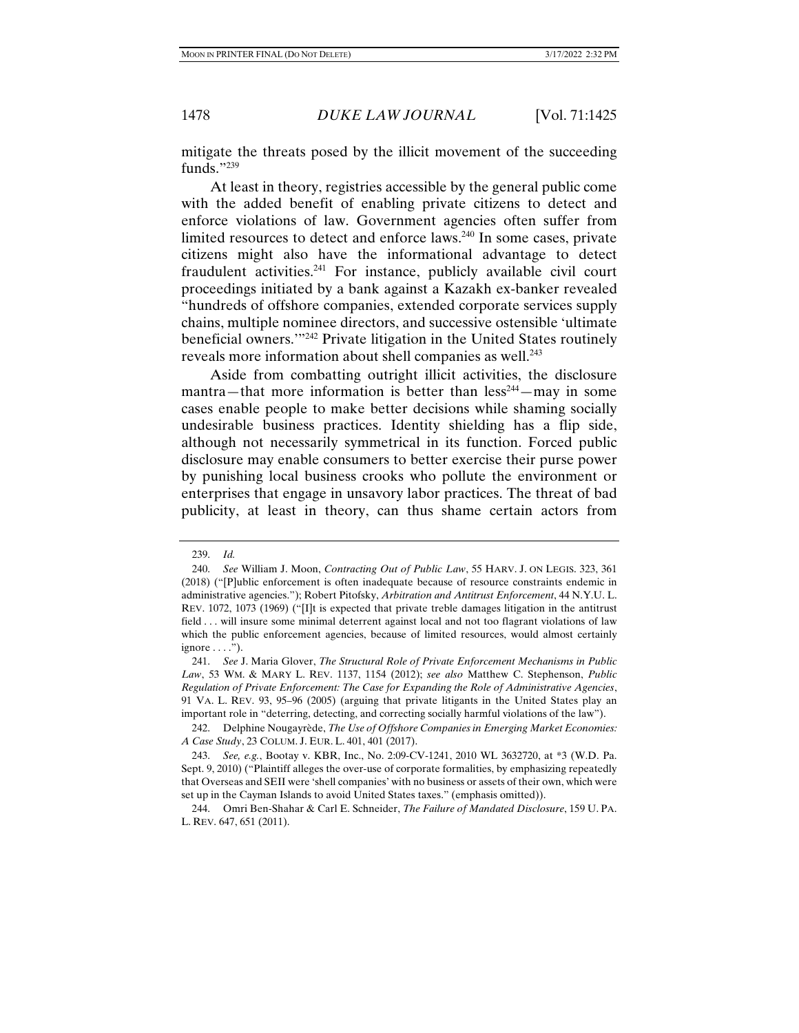mitigate the threats posed by the illicit movement of the succeeding funds."239

At least in theory, registries accessible by the general public come with the added benefit of enabling private citizens to detect and enforce violations of law. Government agencies often suffer from limited resources to detect and enforce laws.<sup>240</sup> In some cases, private citizens might also have the informational advantage to detect fraudulent activities.241 For instance, publicly available civil court proceedings initiated by a bank against a Kazakh ex-banker revealed "hundreds of offshore companies, extended corporate services supply chains, multiple nominee directors, and successive ostensible 'ultimate beneficial owners.'"242 Private litigation in the United States routinely reveals more information about shell companies as well.<sup>243</sup>

Aside from combatting outright illicit activities, the disclosure mantra—that more information is better than  $\text{less}^{244}$ —may in some cases enable people to make better decisions while shaming socially undesirable business practices. Identity shielding has a flip side, although not necessarily symmetrical in its function. Forced public disclosure may enable consumers to better exercise their purse power by punishing local business crooks who pollute the environment or enterprises that engage in unsavory labor practices. The threat of bad publicity, at least in theory, can thus shame certain actors from

 <sup>239.</sup> *Id.*

 <sup>240.</sup> *See* William J. Moon, *Contracting Out of Public Law*, 55 HARV. J. ON LEGIS. 323, 361 (2018) ("[P]ublic enforcement is often inadequate because of resource constraints endemic in administrative agencies."); Robert Pitofsky, *Arbitration and Antitrust Enforcement*, 44 N.Y.U. L. REV. 1072, 1073 (1969) ("[I]t is expected that private treble damages litigation in the antitrust field . . . will insure some minimal deterrent against local and not too flagrant violations of law which the public enforcement agencies, because of limited resources, would almost certainly ignore  $\dots$ .").

 <sup>241.</sup> *See* J. Maria Glover, *The Structural Role of Private Enforcement Mechanisms in Public Law*, 53 WM. & MARY L. REV. 1137, 1154 (2012); *see also* Matthew C. Stephenson, *Public Regulation of Private Enforcement: The Case for Expanding the Role of Administrative Agencies*, 91 VA. L. REV. 93, 95–96 (2005) (arguing that private litigants in the United States play an important role in "deterring, detecting, and correcting socially harmful violations of the law").

 <sup>242.</sup> Delphine Nougayrède, *The Use of Offshore Companies in Emerging Market Economies: A Case Study*, 23 COLUM. J. EUR. L. 401, 401 (2017).

 <sup>243.</sup> *See, e.g.*, Bootay v. KBR, Inc., No. 2:09-CV-1241, 2010 WL 3632720, at \*3 (W.D. Pa. Sept. 9, 2010) ("Plaintiff alleges the over-use of corporate formalities, by emphasizing repeatedly that Overseas and SEII were 'shell companies' with no business or assets of their own, which were set up in the Cayman Islands to avoid United States taxes." (emphasis omitted)).

 <sup>244.</sup> Omri Ben-Shahar & Carl E. Schneider, *The Failure of Mandated Disclosure*, 159 U. PA. L. REV. 647, 651 (2011).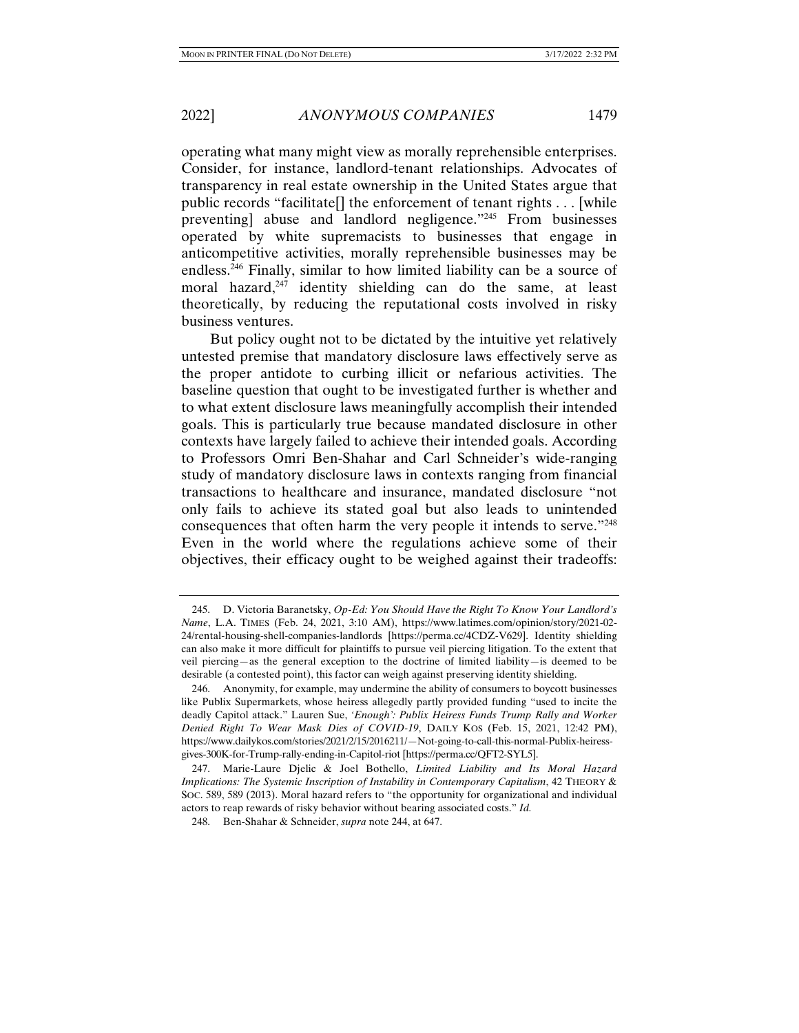operating what many might view as morally reprehensible enterprises. Consider, for instance, landlord-tenant relationships. Advocates of transparency in real estate ownership in the United States argue that public records "facilitate[] the enforcement of tenant rights . . . [while preventing] abuse and landlord negligence."245 From businesses operated by white supremacists to businesses that engage in anticompetitive activities, morally reprehensible businesses may be endless. $246$  Finally, similar to how limited liability can be a source of moral hazard, $247$  identity shielding can do the same, at least theoretically, by reducing the reputational costs involved in risky business ventures.

But policy ought not to be dictated by the intuitive yet relatively untested premise that mandatory disclosure laws effectively serve as the proper antidote to curbing illicit or nefarious activities. The baseline question that ought to be investigated further is whether and to what extent disclosure laws meaningfully accomplish their intended goals. This is particularly true because mandated disclosure in other contexts have largely failed to achieve their intended goals. According to Professors Omri Ben-Shahar and Carl Schneider's wide-ranging study of mandatory disclosure laws in contexts ranging from financial transactions to healthcare and insurance, mandated disclosure "not only fails to achieve its stated goal but also leads to unintended consequences that often harm the very people it intends to serve."248 Even in the world where the regulations achieve some of their objectives, their efficacy ought to be weighed against their tradeoffs:

 <sup>245.</sup> D. Victoria Baranetsky, *Op-Ed: You Should Have the Right To Know Your Landlord's Name*, L.A. TIMES (Feb. 24, 2021, 3:10 AM), https://www.latimes.com/opinion/story/2021-02- 24/rental-housing-shell-companies-landlords [https://perma.cc/4CDZ-V629]. Identity shielding can also make it more difficult for plaintiffs to pursue veil piercing litigation. To the extent that veil piercing—as the general exception to the doctrine of limited liability—is deemed to be desirable (a contested point), this factor can weigh against preserving identity shielding.

 <sup>246.</sup> Anonymity, for example, may undermine the ability of consumers to boycott businesses like Publix Supermarkets, whose heiress allegedly partly provided funding "used to incite the deadly Capitol attack." Lauren Sue, *'Enough': Publix Heiress Funds Trump Rally and Worker Denied Right To Wear Mask Dies of COVID-19*, DAILY KOS (Feb. 15, 2021, 12:42 PM), https://www.dailykos.com/stories/2021/2/15/2016211/—Not-going-to-call-this-normal-Publix-heiressgives-300K-for-Trump-rally-ending-in-Capitol-riot [https://perma.cc/QFT2-SYL5].

 <sup>247.</sup> Marie-Laure Djelic & Joel Bothello, *Limited Liability and Its Moral Hazard Implications: The Systemic Inscription of Instability in Contemporary Capitalism*, 42 THEORY & SOC. 589, 589 (2013). Moral hazard refers to "the opportunity for organizational and individual actors to reap rewards of risky behavior without bearing associated costs." *Id.*

 <sup>248.</sup> Ben-Shahar & Schneider, *supra* note 244, at 647.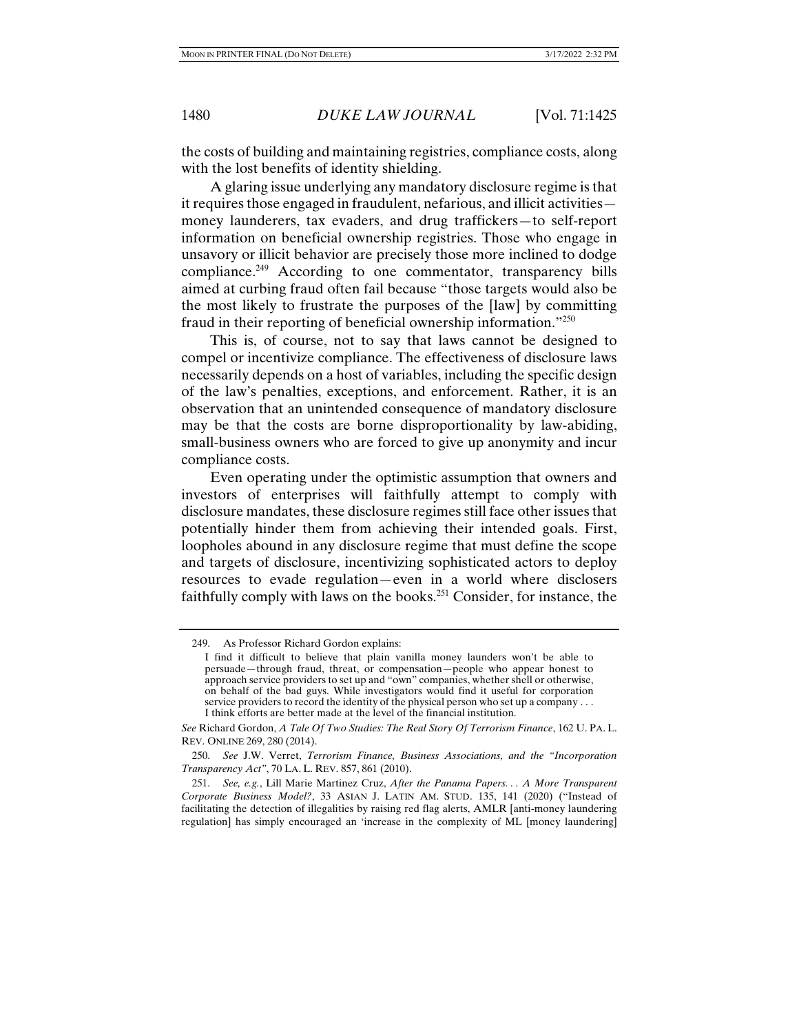the costs of building and maintaining registries, compliance costs, along with the lost benefits of identity shielding.

A glaring issue underlying any mandatory disclosure regime is that it requires those engaged in fraudulent, nefarious, and illicit activities money launderers, tax evaders, and drug traffickers—to self-report information on beneficial ownership registries. Those who engage in unsavory or illicit behavior are precisely those more inclined to dodge compliance.<sup>249</sup> According to one commentator, transparency bills aimed at curbing fraud often fail because "those targets would also be the most likely to frustrate the purposes of the [law] by committing fraud in their reporting of beneficial ownership information."250

This is, of course, not to say that laws cannot be designed to compel or incentivize compliance. The effectiveness of disclosure laws necessarily depends on a host of variables, including the specific design of the law's penalties, exceptions, and enforcement. Rather, it is an observation that an unintended consequence of mandatory disclosure may be that the costs are borne disproportionality by law-abiding, small-business owners who are forced to give up anonymity and incur compliance costs.

Even operating under the optimistic assumption that owners and investors of enterprises will faithfully attempt to comply with disclosure mandates, these disclosure regimes still face other issues that potentially hinder them from achieving their intended goals. First, loopholes abound in any disclosure regime that must define the scope and targets of disclosure, incentivizing sophisticated actors to deploy resources to evade regulation—even in a world where disclosers faithfully comply with laws on the books.251 Consider, for instance, the

 <sup>249.</sup> As Professor Richard Gordon explains:

I find it difficult to believe that plain vanilla money launders won't be able to persuade—through fraud, threat, or compensation—people who appear honest to approach service providers to set up and "own" companies, whether shell or otherwise, on behalf of the bad guys. While investigators would find it useful for corporation service providers to record the identity of the physical person who set up a company . . . I think efforts are better made at the level of the financial institution.

*See* Richard Gordon, *A Tale Of Two Studies: The Real Story Of Terrorism Finance*, 162 U. PA. L. REV. ONLINE 269, 280 (2014).

 <sup>250.</sup> *See* J.W. Verret, *Terrorism Finance, Business Associations, and the "Incorporation Transparency Act"*, 70 LA. L. REV. 857, 861 (2010).

 <sup>251.</sup> *See, e.g.*, Lill Marie Martinez Cruz, *After the Panama Papers. . . A More Transparent Corporate Business Model?*, 33 ASIAN J. LATIN AM. STUD. 135, 141 (2020) ("Instead of facilitating the detection of illegalities by raising red flag alerts, AMLR [anti-money laundering regulation] has simply encouraged an 'increase in the complexity of ML [money laundering]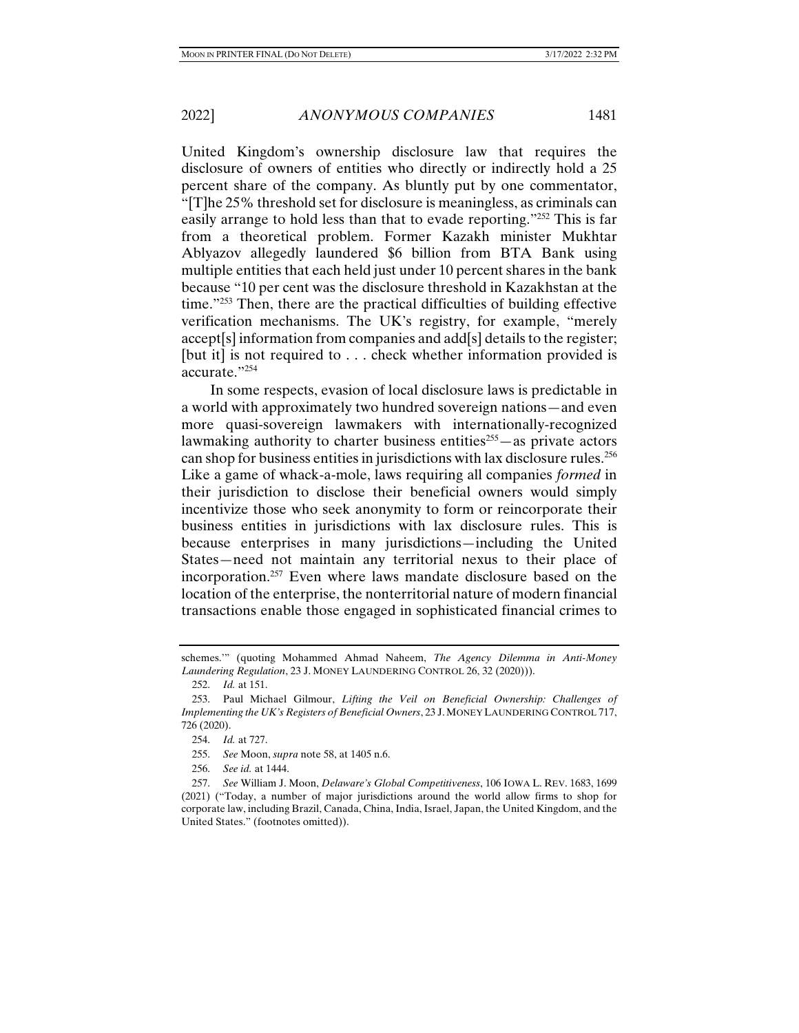United Kingdom's ownership disclosure law that requires the disclosure of owners of entities who directly or indirectly hold a 25 percent share of the company. As bluntly put by one commentator, "[T]he 25% threshold set for disclosure is meaningless, as criminals can easily arrange to hold less than that to evade reporting."252 This is far from a theoretical problem. Former Kazakh minister Mukhtar Ablyazov allegedly laundered \$6 billion from BTA Bank using multiple entities that each held just under 10 percent shares in the bank because "10 per cent was the disclosure threshold in Kazakhstan at the time."253 Then, there are the practical difficulties of building effective verification mechanisms. The UK's registry, for example, "merely accept[s] information from companies and add[s] details to the register; [but it] is not required to . . . check whether information provided is accurate."254

In some respects, evasion of local disclosure laws is predictable in a world with approximately two hundred sovereign nations—and even more quasi-sovereign lawmakers with internationally-recognized lawmaking authority to charter business entities<sup> $255$ </sup>—as private actors can shop for business entities in jurisdictions with lax disclosure rules.<sup>256</sup> Like a game of whack-a-mole, laws requiring all companies *formed* in their jurisdiction to disclose their beneficial owners would simply incentivize those who seek anonymity to form or reincorporate their business entities in jurisdictions with lax disclosure rules. This is because enterprises in many jurisdictions—including the United States—need not maintain any territorial nexus to their place of incorporation.257 Even where laws mandate disclosure based on the location of the enterprise, the nonterritorial nature of modern financial transactions enable those engaged in sophisticated financial crimes to

schemes.'" (quoting Mohammed Ahmad Naheem, *The Agency Dilemma in Anti-Money Laundering Regulation*, 23 J. MONEY LAUNDERING CONTROL 26, 32 (2020))).

 <sup>252.</sup> *Id.* at 151.

 <sup>253.</sup> Paul Michael Gilmour, *Lifting the Veil on Beneficial Ownership: Challenges of Implementing the UK's Registers of Beneficial Owners*, 23 J.MONEY LAUNDERING CONTROL 717, 726 (2020).

 <sup>254.</sup> *Id.* at 727.

 <sup>255.</sup> *See* Moon, *supra* note 58, at 1405 n.6.

 <sup>256.</sup> *See id.* at 1444.

 <sup>257.</sup> *See* William J. Moon, *Delaware's Global Competitiveness*, 106 IOWA L. REV. 1683, 1699 (2021) ("Today, a number of major jurisdictions around the world allow firms to shop for corporate law, including Brazil, Canada, China, India, Israel, Japan, the United Kingdom, and the United States." (footnotes omitted)).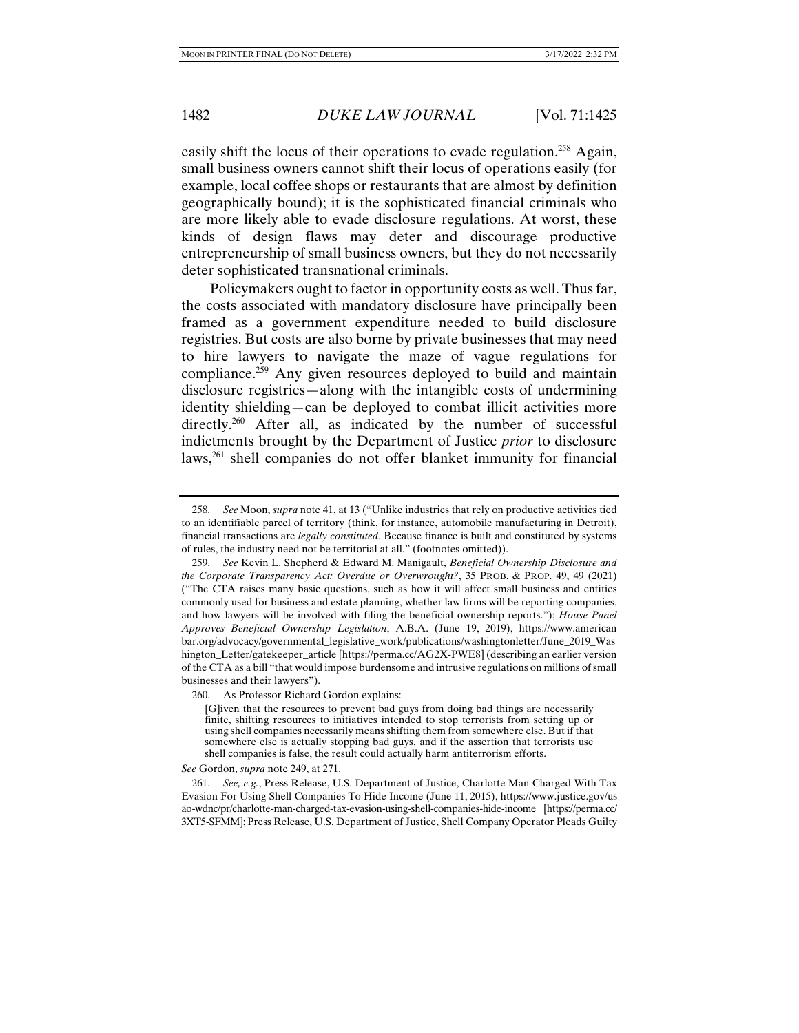easily shift the locus of their operations to evade regulation.<sup>258</sup> Again, small business owners cannot shift their locus of operations easily (for example, local coffee shops or restaurants that are almost by definition geographically bound); it is the sophisticated financial criminals who are more likely able to evade disclosure regulations. At worst, these kinds of design flaws may deter and discourage productive entrepreneurship of small business owners, but they do not necessarily deter sophisticated transnational criminals.

Policymakers ought to factor in opportunity costs as well. Thus far, the costs associated with mandatory disclosure have principally been framed as a government expenditure needed to build disclosure registries. But costs are also borne by private businesses that may need to hire lawyers to navigate the maze of vague regulations for compliance.<sup>259</sup> Any given resources deployed to build and maintain disclosure registries—along with the intangible costs of undermining identity shielding—can be deployed to combat illicit activities more directly.<sup>260</sup> After all, as indicated by the number of successful indictments brought by the Department of Justice *prior* to disclosure laws,<sup>261</sup> shell companies do not offer blanket immunity for financial

*See* Gordon, *supra* note 249, at 271.

 <sup>258.</sup> *See* Moon, *supra* note 41, at 13 ("Unlike industries that rely on productive activities tied to an identifiable parcel of territory (think, for instance, automobile manufacturing in Detroit), financial transactions are *legally constituted*. Because finance is built and constituted by systems of rules, the industry need not be territorial at all." (footnotes omitted)).

 <sup>259.</sup> *See* Kevin L. Shepherd & Edward M. Manigault, *Beneficial Ownership Disclosure and the Corporate Transparency Act: Overdue or Overwrought?*, 35 PROB. & PROP. 49, 49 (2021) ("The CTA raises many basic questions, such as how it will affect small business and entities commonly used for business and estate planning, whether law firms will be reporting companies, and how lawyers will be involved with filing the beneficial ownership reports."); *House Panel Approves Beneficial Ownership Legislation*, A.B.A. (June 19, 2019), https://www.american bar.org/advocacy/governmental\_legislative\_work/publications/washingtonletter/June\_2019\_Was hington\_Letter/gatekeeper\_article [https://perma.cc/AG2X-PWE8] (describing an earlier version of the CTA as a bill "that would impose burdensome and intrusive regulations on millions of small businesses and their lawyers").

 <sup>260.</sup> As Professor Richard Gordon explains:

<sup>[</sup>G]iven that the resources to prevent bad guys from doing bad things are necessarily finite, shifting resources to initiatives intended to stop terrorists from setting up or using shell companies necessarily means shifting them from somewhere else. But if that somewhere else is actually stopping bad guys, and if the assertion that terrorists use shell companies is false, the result could actually harm antiterrorism efforts.

 <sup>261.</sup> *See, e.g.*, Press Release, U.S. Department of Justice, Charlotte Man Charged With Tax Evasion For Using Shell Companies To Hide Income (June 11, 2015), https://www.justice.gov/us ao-wdnc/pr/charlotte-man-charged-tax-evasion-using-shell-companies-hide-income [https://perma.cc/ 3XT5-SFMM]; Press Release, U.S. Department of Justice, Shell Company Operator Pleads Guilty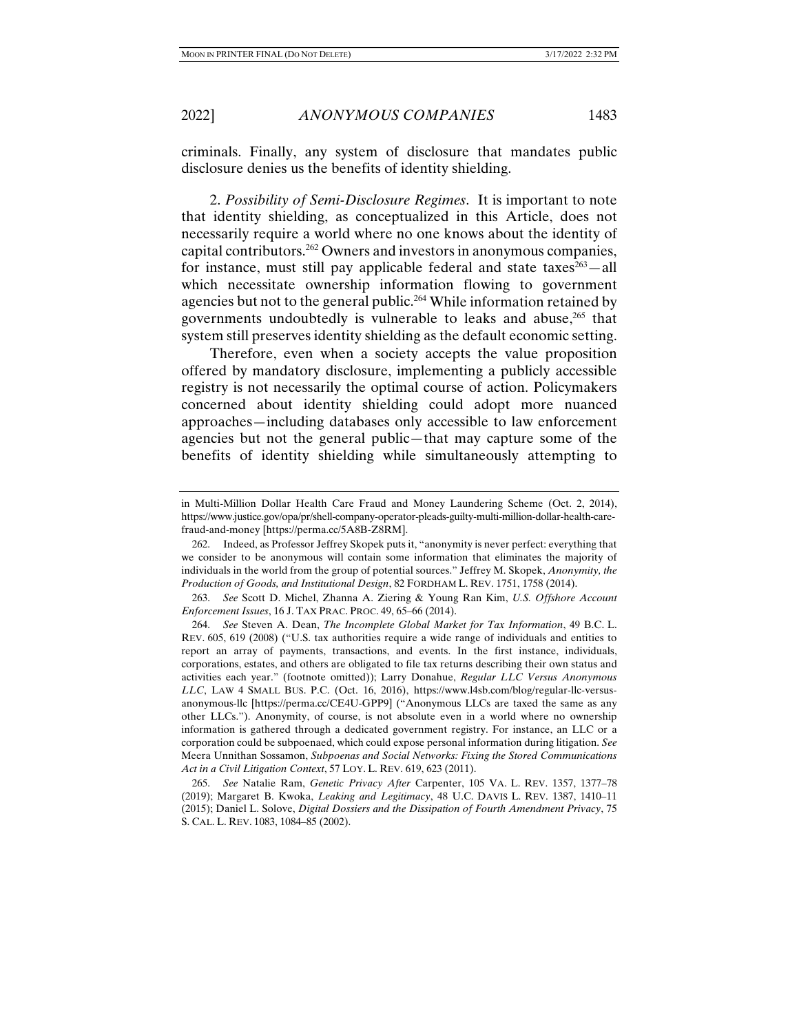criminals. Finally, any system of disclosure that mandates public disclosure denies us the benefits of identity shielding.

2. *Possibility of Semi-Disclosure Regimes*. It is important to note that identity shielding, as conceptualized in this Article, does not necessarily require a world where no one knows about the identity of capital contributors.262 Owners and investors in anonymous companies, for instance, must still pay applicable federal and state taxes $263 -$ all which necessitate ownership information flowing to government agencies but not to the general public.<sup>264</sup> While information retained by governments undoubtedly is vulnerable to leaks and abuse,<sup>265</sup> that system still preserves identity shielding as the default economic setting.

Therefore, even when a society accepts the value proposition offered by mandatory disclosure, implementing a publicly accessible registry is not necessarily the optimal course of action. Policymakers concerned about identity shielding could adopt more nuanced approaches—including databases only accessible to law enforcement agencies but not the general public—that may capture some of the benefits of identity shielding while simultaneously attempting to

 263. *See* Scott D. Michel, Zhanna A. Ziering & Young Ran Kim, *U.S. Offshore Account Enforcement Issues*, 16 J. TAX PRAC. PROC. 49, 65–66 (2014).

in Multi-Million Dollar Health Care Fraud and Money Laundering Scheme (Oct. 2, 2014), https://www.justice.gov/opa/pr/shell-company-operator-pleads-guilty-multi-million-dollar-health-carefraud-and-money [https://perma.cc/5A8B-Z8RM].

 <sup>262.</sup> Indeed, as Professor Jeffrey Skopek puts it, "anonymity is never perfect: everything that we consider to be anonymous will contain some information that eliminates the majority of individuals in the world from the group of potential sources." Jeffrey M. Skopek, *Anonymity, the Production of Goods, and Institutional Design*, 82 FORDHAM L. REV. 1751, 1758 (2014).

 <sup>264.</sup> *See* Steven A. Dean, *The Incomplete Global Market for Tax Information*, 49 B.C. L. REV. 605, 619 (2008) ("U.S. tax authorities require a wide range of individuals and entities to report an array of payments, transactions, and events. In the first instance, individuals, corporations, estates, and others are obligated to file tax returns describing their own status and activities each year." (footnote omitted)); Larry Donahue, *Regular LLC Versus Anonymous LLC*, LAW 4 SMALL BUS. P.C. (Oct. 16, 2016), https://www.l4sb.com/blog/regular-llc-versusanonymous-llc [https://perma.cc/CE4U-GPP9] ("Anonymous LLCs are taxed the same as any other LLCs."). Anonymity, of course, is not absolute even in a world where no ownership information is gathered through a dedicated government registry. For instance, an LLC or a corporation could be subpoenaed, which could expose personal information during litigation. *See* Meera Unnithan Sossamon, *Subpoenas and Social Networks: Fixing the Stored Communications Act in a Civil Litigation Context*, 57 LOY. L. REV. 619, 623 (2011).

 <sup>265.</sup> *See* Natalie Ram, *Genetic Privacy After* Carpenter, 105 VA. L. REV. 1357, 1377–78 (2019); Margaret B. Kwoka, *Leaking and Legitimacy*, 48 U.C. DAVIS L. REV. 1387, 1410–11 (2015); Daniel L. Solove, *Digital Dossiers and the Dissipation of Fourth Amendment Privacy*, 75 S. CAL. L. REV. 1083, 1084–85 (2002).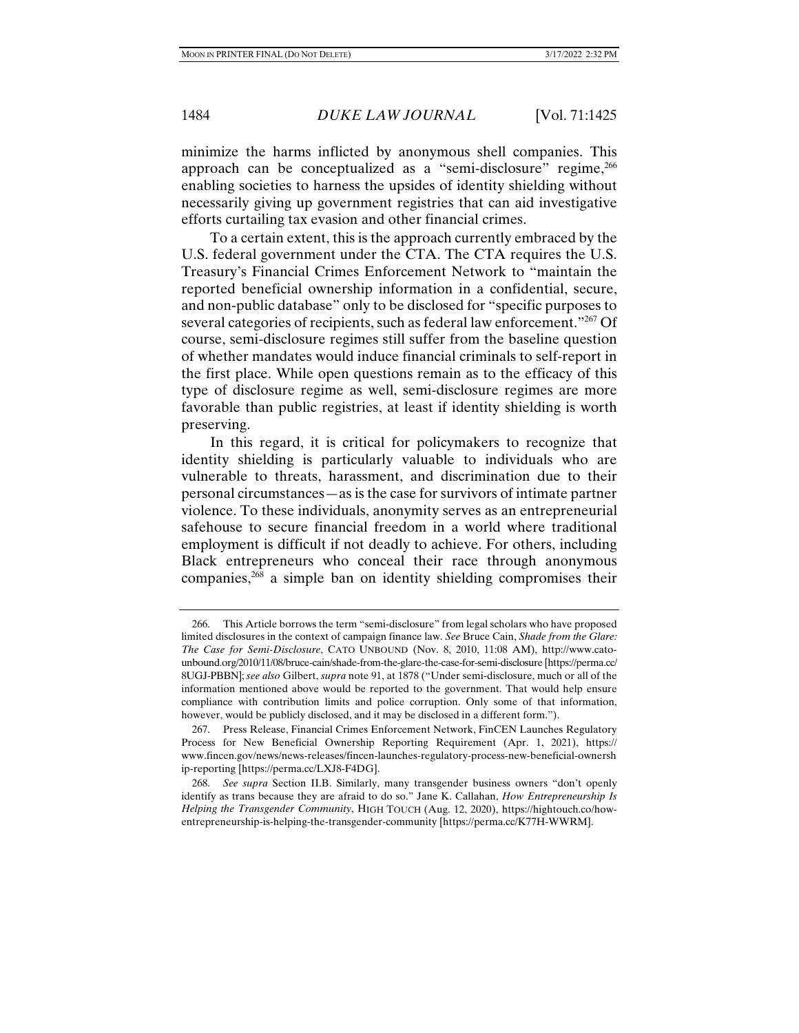minimize the harms inflicted by anonymous shell companies. This approach can be conceptualized as a "semi-disclosure" regime,<sup>266</sup> enabling societies to harness the upsides of identity shielding without necessarily giving up government registries that can aid investigative efforts curtailing tax evasion and other financial crimes.

To a certain extent, this is the approach currently embraced by the U.S. federal government under the CTA. The CTA requires the U.S. Treasury's Financial Crimes Enforcement Network to "maintain the reported beneficial ownership information in a confidential, secure, and non-public database" only to be disclosed for "specific purposes to several categories of recipients, such as federal law enforcement."267 Of course, semi-disclosure regimes still suffer from the baseline question of whether mandates would induce financial criminals to self-report in the first place. While open questions remain as to the efficacy of this type of disclosure regime as well, semi-disclosure regimes are more favorable than public registries, at least if identity shielding is worth preserving.

In this regard, it is critical for policymakers to recognize that identity shielding is particularly valuable to individuals who are vulnerable to threats, harassment, and discrimination due to their personal circumstances—as is the case for survivors of intimate partner violence. To these individuals, anonymity serves as an entrepreneurial safehouse to secure financial freedom in a world where traditional employment is difficult if not deadly to achieve. For others, including Black entrepreneurs who conceal their race through anonymous companies,268 a simple ban on identity shielding compromises their

 <sup>266.</sup> This Article borrows the term "semi-disclosure" from legal scholars who have proposed limited disclosures in the context of campaign finance law. *See* Bruce Cain, *Shade from the Glare: The Case for Semi-Disclosure*, CATO UNBOUND (Nov. 8, 2010, 11:08 AM), http://www.catounbound.org/2010/11/08/bruce-cain/shade-from-the-glare-the-case-for-semi-disclosure [https://perma.cc/ 8UGJ-PBBN]; *see also* Gilbert, *supra* note 91, at 1878 ("Under semi-disclosure, much or all of the information mentioned above would be reported to the government. That would help ensure compliance with contribution limits and police corruption. Only some of that information, however, would be publicly disclosed, and it may be disclosed in a different form.").

 <sup>267.</sup> Press Release, Financial Crimes Enforcement Network, FinCEN Launches Regulatory Process for New Beneficial Ownership Reporting Requirement (Apr. 1, 2021), https:// www.fincen.gov/news/news-releases/fincen-launches-regulatory-process-new-beneficial-ownersh ip-reporting [https://perma.cc/LXJ8-F4DG].

 <sup>268.</sup> *See supra* Section II.B. Similarly, many transgender business owners "don't openly identify as trans because they are afraid to do so." Jane K. Callahan, *How Entrepreneurship Is Helping the Transgender Community*, HIGH TOUCH (Aug. 12, 2020), https://hightouch.co/howentrepreneurship-is-helping-the-transgender-community [https://perma.cc/K77H-WWRM].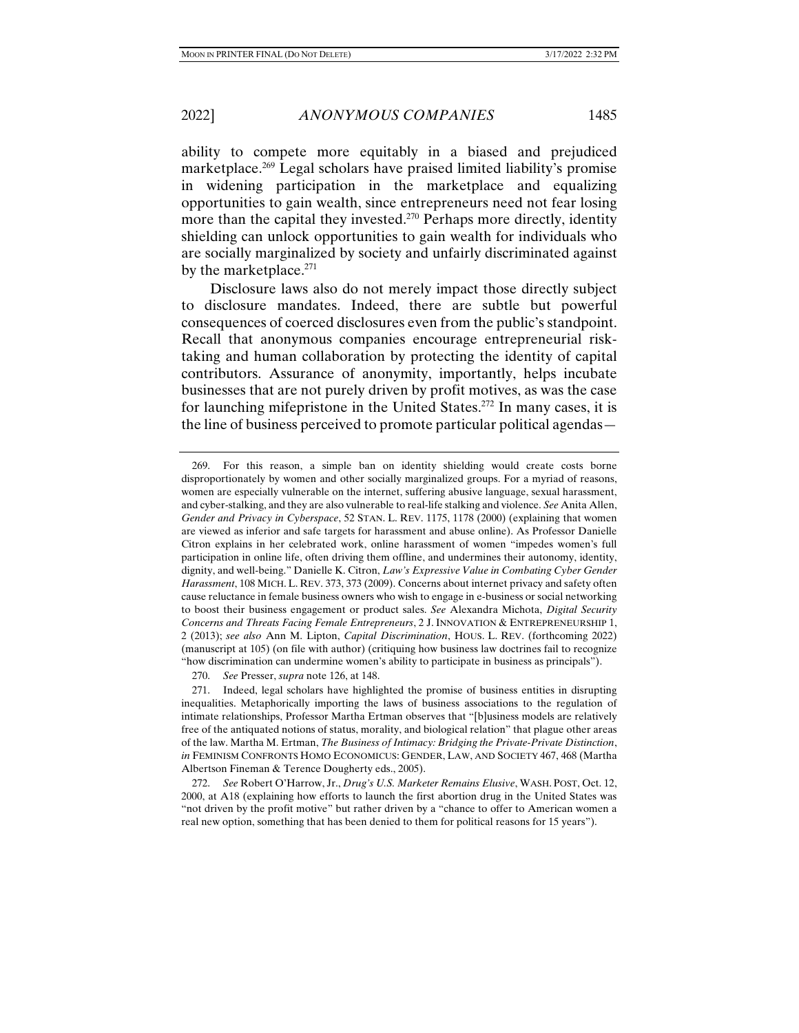ability to compete more equitably in a biased and prejudiced marketplace.269 Legal scholars have praised limited liability's promise in widening participation in the marketplace and equalizing opportunities to gain wealth, since entrepreneurs need not fear losing more than the capital they invested.<sup>270</sup> Perhaps more directly, identity shielding can unlock opportunities to gain wealth for individuals who are socially marginalized by society and unfairly discriminated against by the market place. $271$ 

Disclosure laws also do not merely impact those directly subject to disclosure mandates. Indeed, there are subtle but powerful consequences of coerced disclosures even from the public's standpoint. Recall that anonymous companies encourage entrepreneurial risktaking and human collaboration by protecting the identity of capital contributors. Assurance of anonymity, importantly, helps incubate businesses that are not purely driven by profit motives, as was the case for launching mifepristone in the United States.<sup>272</sup> In many cases, it is the line of business perceived to promote particular political agendas—

 <sup>269.</sup> For this reason, a simple ban on identity shielding would create costs borne disproportionately by women and other socially marginalized groups. For a myriad of reasons, women are especially vulnerable on the internet, suffering abusive language, sexual harassment, and cyber-stalking, and they are also vulnerable to real-life stalking and violence. *See* Anita Allen, *Gender and Privacy in Cyberspace*, 52 STAN. L. REV. 1175, 1178 (2000) (explaining that women are viewed as inferior and safe targets for harassment and abuse online). As Professor Danielle Citron explains in her celebrated work, online harassment of women "impedes women's full participation in online life, often driving them offline, and undermines their autonomy, identity, dignity, and well-being." Danielle K. Citron, *Law's Expressive Value in Combating Cyber Gender Harassment*, 108 MICH. L. REV. 373, 373 (2009). Concerns about internet privacy and safety often cause reluctance in female business owners who wish to engage in e-business or social networking to boost their business engagement or product sales. *See* Alexandra Michota, *Digital Security Concerns and Threats Facing Female Entrepreneurs*, 2 J. INNOVATION & ENTREPRENEURSHIP 1, 2 (2013); *see also* Ann M. Lipton, *Capital Discrimination*, HOUS. L. REV. (forthcoming 2022) (manuscript at 105) (on file with author) (critiquing how business law doctrines fail to recognize "how discrimination can undermine women's ability to participate in business as principals").

 <sup>270.</sup> *See* Presser, *supra* note 126, at 148.

 <sup>271.</sup> Indeed, legal scholars have highlighted the promise of business entities in disrupting inequalities. Metaphorically importing the laws of business associations to the regulation of intimate relationships, Professor Martha Ertman observes that "[b]usiness models are relatively free of the antiquated notions of status, morality, and biological relation" that plague other areas of the law. Martha M. Ertman, *The Business of Intimacy: Bridging the Private-Private Distinction*, *in* FEMINISM CONFRONTS HOMO ECONOMICUS: GENDER, LAW, AND SOCIETY 467, 468 (Martha Albertson Fineman & Terence Dougherty eds., 2005).

 <sup>272.</sup> *See* Robert O'Harrow, Jr., *Drug's U.S. Marketer Remains Elusive*, WASH. POST, Oct. 12, 2000, at A18 (explaining how efforts to launch the first abortion drug in the United States was "not driven by the profit motive" but rather driven by a "chance to offer to American women a real new option, something that has been denied to them for political reasons for 15 years").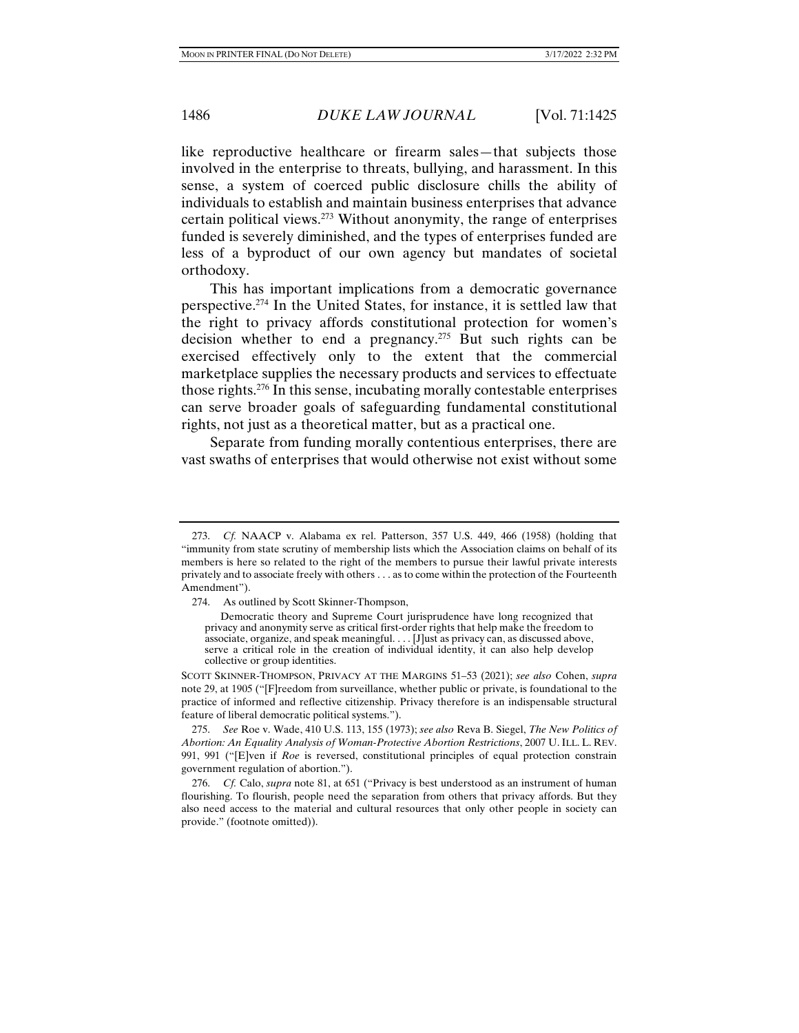like reproductive healthcare or firearm sales—that subjects those involved in the enterprise to threats, bullying, and harassment. In this sense, a system of coerced public disclosure chills the ability of individuals to establish and maintain business enterprises that advance certain political views. $273$  Without anonymity, the range of enterprises funded is severely diminished, and the types of enterprises funded are less of a byproduct of our own agency but mandates of societal orthodoxy.

This has important implications from a democratic governance perspective.274 In the United States, for instance, it is settled law that the right to privacy affords constitutional protection for women's decision whether to end a pregnancy.<sup>275</sup> But such rights can be exercised effectively only to the extent that the commercial marketplace supplies the necessary products and services to effectuate those rights.276 In this sense, incubating morally contestable enterprises can serve broader goals of safeguarding fundamental constitutional rights, not just as a theoretical matter, but as a practical one.

Separate from funding morally contentious enterprises, there are vast swaths of enterprises that would otherwise not exist without some

SCOTT SKINNER-THOMPSON, PRIVACY AT THE MARGINS 51–53 (2021); *see also* Cohen, *supra*  note 29, at 1905 ("[F]reedom from surveillance, whether public or private, is foundational to the practice of informed and reflective citizenship. Privacy therefore is an indispensable structural feature of liberal democratic political systems.").

 275. *See* Roe v. Wade, 410 U.S. 113, 155 (1973); *see also* Reva B. Siegel, *The New Politics of Abortion: An Equality Analysis of Woman-Protective Abortion Restrictions*, 2007 U. ILL. L. REV. 991, 991 ("[E]ven if *Roe* is reversed, constitutional principles of equal protection constrain government regulation of abortion.").

 <sup>273.</sup> *Cf.* NAACP v. Alabama ex rel. Patterson, 357 U.S. 449, 466 (1958) (holding that "immunity from state scrutiny of membership lists which the Association claims on behalf of its members is here so related to the right of the members to pursue their lawful private interests privately and to associate freely with others . . . as to come within the protection of the Fourteenth Amendment").

 <sup>274.</sup> As outlined by Scott Skinner-Thompson,

Democratic theory and Supreme Court jurisprudence have long recognized that privacy and anonymity serve as critical first-order rights that help make the freedom to associate, organize, and speak meaningful. . . . [J]ust as privacy can, as discussed above, serve a critical role in the creation of individual identity, it can also help develop collective or group identities.

 <sup>276.</sup> *Cf.* Calo, *supra* note 81, at 651 ("Privacy is best understood as an instrument of human flourishing. To flourish, people need the separation from others that privacy affords. But they also need access to the material and cultural resources that only other people in society can provide." (footnote omitted)).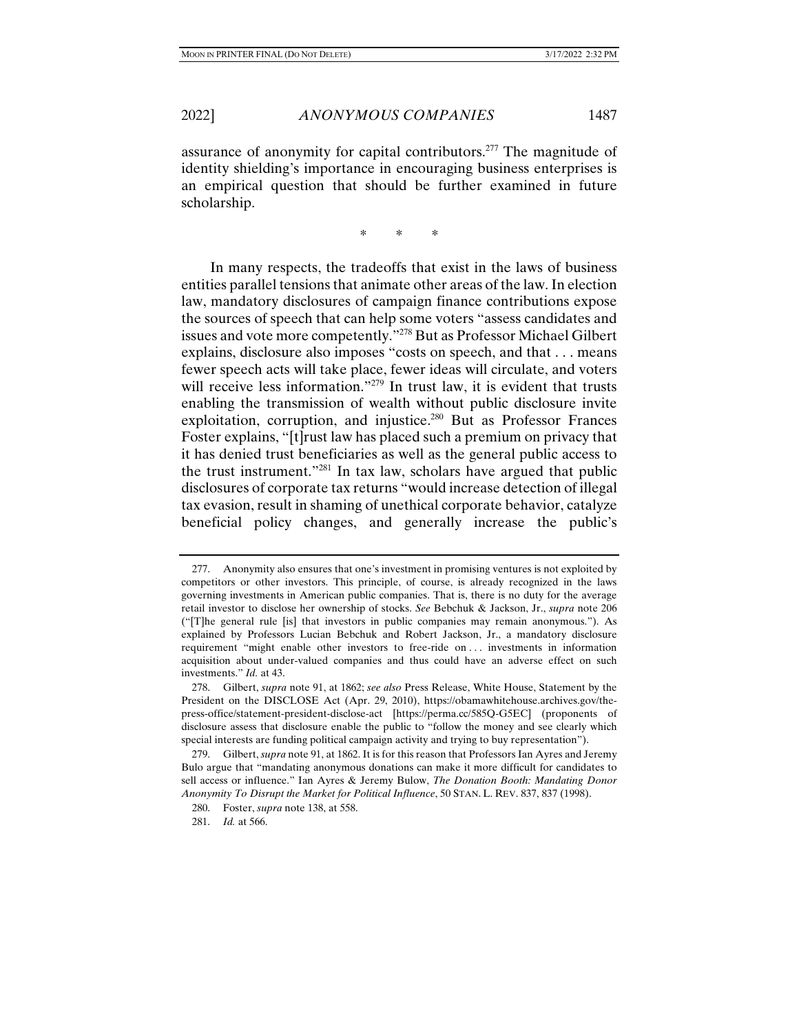assurance of anonymity for capital contributors.277 The magnitude of identity shielding's importance in encouraging business enterprises is an empirical question that should be further examined in future scholarship.

\* \* \*

In many respects, the tradeoffs that exist in the laws of business entities parallel tensions that animate other areas of the law. In election law, mandatory disclosures of campaign finance contributions expose the sources of speech that can help some voters "assess candidates and issues and vote more competently."278 But as Professor Michael Gilbert explains, disclosure also imposes "costs on speech, and that . . . means fewer speech acts will take place, fewer ideas will circulate, and voters will receive less information."<sup>279</sup> In trust law, it is evident that trusts enabling the transmission of wealth without public disclosure invite exploitation, corruption, and injustice.<sup>280</sup> But as Professor Frances Foster explains, "[t]rust law has placed such a premium on privacy that it has denied trust beneficiaries as well as the general public access to the trust instrument."281 In tax law, scholars have argued that public disclosures of corporate tax returns "would increase detection of illegal tax evasion, result in shaming of unethical corporate behavior, catalyze beneficial policy changes, and generally increase the public's

 <sup>277.</sup> Anonymity also ensures that one's investment in promising ventures is not exploited by competitors or other investors. This principle, of course, is already recognized in the laws governing investments in American public companies. That is, there is no duty for the average retail investor to disclose her ownership of stocks. *See* Bebchuk & Jackson, Jr., *supra* note 206 ("[T]he general rule [is] that investors in public companies may remain anonymous."). As explained by Professors Lucian Bebchuk and Robert Jackson, Jr., a mandatory disclosure requirement "might enable other investors to free-ride on . . . investments in information acquisition about under-valued companies and thus could have an adverse effect on such investments." *Id.* at 43.

 <sup>278.</sup> Gilbert, *supra* note 91, at 1862; *see also* Press Release, White House, Statement by the President on the DISCLOSE Act (Apr. 29, 2010), https://obamawhitehouse.archives.gov/thepress-office/statement-president-disclose-act [https://perma.cc/585Q-G5EC] (proponents of disclosure assess that disclosure enable the public to "follow the money and see clearly which special interests are funding political campaign activity and trying to buy representation").

 <sup>279.</sup> Gilbert, *supra* note 91, at 1862. It is for this reason that Professors Ian Ayres and Jeremy Bulo argue that "mandating anonymous donations can make it more difficult for candidates to sell access or influence." Ian Ayres & Jeremy Bulow, *The Donation Booth: Mandating Donor Anonymity To Disrupt the Market for Political Influence*, 50 STAN. L. REV. 837, 837 (1998).

 <sup>280.</sup> Foster, *supra* note 138, at 558.

 <sup>281.</sup> *Id.* at 566.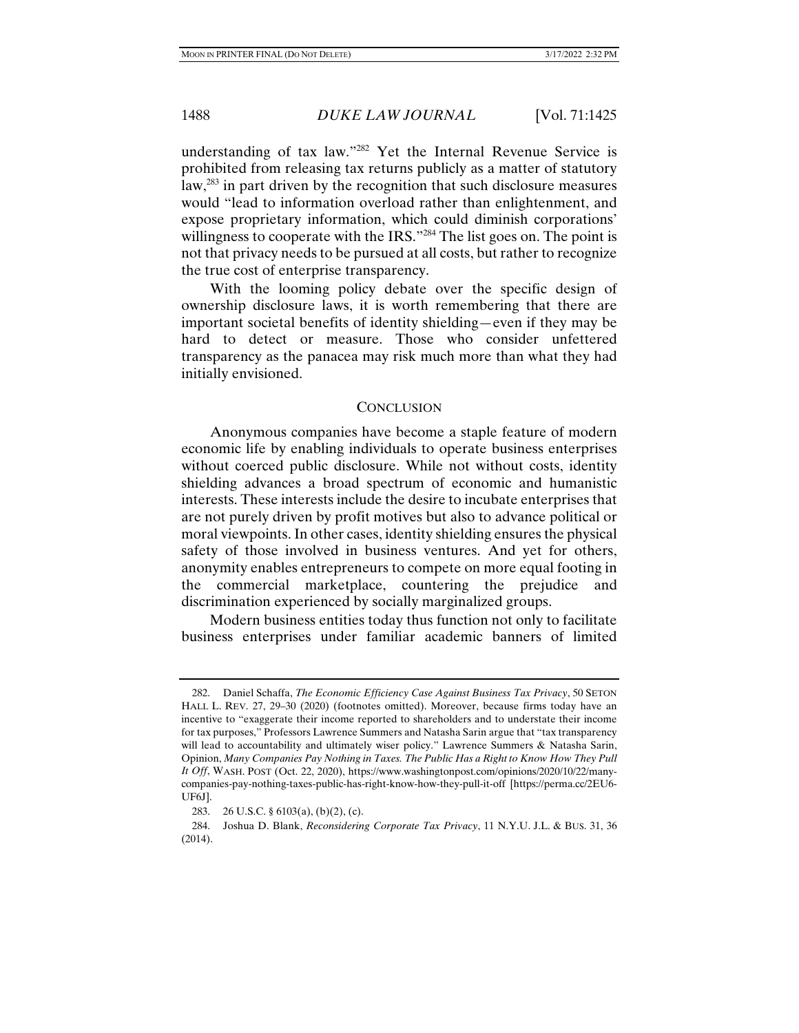understanding of tax law."282 Yet the Internal Revenue Service is prohibited from releasing tax returns publicly as a matter of statutory law,283 in part driven by the recognition that such disclosure measures would "lead to information overload rather than enlightenment, and expose proprietary information, which could diminish corporations' willingness to cooperate with the IRS."284 The list goes on. The point is not that privacy needs to be pursued at all costs, but rather to recognize the true cost of enterprise transparency.

With the looming policy debate over the specific design of ownership disclosure laws, it is worth remembering that there are important societal benefits of identity shielding—even if they may be hard to detect or measure. Those who consider unfettered transparency as the panacea may risk much more than what they had initially envisioned.

#### **CONCLUSION**

Anonymous companies have become a staple feature of modern economic life by enabling individuals to operate business enterprises without coerced public disclosure. While not without costs, identity shielding advances a broad spectrum of economic and humanistic interests. These interests include the desire to incubate enterprises that are not purely driven by profit motives but also to advance political or moral viewpoints. In other cases, identity shielding ensures the physical safety of those involved in business ventures. And yet for others, anonymity enables entrepreneurs to compete on more equal footing in the commercial marketplace, countering the prejudice and discrimination experienced by socially marginalized groups.

Modern business entities today thus function not only to facilitate business enterprises under familiar academic banners of limited

 <sup>282.</sup> Daniel Schaffa, *The Economic Efficiency Case Against Business Tax Privacy*, 50 SETON HALL L. REV. 27, 29–30 (2020) (footnotes omitted). Moreover, because firms today have an incentive to "exaggerate their income reported to shareholders and to understate their income for tax purposes," Professors Lawrence Summers and Natasha Sarin argue that "tax transparency will lead to accountability and ultimately wiser policy." Lawrence Summers & Natasha Sarin, Opinion, *Many Companies Pay Nothing in Taxes. The Public Has a Right to Know How They Pull It Off*, WASH. POST (Oct. 22, 2020), https://www.washingtonpost.com/opinions/2020/10/22/manycompanies-pay-nothing-taxes-public-has-right-know-how-they-pull-it-off [https://perma.cc/2EU6- UF6J].

 <sup>283. 26</sup> U.S.C. § 6103(a), (b)(2), (c).

 <sup>284.</sup> Joshua D. Blank, *Reconsidering Corporate Tax Privacy*, 11 N.Y.U. J.L. & BUS. 31, 36 (2014).